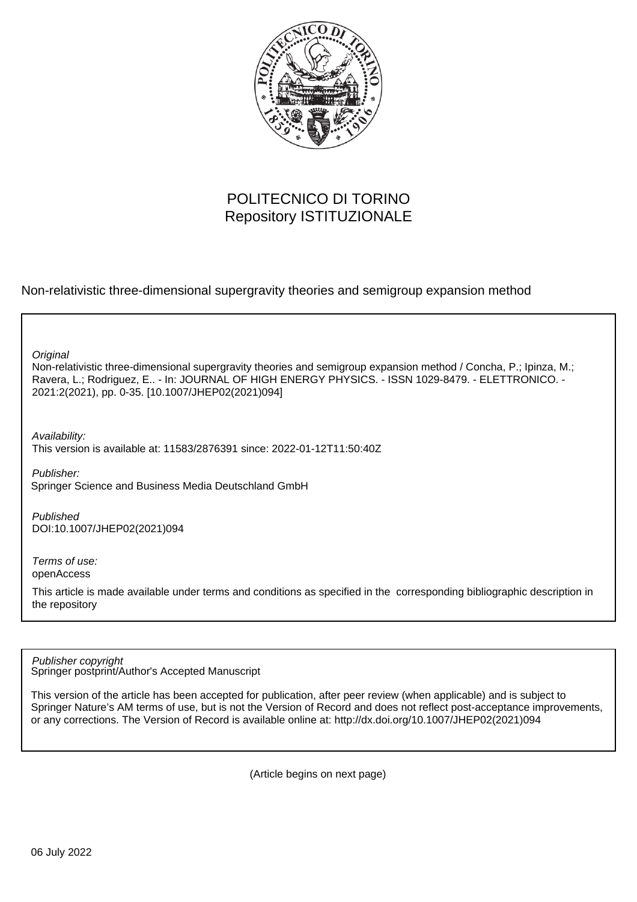

# POLITECNICO DI TORINO Repository ISTITUZIONALE

Non-relativistic three-dimensional supergravity theories and semigroup expansion method

**Original** 

Non-relativistic three-dimensional supergravity theories and semigroup expansion method / Concha, P.; Ipinza, M.; Ravera, L.; Rodriguez, E.. - In: JOURNAL OF HIGH ENERGY PHYSICS. - ISSN 1029-8479. - ELETTRONICO. - 2021:2(2021), pp. 0-35. [10.1007/JHEP02(2021)094]

Availability:

This version is available at: 11583/2876391 since: 2022-01-12T11:50:40Z

Publisher: Springer Science and Business Media Deutschland GmbH

Published DOI:10.1007/JHEP02(2021)094

Terms of use: openAccess

This article is made available under terms and conditions as specified in the corresponding bibliographic description in the repository

Springer postprint/Author's Accepted Manuscript Publisher copyright

This version of the article has been accepted for publication, after peer review (when applicable) and is subject to Springer Nature's AM terms of use, but is not the Version of Record and does not reflect post-acceptance improvements, or any corrections. The Version of Record is available online at: http://dx.doi.org/10.1007/JHEP02(2021)094

(Article begins on next page)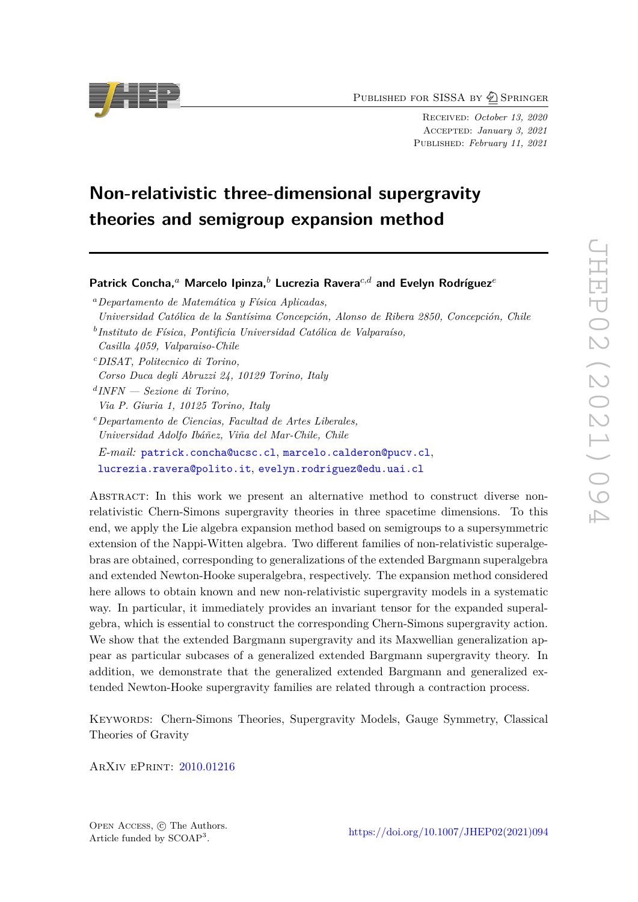PUBLISHED FOR SISSA BY 2 SPRINGER

Received: *October 13, 2020* Accepted: *January 3, 2021* Published: *February 11, 2021*

# **Non-relativistic three-dimensional supergravity theories and semigroup expansion method**

# **Patrick Concha,***<sup>a</sup>* **Marcelo Ipinza,***<sup>b</sup>* **Lucrezia Ravera***c,d* **and Evelyn Rodríguez***<sup>e</sup>*

- *<sup>a</sup>Departamento de Matemática y Física Aplicadas, Universidad Católica de la Santísima Concepción, Alonso de Ribera 2850, Concepción, Chile*
- *b Instituto de Física, Pontificia Universidad Católica de Valparaíso,*
- *Casilla 4059, Valparaiso-Chile*
- *<sup>c</sup>DISAT, Politecnico di Torino,*
- *Corso Duca degli Abruzzi 24, 10129 Torino, Italy*
- *d INFN Sezione di Torino, Via P. Giuria 1, 10125 Torino, Italy*
- *<sup>e</sup>Departamento de Ciencias, Facultad de Artes Liberales, Universidad Adolfo Ibáñez, Viña del Mar-Chile, Chile*
- *E-mail:* [patrick.concha@ucsc.cl](mailto:patrick.concha@ucsc.cl), [marcelo.calderon@pucv.cl](mailto:marcelo.calderon@pucv.cl), [lucrezia.ravera@polito.it](mailto:lucrezia.ravera@polito.it), [evelyn.rodriguez@edu.uai.cl](mailto:evelyn.rodriguez@edu.uai.cl)

Abstract: In this work we present an alternative method to construct diverse nonrelativistic Chern-Simons supergravity theories in three spacetime dimensions. To this end, we apply the Lie algebra expansion method based on semigroups to a supersymmetric extension of the Nappi-Witten algebra. Two different families of non-relativistic superalgebras are obtained, corresponding to generalizations of the extended Bargmann superalgebra and extended Newton-Hooke superalgebra, respectively. The expansion method considered here allows to obtain known and new non-relativistic supergravity models in a systematic way. In particular, it immediately provides an invariant tensor for the expanded superalgebra, which is essential to construct the corresponding Chern-Simons supergravity action. We show that the extended Bargmann supergravity and its Maxwellian generalization appear as particular subcases of a generalized extended Bargmann supergravity theory. In addition, we demonstrate that the generalized extended Bargmann and generalized extended Newton-Hooke supergravity families are related through a contraction process.

Keywords: Chern-Simons Theories, Supergravity Models, Gauge Symmetry, Classical Theories of Gravity

ArXiv ePrint: [2010.01216](https://arxiv.org/abs/2010.01216)



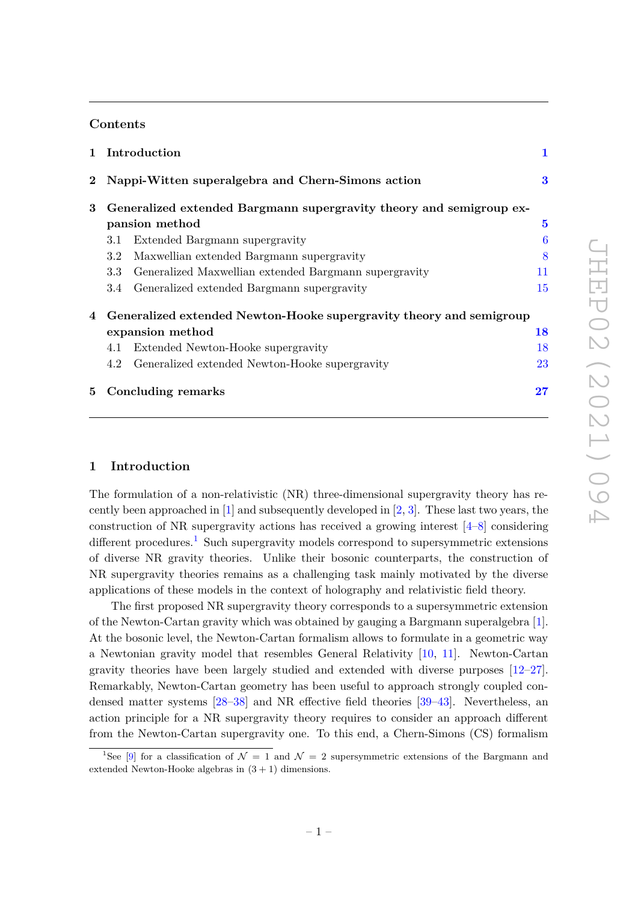### **Contents**

| $\mathbf{1}$ | Introduction                                                        | 1        |
|--------------|---------------------------------------------------------------------|----------|
|              | 2 Nappi-Witten superalgebra and Chern-Simons action                 | $\bf{3}$ |
| 3            | Generalized extended Bargmann supergravity theory and semigroup ex- |          |
|              | pansion method                                                      | $\bf{5}$ |
|              | Extended Bargmann supergravity<br>3.1                               | 6        |
|              | Maxwellian extended Bargmann supergravity<br>3.2                    | 8        |
|              | Generalized Maxwellian extended Bargmann supergravity<br>3.3        | 11       |
|              | Generalized extended Bargmann supergravity<br>3.4                   | 15       |
| 4            | Generalized extended Newton-Hooke supergravity theory and semigroup |          |
|              | expansion method                                                    | 18       |
|              | Extended Newton-Hooke supergravity<br>4.1                           | 18       |
|              | Generalized extended Newton-Hooke supergravity<br>4.2               | 23       |
| $5^{\circ}$  | Concluding remarks                                                  | 27       |

# **1 Introduction**

The formulation of a non-relativistic (NR) three-dimensional supergravity theory has recently been approached in  $[1]$  and subsequently developed in  $[2, 3]$ . These last two years, the construction of NR supergravity actions has received a growing interest  $[4-8]$  considering different procedures.<sup>1</sup> Such supergravity models correspond to supersymmetric extensions of diverse NR gravity theories. Unlike their bosonic counterparts, the construction of NR supergravity theories remains as a challenging task mainly motivated by the diverse applications of these models in the context of holography and relativistic field theory.

The first proposed NR supergravity theory corresponds to a supersymmetric extension of the Newton-Cartan gravity which was obtained by gauging a Bargmann superalgebra [1]. At the bosonic level, the Newton-Cartan formalism allows to formulate in a geometric way a Newtonian gravity model that resembles General Relativity [10, 11]. Newton-Cartan gravity theories have been largely studied and extended with diverse purposes [12–27]. Remarkably, Newton-Cartan geometry has been useful to approach strongly coupled condensed matter systems [28–38] and NR effective field theories [39–43]. Nevertheless, an action principle for a NR supergravity theory requires to consider an approach different from the Newton-Cartan supergravity one. To this end, a Chern-Simons (CS) formalism

<sup>&</sup>lt;sup>1</sup>See [9] for a classification of  $\mathcal{N} = 1$  and  $\mathcal{N} = 2$  supersymmetric extensions of the Bargmann and extended Newton-Hooke algebras in  $(3 + 1)$  dimensions.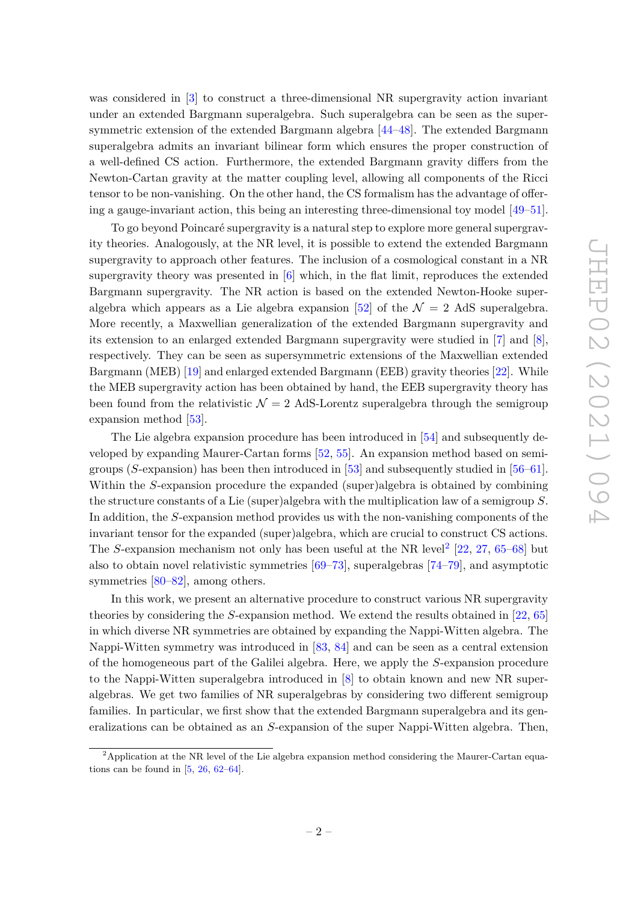was considered in [3] to construct a three-dimensional NR supergravity action invariant under an extended Bargmann superalgebra. Such superalgebra can be seen as the supersymmetric extension of the extended Bargmann algebra [44–48]. The extended Bargmann superalgebra admits an invariant bilinear form which ensures the proper construction of a well-defined CS action. Furthermore, the extended Bargmann gravity differs from the Newton-Cartan gravity at the matter coupling level, allowing all components of the Ricci tensor to be non-vanishing. On the other hand, the CS formalism has the advantage of offering a gauge-invariant action, this being an interesting three-dimensional toy model [49–51].

To go beyond Poincaré supergravity is a natural step to explore more general supergravity theories. Analogously, at the NR level, it is possible to extend the extended Bargmann supergravity to approach other features. The inclusion of a cosmological constant in a NR supergravity theory was presented in [6] which, in the flat limit, reproduces the extended Bargmann supergravity. The NR action is based on the extended Newton-Hooke superalgebra which appears as a Lie algebra expansion [52] of the  $\mathcal{N} = 2$  AdS superalgebra. More recently, a Maxwellian generalization of the extended Bargmann supergravity and its extension to an enlarged extended Bargmann supergravity were studied in [7] and [8], respectively. They can be seen as supersymmetric extensions of the Maxwellian extended Bargmann (MEB) [19] and enlarged extended Bargmann (EEB) gravity theories [22]. While the MEB supergravity action has been obtained by hand, the EEB supergravity theory has been found from the relativistic  $\mathcal{N} = 2$  AdS-Lorentz superalgebra through the semigroup expansion method [53].

The Lie algebra expansion procedure has been introduced in [54] and subsequently developed by expanding Maurer-Cartan forms [52, 55]. An expansion method based on semigroups (*S*-expansion) has been then introduced in [53] and subsequently studied in [56–61]. Within the *S*-expansion procedure the expanded (super)algebra is obtained by combining the structure constants of a Lie (super)algebra with the multiplication law of a semigroup *S*. In addition, the *S*-expansion method provides us with the non-vanishing components of the invariant tensor for the expanded (super)algebra, which are crucial to construct CS actions. The *S*-expansion mechanism not only has been useful at the NR level<sup>2</sup> [22, 27, 65–68] but also to obtain novel relativistic symmetries [69–73], superalgebras [74–79], and asymptotic symmetries [80–82], among others.

In this work, we present an alternative procedure to construct various NR supergravity theories by considering the *S*-expansion method. We extend the results obtained in [22, 65] in which diverse NR symmetries are obtained by expanding the Nappi-Witten algebra. The Nappi-Witten symmetry was introduced in [83, 84] and can be seen as a central extension of the homogeneous part of the Galilei algebra. Here, we apply the *S*-expansion procedure to the Nappi-Witten superalgebra introduced in [8] to obtain known and new NR superalgebras. We get two families of NR superalgebras by considering two different semigroup families. In particular, we first show that the extended Bargmann superalgebra and its generalizations can be obtained as an *S*-expansion of the super Nappi-Witten algebra. Then,

<sup>&</sup>lt;sup>2</sup>Application at the NR level of the Lie algebra expansion method considering the Maurer-Cartan equations can be found in  $[5, 26, 62-64]$ .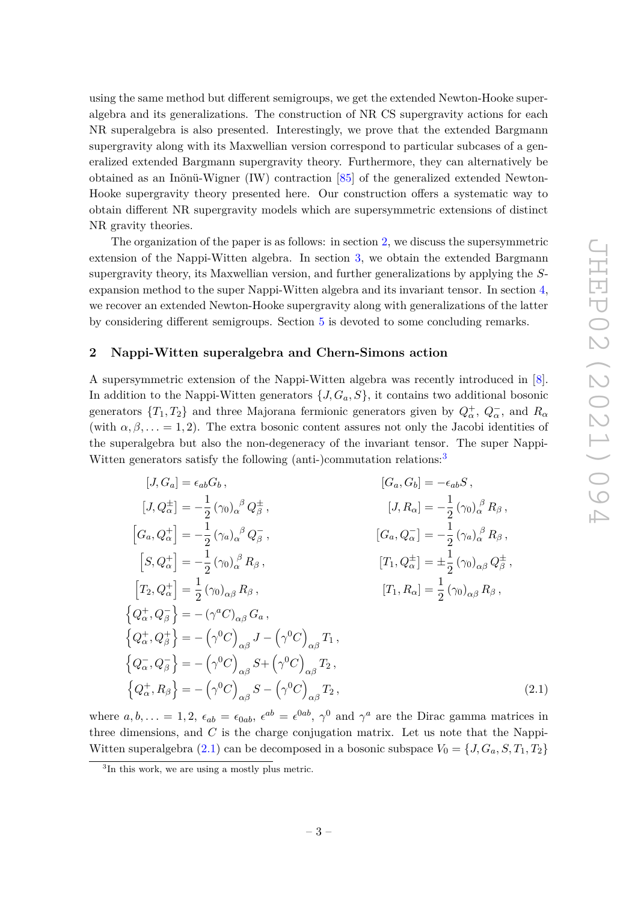using the same method but different semigroups, we get the extended Newton-Hooke superalgebra and its generalizations. The construction of NR CS supergravity actions for each NR superalgebra is also presented. Interestingly, we prove that the extended Bargmann supergravity along with its Maxwellian version correspond to particular subcases of a generalized extended Bargmann supergravity theory. Furthermore, they can alternatively be obtained as an Inönü-Wigner (IW) contraction [85] of the generalized extended Newton-Hooke supergravity theory presented here. Our construction offers a systematic way to obtain different NR supergravity models which are supersymmetric extensions of distinct NR gravity theories.

The organization of the paper is as follows: in section 2, we discuss the supersymmetric extension of the Nappi-Witten algebra. In section 3, we obtain the extended Bargmann supergravity theory, its Maxwellian version, and further generalizations by applying the *S*expansion method to the super Nappi-Witten algebra and its invariant tensor. In section 4, we recover an extended Newton-Hooke supergravity along with generalizations of the latter by considering different semigroups. Section 5 is devoted to some concluding remarks.

#### **2 Nappi-Witten superalgebra and Chern-Simons action**

A supersymmetric extension of the Nappi-Witten algebra was recently introduced in [8]. In addition to the Nappi-Witten generators  $\{J, G_a, S\}$ , it contains two additional bosonic generators  $\{T_1, T_2\}$  and three Majorana fermionic generators given by  $Q^{\pm}_{\alpha}$ ,  $Q^{-}_{\alpha}$ , and  $R_{\alpha}$ (with  $\alpha, \beta, \ldots = 1, 2$ ). The extra bosonic content assures not only the Jacobi identities of the superalgebra but also the non-degeneracy of the invariant tensor. The super Nappi-Witten generators satisfy the following (anti-)commutation relations:<sup>3</sup>

$$
[J, G_a] = \epsilon_{ab} G_b, \qquad [G_a, G_b] = -\epsilon_{ab} S, [J, Q^{\pm}_\alpha] = -\frac{1}{2} (\gamma_0)_{\alpha}^{\beta} Q^{\pm}_{\beta}, \qquad [J, R_{\alpha}] = -\frac{1}{2} (\gamma_0)_{\alpha}^{\beta} R_{\beta}, [G_a, Q^{\pm}_\alpha] = -\frac{1}{2} (\gamma_a)_{\alpha}^{\beta} Q_{\beta}^{\pm}, \qquad [G_a, Q^-_{\alpha}] = -\frac{1}{2} (\gamma_a)_{\alpha}^{\beta} R_{\beta}, [S, Q^{\pm}_\alpha] = -\frac{1}{2} (\gamma_0)_{\alpha}^{\beta} R_{\beta}, \qquad [T_1, Q^{\pm}_\alpha] = \pm \frac{1}{2} (\gamma_0)_{\alpha\beta} Q^{\pm}_{\beta}, [T_2, Q^{\pm}_\alpha] = \frac{1}{2} (\gamma_0)_{\alpha\beta} R_{\beta}, \qquad [T_1, R_{\alpha}] = \frac{1}{2} (\gamma_0)_{\alpha\beta} R_{\beta}, {Q^{\pm}_{\alpha}, Q^{\pm}_{\beta}} = -(\gamma^a C)_{\alpha\beta} G_a, {Q^{\pm}_{\alpha}, Q^{\pm}_{\beta}} = -(\gamma^0 C)_{\alpha\beta} S + (\gamma^0 C)_{\alpha\beta} T_1, {Q^-_{\alpha}, Q^-_{\beta}} = -(\gamma^0 C)_{\alpha\beta} S + (\gamma^0 C)_{\alpha\beta} T_2, {Q^{\pm}_{\alpha}, R_{\beta}} = -(\gamma^0 C)_{\alpha\beta} S - (\gamma^0 C)_{\alpha\beta} T_2,
$$
\n(2.1)

where  $a, b, ... = 1, 2, \epsilon_{ab} = \epsilon_{0ab}, \epsilon^{ab} = \epsilon^{0ab}, \gamma^0$  and  $\gamma^a$  are the Dirac gamma matrices in three dimensions, and *C* is the charge conjugation matrix. Let us note that the Nappi-Witten superalgebra (2.1) can be decomposed in a bosonic subspace  $V_0 = \{J, G_a, S, T_1, T_2\}$ 

<sup>&</sup>lt;sup>3</sup>In this work, we are using a mostly plus metric.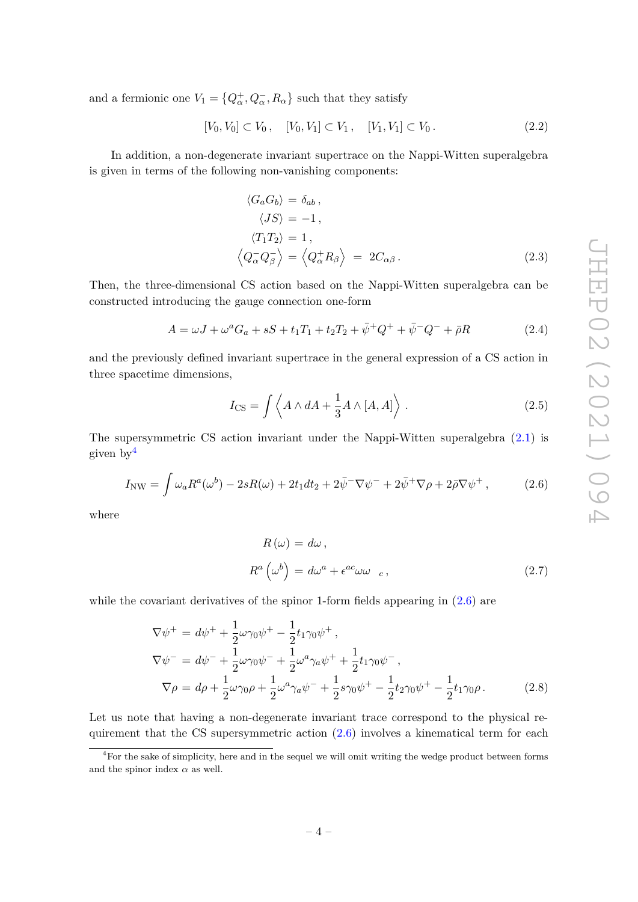and a fermionic one  $V_1 = \{Q^+_{\alpha}, Q^-_{\alpha}, R_{\alpha}\}\$  such that they satisfy

$$
[V_0, V_0] \subset V_0, \quad [V_0, V_1] \subset V_1, \quad [V_1, V_1] \subset V_0. \tag{2.2}
$$

In addition, a non-degenerate invariant supertrace on the Nappi-Witten superalgebra is given in terms of the following non-vanishing components:

$$
\langle G_a G_b \rangle = \delta_{ab},
$$
  
\n
$$
\langle JS \rangle = -1,
$$
  
\n
$$
\langle T_1 T_2 \rangle = 1,
$$
  
\n
$$
\langle Q_\alpha^- Q_\beta^- \rangle = \langle Q_\alpha^+ R_\beta \rangle = 2C_{\alpha\beta}.
$$
\n(2.3)

Then, the three-dimensional CS action based on the Nappi-Witten superalgebra can be constructed introducing the gauge connection one-form

$$
A = \omega J + \omega^a G_a + sS + t_1 T_1 + t_2 T_2 + \bar{\psi}^+ Q^+ + \bar{\psi}^- Q^- + \bar{\rho} R \tag{2.4}
$$

and the previously defined invariant supertrace in the general expression of a CS action in three spacetime dimensions,

$$
I_{\text{CS}} = \int \left\langle A \wedge dA + \frac{1}{3} A \wedge [A, A] \right\rangle.
$$
 (2.5)

The supersymmetric CS action invariant under the Nappi-Witten superalgebra (2.1) is given by<sup>4</sup>

$$
I_{\rm NW} = \int \omega_a R^a(\omega^b) - 2sR(\omega) + 2t_1 dt_2 + 2\bar{\psi}^-\nabla\psi^- + 2\bar{\psi}^+\nabla\rho + 2\bar{\rho}\nabla\psi^+, \tag{2.6}
$$

where

$$
R(\omega) = d\omega,
$$
  
\n
$$
R^{a}(\omega^{b}) = d\omega^{a} + \epsilon^{ac}\omega\omega_{c},
$$
\n(2.7)

while the covariant derivatives of the spinor 1-form fields appearing in  $(2.6)$  are

$$
\nabla \psi^{+} = d\psi^{+} + \frac{1}{2}\omega\gamma_{0}\psi^{+} - \frac{1}{2}t_{1}\gamma_{0}\psi^{+},
$$
  
\n
$$
\nabla \psi^{-} = d\psi^{-} + \frac{1}{2}\omega\gamma_{0}\psi^{-} + \frac{1}{2}\omega^{a}\gamma_{a}\psi^{+} + \frac{1}{2}t_{1}\gamma_{0}\psi^{-},
$$
  
\n
$$
\nabla \rho = d\rho + \frac{1}{2}\omega\gamma_{0}\rho + \frac{1}{2}\omega^{a}\gamma_{a}\psi^{-} + \frac{1}{2}s\gamma_{0}\psi^{+} - \frac{1}{2}t_{2}\gamma_{0}\psi^{+} - \frac{1}{2}t_{1}\gamma_{0}\rho.
$$
 (2.8)

Let us note that having a non-degenerate invariant trace correspond to the physical requirement that the CS supersymmetric action  $(2.6)$  involves a kinematical term for each

<sup>4</sup>For the sake of simplicity, here and in the sequel we will omit writing the wedge product between forms and the spinor index  $\alpha$  as well.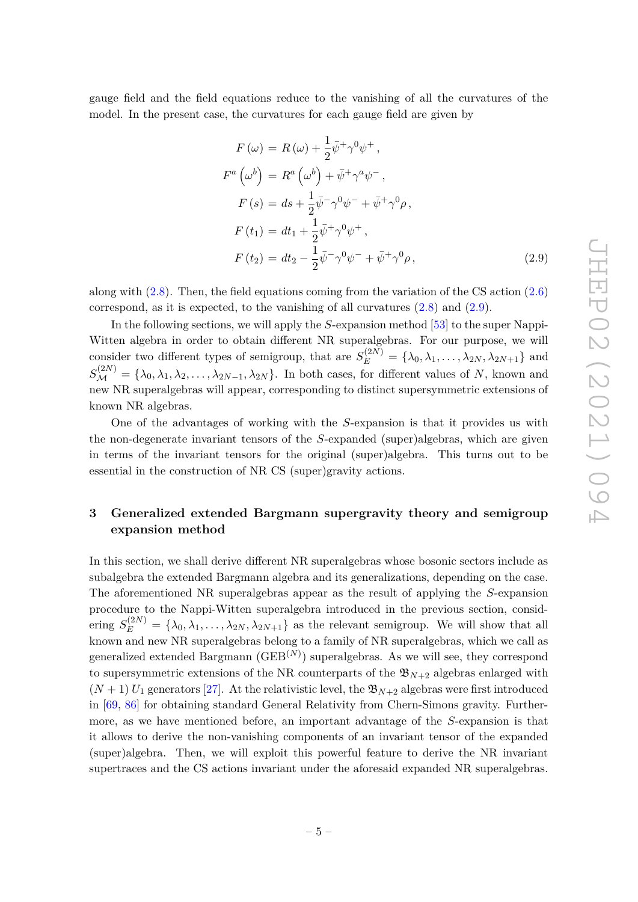gauge field and the field equations reduce to the vanishing of all the curvatures of the model. In the present case, the curvatures for each gauge field are given by

$$
F(\omega) = R(\omega) + \frac{1}{2}\bar{\psi}^{+}\gamma^{0}\psi^{+},
$$
  
\n
$$
F^{a}(\omega^{b}) = R^{a}(\omega^{b}) + \bar{\psi}^{+}\gamma^{a}\psi^{-},
$$
  
\n
$$
F(s) = ds + \frac{1}{2}\bar{\psi}^{-}\gamma^{0}\psi^{-} + \bar{\psi}^{+}\gamma^{0}\rho,
$$
  
\n
$$
F(t_{1}) = dt_{1} + \frac{1}{2}\bar{\psi}^{+}\gamma^{0}\psi^{+},
$$
  
\n
$$
F(t_{2}) = dt_{2} - \frac{1}{2}\bar{\psi}^{-}\gamma^{0}\psi^{-} + \bar{\psi}^{+}\gamma^{0}\rho,
$$
\n(2.9)

along with (2.8). Then, the field equations coming from the variation of the CS action (2.6) correspond, as it is expected, to the vanishing of all curvatures (2.8) and (2.9).

In the following sections, we will apply the *S*-expansion method [53] to the super Nappi-Witten algebra in order to obtain different NR superalgebras. For our purpose, we will consider two different types of semigroup, that are  $S_E^{(2N)} = {\lambda_0, \lambda_1, \ldots, \lambda_{2N}, \lambda_{2N+1}}$  and  $S_{\mathcal{M}}^{(2N)} = {\lambda_0, \lambda_1, \lambda_2, \ldots, \lambda_{2N-1}, \lambda_{2N}}$ . In both cases, for different values of *N*, known and new NR superalgebras will appear, corresponding to distinct supersymmetric extensions of known NR algebras.

One of the advantages of working with the *S*-expansion is that it provides us with the non-degenerate invariant tensors of the *S*-expanded (super)algebras, which are given in terms of the invariant tensors for the original (super)algebra. This turns out to be essential in the construction of NR CS (super)gravity actions.

# **3 Generalized extended Bargmann supergravity theory and semigroup expansion method**

In this section, we shall derive different NR superalgebras whose bosonic sectors include as subalgebra the extended Bargmann algebra and its generalizations, depending on the case. The aforementioned NR superalgebras appear as the result of applying the *S*-expansion procedure to the Nappi-Witten superalgebra introduced in the previous section, considering  $S_E^{(2N)} = {\lambda_0, \lambda_1, \ldots, \lambda_{2N}, \lambda_{2N+1}}$  as the relevant semigroup. We will show that all known and new NR superalgebras belong to a family of NR superalgebras, which we call as generalized extended Bargmann  $(\text{GEB}^{(N)})$  superalgebras. As we will see, they correspond to supersymmetric extensions of the NR counterparts of the  $\mathfrak{B}_{N+2}$  algebras enlarged with  $(N+1)$  *U*<sub>1</sub> generators [27]. At the relativistic level, the  $\mathfrak{B}_{N+2}$  algebras were first introduced in [69, 86] for obtaining standard General Relativity from Chern-Simons gravity. Furthermore, as we have mentioned before, an important advantage of the *S*-expansion is that it allows to derive the non-vanishing components of an invariant tensor of the expanded (super)algebra. Then, we will exploit this powerful feature to derive the NR invariant supertraces and the CS actions invariant under the aforesaid expanded NR superalgebras.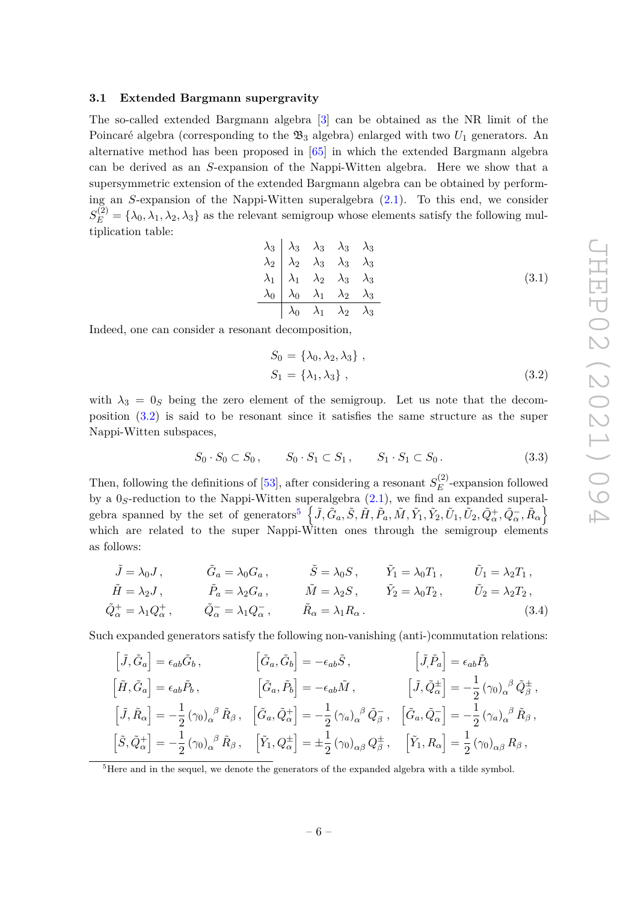#### **3.1 Extended Bargmann supergravity**

The so-called extended Bargmann algebra [3] can be obtained as the NR limit of the Poincaré algebra (corresponding to the  $\mathfrak{B}_3$  algebra) enlarged with two  $U_1$  generators. An alternative method has been proposed in [65] in which the extended Bargmann algebra can be derived as an *S*-expansion of the Nappi-Witten algebra. Here we show that a supersymmetric extension of the extended Bargmann algebra can be obtained by performing an *S*-expansion of the Nappi-Witten superalgebra (2.1). To this end, we consider  $S_E^{(2)} = {\lambda_0, \lambda_1, \lambda_2, \lambda_3}$  as the relevant semigroup whose elements satisfy the following multiplication table:

$$
\begin{array}{c|cccc}\n\lambda_3 & \lambda_3 & \lambda_3 & \lambda_3 \\
\lambda_2 & \lambda_2 & \lambda_3 & \lambda_3 & \lambda_3 \\
\lambda_1 & \lambda_1 & \lambda_2 & \lambda_3 & \lambda_3 \\
\lambda_0 & \lambda_0 & \lambda_1 & \lambda_2 & \lambda_3 \\
\hline\n\lambda_0 & \lambda_1 & \lambda_2 & \lambda_3\n\end{array}
$$
\n(3.1)

Indeed, one can consider a resonant decomposition,

$$
S_0 = \{\lambda_0, \lambda_2, \lambda_3\},
$$
  
\n
$$
S_1 = \{\lambda_1, \lambda_3\},
$$
\n
$$
(3.2)
$$

with  $\lambda_3 = 0_S$  being the zero element of the semigroup. Let us note that the decomposition (3.2) is said to be resonant since it satisfies the same structure as the super Nappi-Witten subspaces,

$$
S_0 \cdot S_0 \subset S_0, \qquad S_0 \cdot S_1 \subset S_1, \qquad S_1 \cdot S_1 \subset S_0. \tag{3.3}
$$

Then, following the definitions of  $[53]$ , after considering a resonant  $S_E^{(2)}$  $E^{(2)}$ -expansion followed by a 0*S*-reduction to the Nappi-Witten superalgebra (2.1), we find an expanded superalgebra spanned by the set of generators<sup>5</sup>  $\left\{ \tilde{J}, \tilde{G}_a, \tilde{S}, \tilde{H}, \tilde{P}_a, \tilde{M}, \tilde{Y}_1, \tilde{Y}_2, \tilde{U}_1, \tilde{U}_2, \tilde{Q}^+_\alpha, \tilde{Q}^-_\alpha, \tilde{R}_\alpha \right\}$ which are related to the super Nappi-Witten ones through the semigroup elements as follows:

$$
\tilde{J} = \lambda_0 J, \qquad \tilde{G}_a = \lambda_0 G_a, \qquad \tilde{S} = \lambda_0 S, \qquad \tilde{Y}_1 = \lambda_0 T_1, \qquad \tilde{U}_1 = \lambda_2 T_1,
$$
\n
$$
\tilde{H} = \lambda_2 J, \qquad \tilde{P}_a = \lambda_2 G_a, \qquad \tilde{M} = \lambda_2 S, \qquad \tilde{Y}_2 = \lambda_0 T_2, \qquad \tilde{U}_2 = \lambda_2 T_2,
$$
\n
$$
\tilde{Q}_\alpha^+ = \lambda_1 Q_\alpha^+, \qquad \tilde{Q}_\alpha^- = \lambda_1 Q_\alpha^-, \qquad \tilde{R}_\alpha = \lambda_1 R_\alpha.
$$
\n(3.4)

Such expanded generators satisfy the following non-vanishing (anti-)commutation relations:

$$
\begin{aligned}\n\left[\tilde{J},\tilde{G}_a\right] &= \epsilon_{ab}\tilde{G}_b\,, & \left[\tilde{G}_a,\tilde{G}_b\right] &= -\epsilon_{ab}\tilde{S}\,, & \left[\tilde{J},\tilde{P}_a\right] &= \epsilon_{ab}\tilde{P}_b \\
\left[\tilde{H},\tilde{G}_a\right] &= \epsilon_{ab}\tilde{P}_b\,, & \left[\tilde{G}_a,\tilde{P}_b\right] &= -\epsilon_{ab}\tilde{M}\,, & \left[\tilde{J},\tilde{Q}^\pm_\alpha\right] &= -\frac{1}{2}\left(\gamma_0\right)_\alpha{}^\beta\tilde{Q}^\pm_\beta\,, \\
\left[\tilde{J},\tilde{R}_\alpha\right] &= -\frac{1}{2}\left(\gamma_0\right)_\alpha{}^\beta\tilde{R}_\beta\,, & \left[\tilde{G}_a,\tilde{Q}^\pm_\alpha\right] &= -\frac{1}{2}\left(\gamma_a\right)_\alpha{}^\beta\tilde{Q}^\pm_\beta\,, & \left[\tilde{G}_a,\tilde{Q}^\pm_\alpha\right] &= -\frac{1}{2}\left(\gamma_a\right)_\alpha{}^\beta\tilde{R}_\beta\,, \\
\left[\tilde{S},\tilde{Q}^\pm_\alpha\right] &= -\frac{1}{2}\left(\gamma_0\right)_\alpha{}^\beta\tilde{R}_\beta\,, & \left[\tilde{Y}_1,Q^\pm_\alpha\right] &= \pm\frac{1}{2}\left(\gamma_0\right)_{\alpha\beta}Q^\pm_\beta\,, & \left[\tilde{Y}_1,R_\alpha\right] &= \frac{1}{2}\left(\gamma_0\right)_{\alpha\beta}R_\beta\,,\n\end{aligned}
$$

<sup>5</sup>Here and in the sequel, we denote the generators of the expanded algebra with a tilde symbol.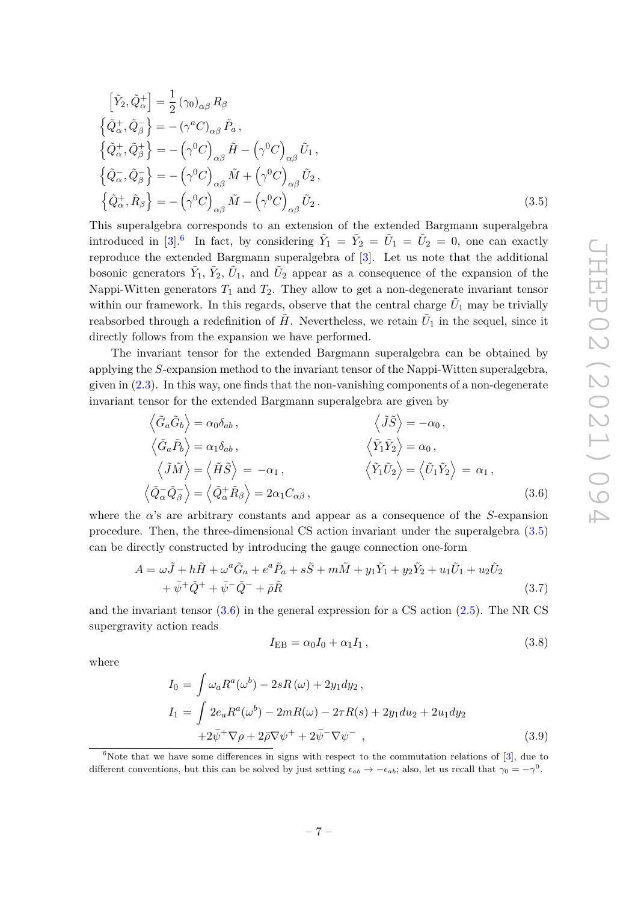$$
\begin{aligned}\n\left[\tilde{Y}_2, \tilde{Q}^+_{\alpha}\right] &= \frac{1}{2} \left(\gamma_0\right)_{\alpha\beta} R_{\beta} \\
\left\{\tilde{Q}^+_{\alpha}, \tilde{Q}^-_{\beta}\right\} &= -\left(\gamma^a C\right)_{\alpha\beta} \tilde{P}_a, \\
\left\{\tilde{Q}^+_{\alpha}, \tilde{Q}^+_{\beta}\right\} &= -\left(\gamma^0 C\right)_{\alpha\beta} \tilde{H} - \left(\gamma^0 C\right)_{\alpha\beta} \tilde{U}_1, \\
\left\{\tilde{Q}^-_{\alpha}, \tilde{Q}^-_{\beta}\right\} &= -\left(\gamma^0 C\right)_{\alpha\beta} \tilde{M} + \left(\gamma^0 C\right)_{\alpha\beta} \tilde{U}_2, \\
\left\{\tilde{Q}^+_{\alpha}, \tilde{R}_{\beta}\right\} &= -\left(\gamma^0 C\right)_{\alpha\beta} \tilde{M} - \left(\gamma^0 C\right)_{\alpha\beta} \tilde{U}_2.\n\end{aligned}
$$
\n(3.5)

This superalgebra corresponds to an extension of the extended Bargmann superalgebra introduced in [3].<sup>6</sup> In fact, by considering  $\tilde{Y}_1 = \tilde{Y}_2 = \tilde{U}_1 = \tilde{U}_2 = 0$ , one can exactly reproduce the extended Bargmann superalgebra of [3]. Let us note that the additional bosonic generators  $\tilde{Y}_1, \tilde{Y}_2, \tilde{U}_1$ , and  $\tilde{U}_2$  appear as a consequence of the expansion of the Nappi-Witten generators  $T_1$  and  $T_2$ . They allow to get a non-degenerate invariant tensor within our framework. In this regards, observe that the central charge  $\tilde{U}_1$  may be trivially reabsorbed through a redefinition of  $\tilde{H}$ . Nevertheless, we retain  $\tilde{U}_1$  in the sequel, since it directly follows from the expansion we have performed.

The invariant tensor for the extended Bargmann superalgebra can be obtained by applying the *S*-expansion method to the invariant tensor of the Nappi-Witten superalgebra, given in  $(2.3)$ . In this way, one finds that the non-vanishing components of a non-degenerate invariant tensor for the extended Bargmann superalgebra are given by

$$
\langle \tilde{G}_a \tilde{G}_b \rangle = \alpha_0 \delta_{ab}, \qquad \langle \tilde{J} \tilde{S} \rangle = -\alpha_0, \n\langle \tilde{G}_a \tilde{P}_b \rangle = \alpha_1 \delta_{ab}, \qquad \langle \tilde{Y}_1 \tilde{Y}_2 \rangle = \alpha_0, \n\langle \tilde{J} \tilde{M} \rangle = \langle \tilde{H} \tilde{S} \rangle = -\alpha_1, \qquad \langle \tilde{Y}_1 \tilde{U}_2 \rangle = \langle \tilde{U}_1 \tilde{Y}_2 \rangle = \alpha_1, \n\langle \tilde{Q}_\alpha \tilde{Q}_\beta \rangle = \langle \tilde{Q}_\alpha^+ \tilde{R}_\beta \rangle = 2\alpha_1 C_{\alpha\beta}, \qquad (3.6)
$$

where the  $\alpha$ 's are arbitrary constants and appear as a consequence of the *S*-expansion procedure. Then, the three-dimensional CS action invariant under the superalgebra (3.5) can be directly constructed by introducing the gauge connection one-form

$$
A = \omega \tilde{J} + h\tilde{H} + \omega^a \tilde{G}_a + e^a \tilde{P}_a + s\tilde{S} + m\tilde{M} + y_1 \tilde{Y}_1 + y_2 \tilde{Y}_2 + u_1 \tilde{U}_1 + u_2 \tilde{U}_2 + \bar{\psi}^+ \tilde{Q}^+ + \bar{\psi}^- \tilde{Q}^- + \bar{\rho} \tilde{R}
$$
\n(3.7)

and the invariant tensor  $(3.6)$  in the general expression for a CS action  $(2.5)$ . The NR CS supergravity action reads

$$
I_{\rm EB} = \alpha_0 I_0 + \alpha_1 I_1, \qquad (3.8)
$$

where

$$
I_0 = \int \omega_a R^a(\omega^b) - 2sR(\omega) + 2y_1 dy_2,
$$
  
\n
$$
I_1 = \int 2e_a R^a(\omega^b) - 2mR(\omega) - 2\tau R(s) + 2y_1 du_2 + 2u_1 dy_2
$$
  
\n
$$
+ 2\bar{\psi}^+ \nabla \rho + 2\bar{\rho} \nabla \psi^+ + 2\bar{\psi}^- \nabla \psi^-,
$$
\n(3.9)

 $6$ Note that we have some differences in signs with respect to the commutation relations of [3], due to different conventions, but this can be solved by just setting  $\epsilon_{ab} \to -\epsilon_{ab}$ ; also, let us recall that  $\gamma_0 = -\gamma^0$ .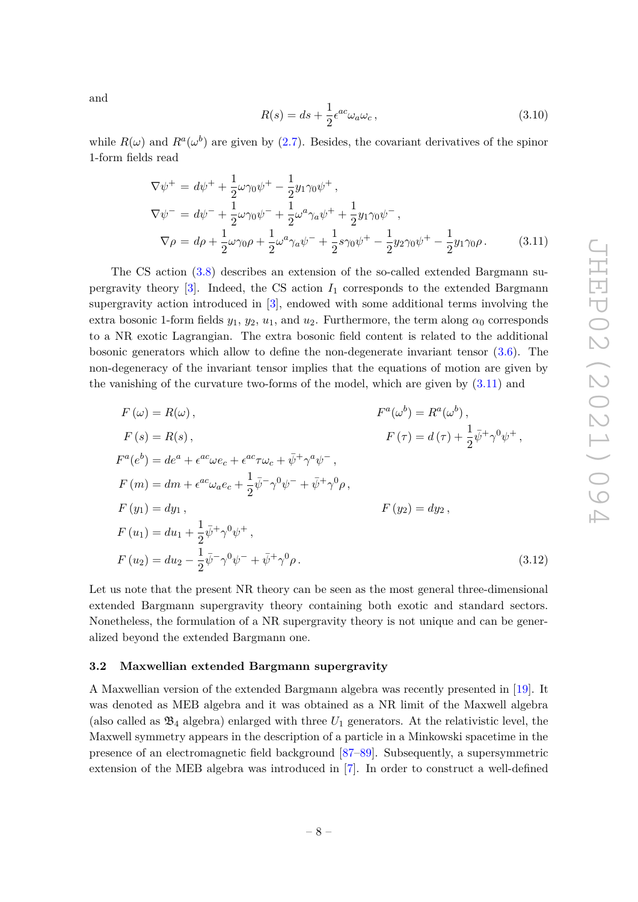and

$$
R(s) = ds + \frac{1}{2} \epsilon^{ac} \omega_a \omega_c, \qquad (3.10)
$$

while  $R(\omega)$  and  $R^a(\omega^b)$  are given by (2.7). Besides, the covariant derivatives of the spinor 1-form fields read

$$
\nabla \psi^{+} = d\psi^{+} + \frac{1}{2}\omega\gamma_{0}\psi^{+} - \frac{1}{2}y_{1}\gamma_{0}\psi^{+},
$$
  
\n
$$
\nabla \psi^{-} = d\psi^{-} + \frac{1}{2}\omega\gamma_{0}\psi^{-} + \frac{1}{2}\omega^{a}\gamma_{a}\psi^{+} + \frac{1}{2}y_{1}\gamma_{0}\psi^{-},
$$
  
\n
$$
\nabla \rho = d\rho + \frac{1}{2}\omega\gamma_{0}\rho + \frac{1}{2}\omega^{a}\gamma_{a}\psi^{-} + \frac{1}{2}s\gamma_{0}\psi^{+} - \frac{1}{2}y_{2}\gamma_{0}\psi^{+} - \frac{1}{2}y_{1}\gamma_{0}\rho.
$$
 (3.11)

The CS action (3.8) describes an extension of the so-called extended Bargmann supergravity theory  $\lceil 3 \rceil$ . Indeed, the CS action  $I_1$  corresponds to the extended Bargmann supergravity action introduced in [3], endowed with some additional terms involving the extra bosonic 1-form fields  $y_1, y_2, u_1$ , and  $u_2$ . Furthermore, the term along  $\alpha_0$  corresponds to a NR exotic Lagrangian. The extra bosonic field content is related to the additional bosonic generators which allow to define the non-degenerate invariant tensor (3.6). The non-degeneracy of the invariant tensor implies that the equations of motion are given by the vanishing of the curvature two-forms of the model, which are given by (3.11) and

$$
F(\omega) = R(\omega), \qquad F^{a}(\omega^{b}) = R^{a}(\omega^{b}),
$$
  
\n
$$
F(s) = R(s), \qquad F(\tau) = d(\tau) + \frac{1}{2}\bar{\psi}^{+}\gamma^{0}\psi^{+},
$$
  
\n
$$
F^{a}(e^{b}) = de^{a} + \epsilon^{ac}\omega e_{c} + \epsilon^{ac}\tau\omega_{c} + \bar{\psi}^{+}\gamma^{a}\psi^{-},
$$
  
\n
$$
F(m) = dm + \epsilon^{ac}\omega_{a}e_{c} + \frac{1}{2}\bar{\psi}^{-}\gamma^{0}\psi^{-} + \bar{\psi}^{+}\gamma^{0}\rho,
$$
  
\n
$$
F(y_{1}) = dy_{1}, \qquad F(y_{2}) = dy_{2},
$$
  
\n
$$
F(u_{1}) = du_{1} + \frac{1}{2}\bar{\psi}^{+}\gamma^{0}\psi^{+},
$$
  
\n
$$
F(u_{2}) = du_{2} - \frac{1}{2}\bar{\psi}^{-}\gamma^{0}\psi^{-} + \bar{\psi}^{+}\gamma^{0}\rho.
$$
  
\n(3.12)

Let us note that the present NR theory can be seen as the most general three-dimensional extended Bargmann supergravity theory containing both exotic and standard sectors. Nonetheless, the formulation of a NR supergravity theory is not unique and can be generalized beyond the extended Bargmann one.

#### **3.2 Maxwellian extended Bargmann supergravity**

A Maxwellian version of the extended Bargmann algebra was recently presented in [19]. It was denoted as MEB algebra and it was obtained as a NR limit of the Maxwell algebra (also called as  $\mathfrak{B}_4$  algebra) enlarged with three  $U_1$  generators. At the relativistic level, the Maxwell symmetry appears in the description of a particle in a Minkowski spacetime in the presence of an electromagnetic field background [87–89]. Subsequently, a supersymmetric extension of the MEB algebra was introduced in [7]. In order to construct a well-defined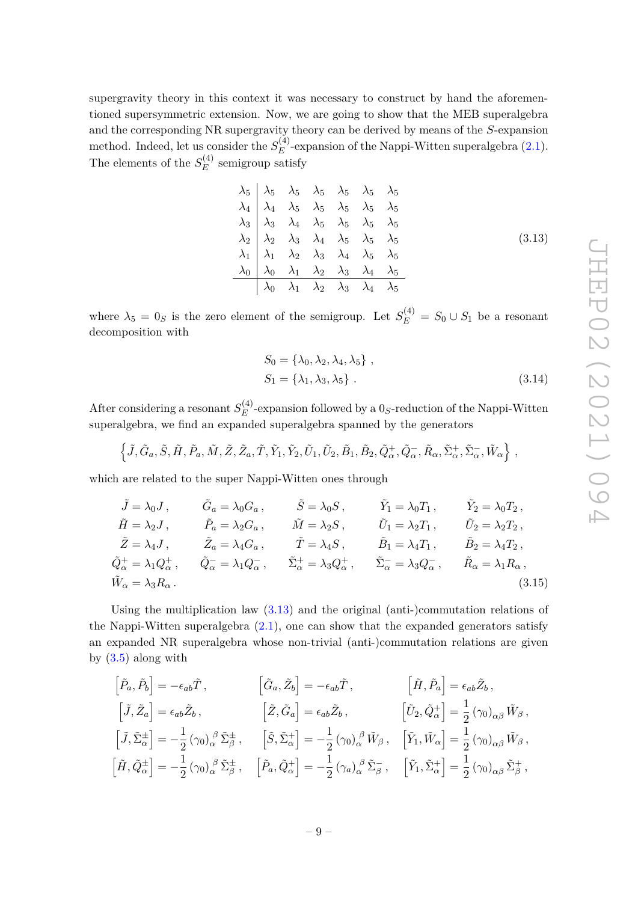supergravity theory in this context it was necessary to construct by hand the aforementioned supersymmetric extension. Now, we are going to show that the MEB superalgebra and the corresponding NR supergravity theory can be derived by means of the *S*-expansion method. Indeed, let us consider the  $S_F^{(4)}$  $E^{(4)}$ -expansion of the Nappi-Witten superalgebra  $(2.1)$ . The elements of the  $S_E^{(4)}$  $E(E)$  semigroup satisfy

$$
\begin{array}{c|cccccc}\n\lambda_5 & \lambda_5 & \lambda_5 & \lambda_5 & \lambda_5 & \lambda_5 & \lambda_5 \\
\lambda_4 & \lambda_4 & \lambda_5 & \lambda_5 & \lambda_5 & \lambda_5 & \lambda_5 \\
\lambda_3 & \lambda_3 & \lambda_4 & \lambda_5 & \lambda_5 & \lambda_5 & \lambda_5 \\
\lambda_2 & \lambda_2 & \lambda_3 & \lambda_4 & \lambda_5 & \lambda_5 & \lambda_5 \\
\lambda_1 & \lambda_1 & \lambda_2 & \lambda_3 & \lambda_4 & \lambda_5 & \lambda_5 \\
\lambda_0 & \lambda_0 & \lambda_1 & \lambda_2 & \lambda_3 & \lambda_4 & \lambda_5 \\
\hline\n\lambda_0 & \lambda_1 & \lambda_2 & \lambda_3 & \lambda_4 & \lambda_5\n\end{array}
$$
\n(3.13)

where  $\lambda_5 = 0_S$  is the zero element of the semigroup. Let  $S_E^{(4)} = S_0 \cup S_1$  be a resonant decomposition with

$$
S_0 = \{\lambda_0, \lambda_2, \lambda_4, \lambda_5\},
$$
  
\n
$$
S_1 = \{\lambda_1, \lambda_3, \lambda_5\}.
$$
\n(3.14)

After considering a resonant  $S_F^{(4)}$  $E^{(4)}$ -expansion followed by a  $0<sub>S</sub>$ -reduction of the Nappi-Witten superalgebra, we find an expanded superalgebra spanned by the generators

$$
\left\{\tilde{J},\tilde{G}_a,\tilde{S},\tilde{H},\tilde{P}_a,\tilde{M},\tilde{Z},\tilde{Z}_a,\tilde{T},\tilde{Y}_1,\tilde{Y}_2,\tilde{U}_1,\tilde{U}_2,\tilde{B}_1,\tilde{B}_2,\tilde{Q}^+_{\alpha},\tilde{Q}^-_{\alpha},\tilde{R}_{\alpha},\tilde{\Sigma}^+_{\alpha},\tilde{\Sigma}^-_{\alpha},\tilde{W}_{\alpha}\right\}\,,
$$

which are related to the super Nappi-Witten ones through

$$
\tilde{J} = \lambda_0 J, \qquad \tilde{G}_a = \lambda_0 G_a, \qquad \tilde{S} = \lambda_0 S, \qquad \tilde{Y}_1 = \lambda_0 T_1, \qquad \tilde{Y}_2 = \lambda_0 T_2,
$$
  
\n
$$
\tilde{H} = \lambda_2 J, \qquad \tilde{P}_a = \lambda_2 G_a, \qquad \tilde{M} = \lambda_2 S, \qquad \tilde{U}_1 = \lambda_2 T_1, \qquad \tilde{U}_2 = \lambda_2 T_2,
$$
  
\n
$$
\tilde{Z} = \lambda_4 J, \qquad \tilde{Z}_a = \lambda_4 G_a, \qquad \tilde{T} = \lambda_4 S, \qquad \tilde{B}_1 = \lambda_4 T_1, \qquad \tilde{B}_2 = \lambda_4 T_2,
$$
  
\n
$$
\tilde{Q}_\alpha^+ = \lambda_1 Q_\alpha^+, \qquad \tilde{Q}_\alpha^- = \lambda_1 Q_\alpha^-, \qquad \tilde{\Sigma}_\alpha^+ = \lambda_3 Q_\alpha^+, \qquad \tilde{\Sigma}_\alpha^- = \lambda_3 Q_\alpha^-, \qquad \tilde{R}_\alpha = \lambda_1 R_\alpha,
$$
  
\n
$$
\tilde{W}_\alpha = \lambda_3 R_\alpha.
$$
\n(3.15)

Using the multiplication law (3.13) and the original (anti-)commutation relations of the Nappi-Witten superalgebra  $(2.1)$ , one can show that the expanded generators satisfy an expanded NR superalgebra whose non-trivial (anti-)commutation relations are given by  $(3.5)$  along with

$$
\begin{aligned}\n\left[\tilde{P}_a, \tilde{P}_b\right] &= -\epsilon_{ab}\tilde{T}, &\left[\tilde{G}_a, \tilde{Z}_b\right] &= -\epsilon_{ab}\tilde{T}, &\left[\tilde{H}, \tilde{P}_a\right] &= \epsilon_{ab}\tilde{Z}_b, \\
\left[\tilde{J}, \tilde{Z}_a\right] &= \epsilon_{ab}\tilde{Z}_b, &\left[\tilde{Z}, \tilde{G}_a\right] &= \epsilon_{ab}\tilde{Z}_b, &\left[\tilde{U}_2, \tilde{Q}_\alpha^+\right] &= \frac{1}{2} \left(\gamma_0\right)_{\alpha\beta} \tilde{W}_\beta, \\
\left[\tilde{J}, \tilde{\Sigma}_\alpha^{\pm}\right] &= -\frac{1}{2} \left(\gamma_0\right)_{\alpha}^{\beta} \tilde{\Sigma}_{\beta}^{\pm}, &\left[\tilde{S}, \tilde{\Sigma}_\alpha^+\right] &= -\frac{1}{2} \left(\gamma_0\right)_{\alpha}^{\beta} \tilde{W}_\beta, &\left[\tilde{Y}_1, \tilde{W}_\alpha\right] &= \frac{1}{2} \left(\gamma_0\right)_{\alpha\beta} \tilde{W}_\beta, \\
\left[\tilde{H}, \tilde{Q}_\alpha^{\pm}\right] &= -\frac{1}{2} \left(\gamma_0\right)_{\alpha}^{\beta} \tilde{\Sigma}_{\beta}^{\pm}, &\left[\tilde{P}_a, \tilde{Q}_\alpha^+\right] &= -\frac{1}{2} \left(\gamma_a\right)_{\alpha}^{\beta} \tilde{\Sigma}_{\beta}^-, &\left[\tilde{Y}_1, \tilde{\Sigma}_\alpha^+\right] &= \frac{1}{2} \left(\gamma_0\right)_{\alpha\beta} \tilde{\Sigma}_{\beta}^+, \\
\end{aligned}
$$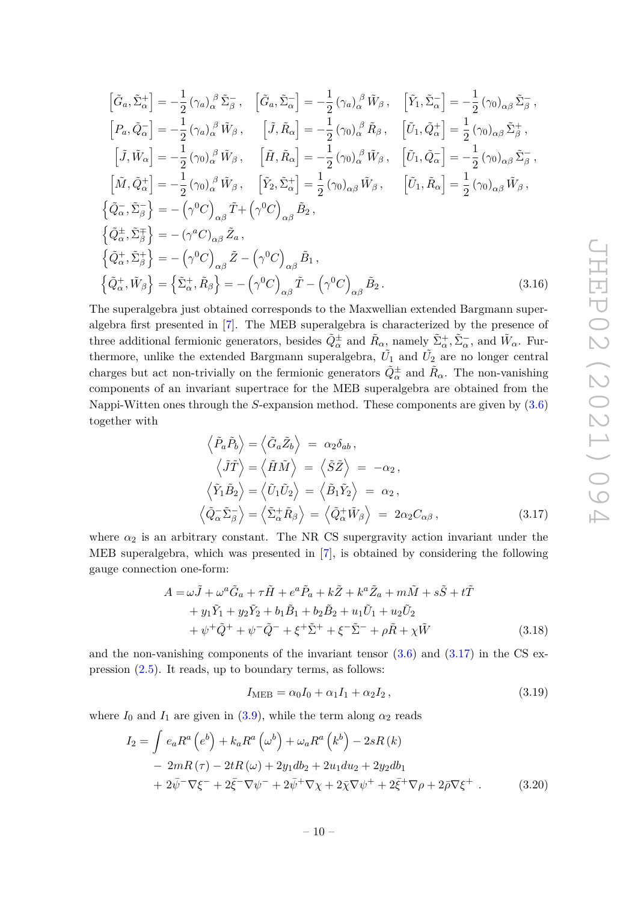$$
\begin{split}\n\left[\tilde{G}_{a},\tilde{\Sigma}_{\alpha}^{+}\right] &= -\frac{1}{2}\left(\gamma_{a}\right)_{\alpha}^{\beta}\tilde{\Sigma}_{\beta}^{-}, \quad \left[\tilde{G}_{a},\tilde{\Sigma}_{\alpha}^{-}\right] = -\frac{1}{2}\left(\gamma_{a}\right)_{\alpha}^{\beta}\tilde{W}_{\beta}, \quad \left[\tilde{Y}_{1},\tilde{\Sigma}_{\alpha}^{-}\right] = -\frac{1}{2}\left(\gamma_{0}\right)_{\alpha\beta}\tilde{\Sigma}_{\beta}^{-}, \\
\left[P_{a},\tilde{Q}_{\alpha}^{-}\right] &= -\frac{1}{2}\left(\gamma_{a}\right)_{\alpha}^{\beta}\tilde{W}_{\beta}, \quad \left[\tilde{J},\tilde{R}_{\alpha}\right] = -\frac{1}{2}\left(\gamma_{0}\right)_{\alpha}^{\beta}\tilde{R}_{\beta}, \quad \left[\tilde{U}_{1},\tilde{Q}_{\alpha}^{+}\right] = \frac{1}{2}\left(\gamma_{0}\right)_{\alpha\beta}\tilde{\Sigma}_{\beta}^{+}, \\
\left[\tilde{J},\tilde{W}_{\alpha}\right] &= -\frac{1}{2}\left(\gamma_{0}\right)_{\alpha}^{\beta}\tilde{W}_{\beta}, \quad \left[\tilde{H},\tilde{R}_{\alpha}\right] = -\frac{1}{2}\left(\gamma_{0}\right)_{\alpha}^{\beta}\tilde{W}_{\beta}, \quad \left[\tilde{U}_{1},\tilde{Q}_{\alpha}^{-}\right] = -\frac{1}{2}\left(\gamma_{0}\right)_{\alpha\beta}\tilde{\Sigma}_{\beta}^{-}, \\
\left[\tilde{M},\tilde{Q}_{\alpha}^{+}\right] &= -\frac{1}{2}\left(\gamma_{0}\right)_{\alpha}^{\beta}\tilde{W}_{\beta}, \quad \left[\tilde{Y}_{2},\tilde{\Sigma}_{\alpha}^{+}\right] = \frac{1}{2}\left(\gamma_{0}\right)_{\alpha\beta}\tilde{W}_{\beta}, \quad \left[\tilde{U}_{1},\tilde{R}_{\alpha}\right] = \frac{1}{2}\left(\gamma_{0}\right)_{\alpha\beta}\tilde{W}_{\beta}, \\
\left\{\tilde{Q}_{\alpha}^{-},\tilde{\Sigma}_{\beta}^{-}\right\} &= -\left(\gamma^{0}C\right)_{\alpha\beta}\tilde{Z}_{a}, \\
\left\{\tilde{Q}_{\alpha}
$$

The superalgebra just obtained corresponds to the Maxwellian extended Bargmann superalgebra first presented in [7]. The MEB superalgebra is characterized by the presence of three additional fermionic generators, besides  $\tilde{Q}^{\pm}_{\alpha}$  and  $\tilde{R}_{\alpha}$ , namely  $\tilde{\Sigma}_{\alpha}^{+}, \tilde{\Sigma}_{\alpha}^{-}$ , and  $\tilde{W}_{\alpha}$ . Furthermore, unlike the extended Bargmann superalgebra,  $\tilde{U_1}$  and  $\tilde{U_2}$  are no longer central charges but act non-trivially on the fermionic generators  $\tilde{Q}^{\pm}_{\alpha}$  and  $\tilde{R}_{\alpha}$ . The non-vanishing components of an invariant supertrace for the MEB superalgebra are obtained from the Nappi-Witten ones through the *S*-expansion method. These components are given by (3.6) together with

$$
\langle \tilde{P}_a \tilde{P}_b \rangle = \langle \tilde{G}_a \tilde{Z}_b \rangle = \alpha_2 \delta_{ab}, \n\langle \tilde{J}\tilde{T} \rangle = \langle \tilde{H}\tilde{M} \rangle = \langle \tilde{S}\tilde{Z} \rangle = -\alpha_2, \n\langle \tilde{Y}_1 \tilde{B}_2 \rangle = \langle \tilde{U}_1 \tilde{U}_2 \rangle = \langle \tilde{B}_1 \tilde{Y}_2 \rangle = \alpha_2, \n\langle \tilde{Q}_\alpha \tilde{\Sigma}_\beta^- \rangle = \langle \tilde{\Sigma}_\alpha^+ \tilde{R}_\beta \rangle = \langle \tilde{Q}_\alpha^+ \tilde{W}_\beta \rangle = 2\alpha_2 C_{\alpha\beta},
$$
\n(3.17)

where  $\alpha_2$  is an arbitrary constant. The NR CS supergravity action invariant under the MEB superalgebra, which was presented in [7], is obtained by considering the following gauge connection one-form:

$$
A = \omega \tilde{J} + \omega^a \tilde{G}_a + \tau \tilde{H} + e^a \tilde{P}_a + k \tilde{Z} + k^a \tilde{Z}_a + m \tilde{M} + s \tilde{S} + t \tilde{T} + y_1 \tilde{Y}_1 + y_2 \tilde{Y}_2 + b_1 \tilde{B}_1 + b_2 \tilde{B}_2 + u_1 \tilde{U}_1 + u_2 \tilde{U}_2 + \psi^+ \tilde{Q}^+ + \psi^- \tilde{Q}^- + \xi^+ \tilde{\Sigma}^+ + \xi^- \tilde{\Sigma}^- + \rho \tilde{R} + \chi \tilde{W}
$$
(3.18)

and the non-vanishing components of the invariant tensor  $(3.6)$  and  $(3.17)$  in the CS expression (2.5). It reads, up to boundary terms, as follows:

$$
I_{\text{MEB}} = \alpha_0 I_0 + \alpha_1 I_1 + \alpha_2 I_2, \qquad (3.19)
$$

where  $I_0$  and  $I_1$  are given in (3.9), while the term along  $\alpha_2$  reads

$$
I_2 = \int e_a R^a (e^b) + k_a R^a (\omega^b) + \omega_a R^a (k^b) - 2sR(k) - 2mR(\tau) - 2tR(\omega) + 2y_1 db_2 + 2u_1 du_2 + 2y_2 db_1 + 2\bar{\psi}^-\nabla\xi^- + 2\bar{\xi}^-\nabla\psi^- + 2\bar{\psi}^+\nabla\chi + 2\bar{\chi}\nabla\psi^+ + 2\bar{\xi}^+\nabla\rho + 2\bar{\rho}\nabla\xi^+ .
$$
 (3.20)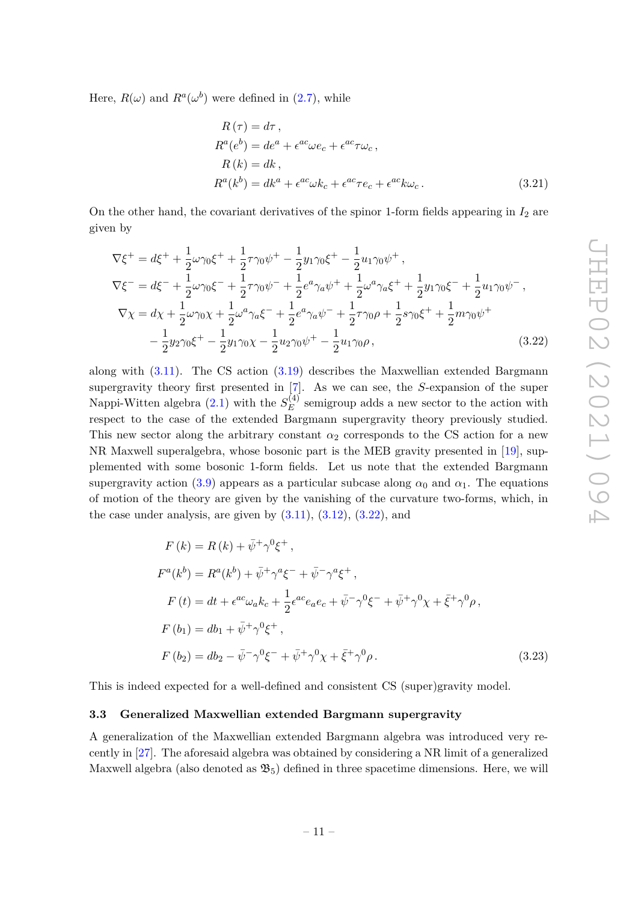Here,  $R(\omega)$  and  $R^a(\omega^b)$  were defined in (2.7), while

$$
R(\tau) = d\tau,
$$
  
\n
$$
R^{a}(e^{b}) = de^{a} + \epsilon^{ac}\omega e_{c} + \epsilon^{ac}\tau\omega_{c},
$$
  
\n
$$
R(k) = dk,
$$
  
\n
$$
R^{a}(k^{b}) = dk^{a} + \epsilon^{ac}\omega k_{c} + \epsilon^{ac}\tau e_{c} + \epsilon^{ac}k\omega_{c}.
$$
\n(3.21)

On the other hand, the covariant derivatives of the spinor 1-form fields appearing in  $I_2$  are given by

$$
\nabla \xi^{+} = d\xi^{+} + \frac{1}{2}\omega\gamma_{0}\xi^{+} + \frac{1}{2}\tau\gamma_{0}\psi^{+} - \frac{1}{2}y_{1}\gamma_{0}\xi^{+} - \frac{1}{2}u_{1}\gamma_{0}\psi^{+},
$$
\n
$$
\nabla \xi^{-} = d\xi^{-} + \frac{1}{2}\omega\gamma_{0}\xi^{-} + \frac{1}{2}\tau\gamma_{0}\psi^{-} + \frac{1}{2}e^{a}\gamma_{a}\psi^{+} + \frac{1}{2}\omega^{a}\gamma_{a}\xi^{+} + \frac{1}{2}y_{1}\gamma_{0}\xi^{-} + \frac{1}{2}u_{1}\gamma_{0}\psi^{-},
$$
\n
$$
\nabla \chi = d\chi + \frac{1}{2}\omega\gamma_{0}\chi + \frac{1}{2}\omega^{a}\gamma_{a}\xi^{-} + \frac{1}{2}e^{a}\gamma_{a}\psi^{-} + \frac{1}{2}\tau\gamma_{0}\rho + \frac{1}{2}s\gamma_{0}\xi^{+} + \frac{1}{2}m\gamma_{0}\psi^{+}
$$
\n
$$
- \frac{1}{2}y_{2}\gamma_{0}\xi^{+} - \frac{1}{2}y_{1}\gamma_{0}\chi - \frac{1}{2}u_{2}\gamma_{0}\psi^{+} - \frac{1}{2}u_{1}\gamma_{0}\rho,
$$
\n(3.22)

along with (3.11). The CS action (3.19) describes the Maxwellian extended Bargmann supergravity theory first presented in [7]. As we can see, the *S*-expansion of the super Nappi-Witten algebra  $(2.1)$  with the  $S_F^{(4)}$  $E$ <sup>(4)</sup> semigroup adds a new sector to the action with respect to the case of the extended Bargmann supergravity theory previously studied. This new sector along the arbitrary constant  $\alpha_2$  corresponds to the CS action for a new NR Maxwell superalgebra, whose bosonic part is the MEB gravity presented in [19], supplemented with some bosonic 1-form fields. Let us note that the extended Bargmann supergravity action (3.9) appears as a particular subcase along  $\alpha_0$  and  $\alpha_1$ . The equations of motion of the theory are given by the vanishing of the curvature two-forms, which, in the case under analysis, are given by  $(3.11)$ ,  $(3.12)$ ,  $(3.22)$ , and

$$
F(k) = R(k) + \bar{\psi}^+ \gamma^0 \xi^+, F^a(k^b) = R^a(k^b) + \bar{\psi}^+ \gamma^a \xi^- + \bar{\psi}^- \gamma^a \xi^+, F(t) = dt + \epsilon^{ac} \omega_a k_c + \frac{1}{2} \epsilon^{ac} e_a e_c + \bar{\psi}^- \gamma^0 \xi^- + \bar{\psi}^+ \gamma^0 \chi + \bar{\xi}^+ \gamma^0 \rho, F(b_1) = db_1 + \bar{\psi}^+ \gamma^0 \xi^+, F(b_2) = db_2 - \bar{\psi}^- \gamma^0 \xi^- + \bar{\psi}^+ \gamma^0 \chi + \bar{\xi}^+ \gamma^0 \rho.
$$
 (3.23)

This is indeed expected for a well-defined and consistent CS (super)gravity model.

#### **3.3 Generalized Maxwellian extended Bargmann supergravity**

A generalization of the Maxwellian extended Bargmann algebra was introduced very recently in [27]. The aforesaid algebra was obtained by considering a NR limit of a generalized Maxwell algebra (also denoted as  $\mathfrak{B}_5$ ) defined in three spacetime dimensions. Here, we will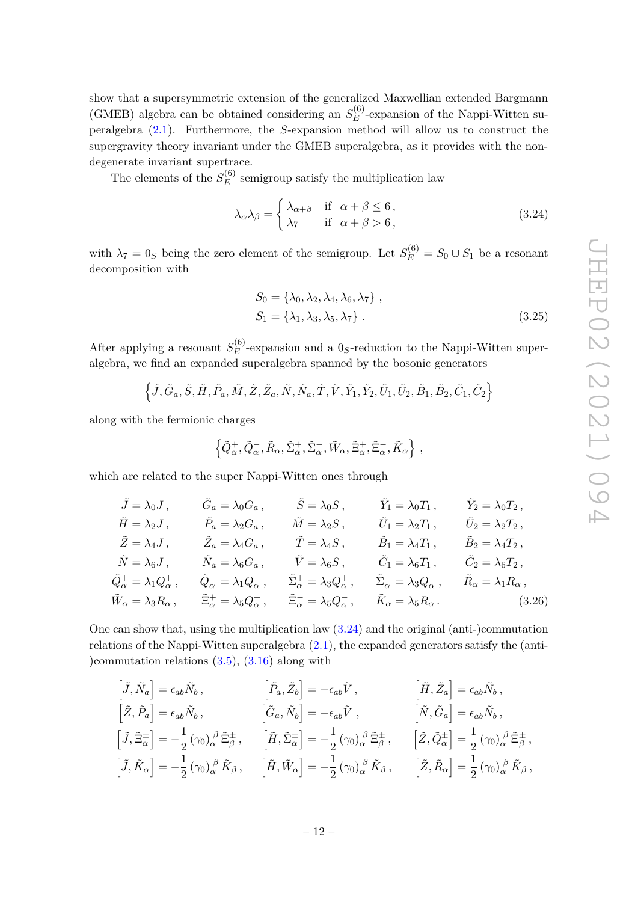show that a supersymmetric extension of the generalized Maxwellian extended Bargmann (GMEB) algebra can be obtained considering an  $S_E^{(6)}$  $E^{(0)}$ -expansion of the Nappi-Witten superalgebra (2.1). Furthermore, the *S*-expansion method will allow us to construct the supergravity theory invariant under the GMEB superalgebra, as it provides with the nondegenerate invariant supertrace.

The elements of the  $S_E^{(6)}$  $E_E^{(0)}$  semigroup satisfy the multiplication law

$$
\lambda_{\alpha}\lambda_{\beta} = \begin{cases} \lambda_{\alpha+\beta} & \text{if } \alpha + \beta \le 6, \\ \lambda_7 & \text{if } \alpha + \beta > 6, \end{cases}
$$
 (3.24)

with  $\lambda_7 = 0_S$  being the zero element of the semigroup. Let  $S_E^{(6)} = S_0 \cup S_1$  be a resonant decomposition with

$$
S_0 = \{\lambda_0, \lambda_2, \lambda_4, \lambda_6, \lambda_7\},
$$
  
\n
$$
S_1 = \{\lambda_1, \lambda_3, \lambda_5, \lambda_7\}.
$$
\n(3.25)

After applying a resonant  $S_E^{(6)}$  $E^{(0)}$ -expansion and a  $0<sub>S</sub>$ -reduction to the Nappi-Witten superalgebra, we find an expanded superalgebra spanned by the bosonic generators

 $\left\{ \tilde{J},\tilde{G}_a,\tilde{S},\tilde{H},\tilde{P}_a,\tilde{M},\tilde{Z},\tilde{Z}_a,\tilde{N},\tilde{N}_a,\tilde{T},\tilde{V},\tilde{Y}_1,\tilde{Y}_2,\tilde{U}_1,\tilde{U}_2,\tilde{B}_1,\tilde{B}_2,\tilde{C}_1,\tilde{C}_2 \right\}$ 

along with the fermionic charges

$$
\left\{\tilde{Q}^+_{\alpha},\tilde{Q}^-_{\alpha},\tilde{R}_{\alpha},\tilde{\Sigma}^+_{\alpha},\tilde{\Sigma}^-_{\alpha},\tilde{W}_{\alpha},\tilde{\Xi}^+_{\alpha},\tilde{\Xi}^-_{\alpha},\tilde{K}_{\alpha}\right\}\,,
$$

which are related to the super Nappi-Witten ones through

$$
\tilde{J} = \lambda_0 J, \qquad \tilde{G}_a = \lambda_0 G_a, \qquad \tilde{S} = \lambda_0 S, \qquad \tilde{Y}_1 = \lambda_0 T_1, \qquad \tilde{Y}_2 = \lambda_0 T_2,
$$
  
\n
$$
\tilde{H} = \lambda_2 J, \qquad \tilde{P}_a = \lambda_2 G_a, \qquad \tilde{M} = \lambda_2 S, \qquad \tilde{U}_1 = \lambda_2 T_1, \qquad \tilde{U}_2 = \lambda_2 T_2,
$$
  
\n
$$
\tilde{Z} = \lambda_4 J, \qquad \tilde{Z}_a = \lambda_4 G_a, \qquad \tilde{T} = \lambda_4 S, \qquad \tilde{B}_1 = \lambda_4 T_1, \qquad \tilde{B}_2 = \lambda_4 T_2,
$$
  
\n
$$
\tilde{N} = \lambda_6 J, \qquad \tilde{N}_a = \lambda_6 G_a, \qquad \tilde{V} = \lambda_6 S, \qquad \tilde{C}_1 = \lambda_6 T_1, \qquad \tilde{C}_2 = \lambda_6 T_2,
$$
  
\n
$$
\tilde{Q}_\alpha^+ = \lambda_1 Q_\alpha^+, \qquad \tilde{Q}_\alpha^- = \lambda_1 Q_\alpha^-, \qquad \tilde{\Sigma}_\alpha^+ = \lambda_3 Q_\alpha^+, \qquad \tilde{\Sigma}_\alpha^- = \lambda_3 Q_\alpha^-, \qquad \tilde{R}_\alpha = \lambda_1 R_\alpha,
$$
  
\n
$$
\tilde{W}_\alpha = \lambda_3 R_\alpha, \qquad \tilde{\Xi}_\alpha^+ = \lambda_5 Q_\alpha^+, \qquad \tilde{\Xi}_\alpha^- = \lambda_5 Q_\alpha^-, \qquad \tilde{K}_\alpha = \lambda_5 R_\alpha.
$$
  
\n(3.26)

One can show that, using the multiplication law (3.24) and the original (anti-)commutation relations of the Nappi-Witten superalgebra (2.1), the expanded generators satisfy the (anti- )commutation relations (3.5), (3.16) along with

$$
\begin{aligned}\n\left[\tilde{J}, \tilde{N}_a\right] &= \epsilon_{ab} \tilde{N}_b \,, & \left[\tilde{P}_a, \tilde{Z}_b\right] &= -\epsilon_{ab} \tilde{V} \,, & \left[\tilde{H}, \tilde{Z}_a\right] &= \epsilon_{ab} \tilde{N}_b \,, \\
\left[\tilde{Z}, \tilde{P}_a\right] &= \epsilon_{ab} \tilde{N}_b \,, & \left[\tilde{G}_a, \tilde{N}_b\right] &= -\epsilon_{ab} \tilde{V} \,, & \left[\tilde{N}, \tilde{G}_a\right] &= \epsilon_{ab} \tilde{N}_b \,, \\
\left[\tilde{J}, \tilde{\Xi}^{\pm}_\alpha\right] &= -\frac{1}{2} \left(\gamma_0\right)_{\alpha}^{\beta} \tilde{\Xi}^{\pm}_{\beta} \,, & \left[\tilde{H}, \tilde{\Sigma}^{\pm}_\alpha\right] &= -\frac{1}{2} \left(\gamma_0\right)_{\alpha}^{\beta} \tilde{\Xi}^{\pm}_{\beta} \,, & \left[\tilde{Z}, \tilde{Q}^{\pm}_\alpha\right] &= \frac{1}{2} \left(\gamma_0\right)_{\alpha}^{\beta} \tilde{\Xi}^{\pm}_{\beta} \,, \\
\left[\tilde{J}, \tilde{K}_\alpha\right] &= -\frac{1}{2} \left(\gamma_0\right)_{\alpha}^{\beta} \tilde{K}_{\beta} \,, & \left[\tilde{H}, \tilde{W}_\alpha\right] &= -\frac{1}{2} \left(\gamma_0\right)_{\alpha}^{\beta} \tilde{K}_{\beta} \,, & \left[\tilde{Z}, \tilde{R}_\alpha\right] &= \frac{1}{2} \left(\gamma_0\right)_{\alpha}^{\beta} \tilde{K}_{\beta} \,,\n\end{aligned}
$$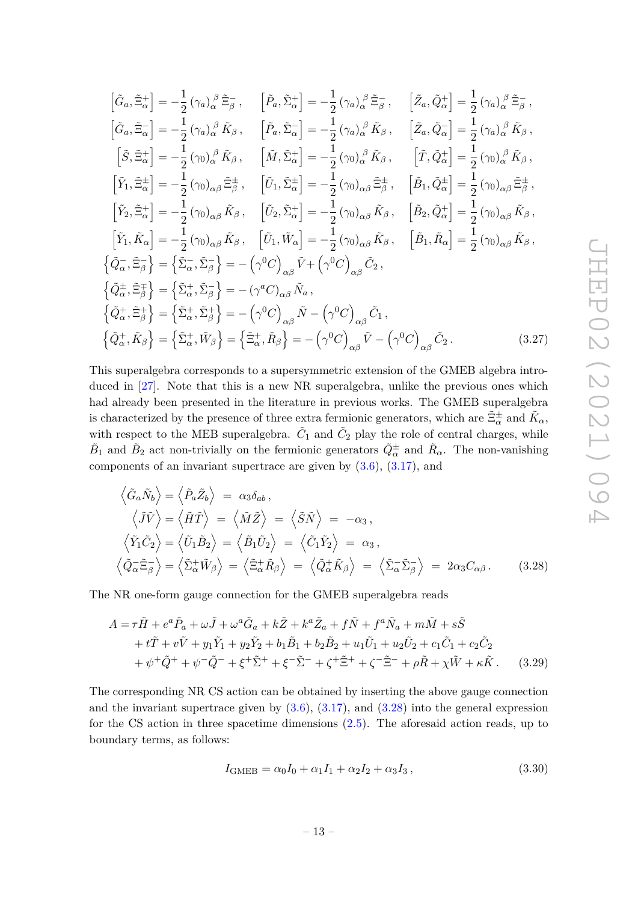$$
\begin{split}\n\left[\tilde{G}_{a},\tilde{\Xi}_{\alpha}^{+}\right] &= -\frac{1}{2}\left(\gamma_{a}\right)_{\alpha}^{\beta}\tilde{\Xi}_{\beta}^{-},\n\quad\n\left[\tilde{P}_{a},\tilde{\Sigma}_{\alpha}^{+}\right] = -\frac{1}{2}\left(\gamma_{a}\right)_{\alpha}^{\beta}\tilde{\Xi}_{\beta}^{-},\n\quad\n\left[\tilde{Z}_{a},\tilde{Q}_{\alpha}^{+}\right] = \frac{1}{2}\left(\gamma_{a}\right)_{\alpha}^{\beta}\tilde{\Xi}_{\beta}^{-}, \\
\left[\tilde{G}_{a},\tilde{\Xi}_{\alpha}^{-}\right] &= -\frac{1}{2}\left(\gamma_{a}\right)_{\alpha}^{\beta}\tilde{K}_{\beta},\n\quad\n\left[\tilde{P}_{a},\tilde{\Sigma}_{\alpha}^{-}\right] = -\frac{1}{2}\left(\gamma_{a}\right)_{\alpha}^{\beta}\tilde{K}_{\beta},\n\quad\n\left[\tilde{Z}_{a},\tilde{Q}_{\alpha}^{-}\right] = \frac{1}{2}\left(\gamma_{a}\right)_{\alpha}^{\beta}\tilde{K}_{\beta}, \\
\left[\tilde{S},\tilde{\Xi}_{\alpha}^{+}\right] &= -\frac{1}{2}\left(\gamma_{0}\right)_{\alpha}^{\beta}\tilde{K}_{\beta},\n\quad\n\left[\tilde{M},\tilde{\Sigma}_{\alpha}^{+}\right] = -\frac{1}{2}\left(\gamma_{0}\right)_{\alpha}^{\beta}\tilde{K}_{\beta},\n\quad\n\left[\tilde{T},\tilde{Q}_{\alpha}^{+}\right] = \frac{1}{2}\left(\gamma_{0}\right)_{\alpha}^{\beta}\tilde{K}_{\beta}, \\
\left[\tilde{Y}_{1},\tilde{\Xi}_{\alpha}^{+}\right] &= -\frac{1}{2}\left(\gamma_{0}\right)_{\alpha\beta}\tilde{K}_{\beta},\n\quad\n\left[\tilde{U}_{1},\tilde{\Sigma}_{\alpha}^{+}\right] = -\frac{1}{2}\left(\gamma_{0}\right)_{\alpha\beta}\tilde{K}_{\beta},\n\quad\n\left[\tilde{B}_{1},\tilde{Q}_{\alpha}^{+}\right] = \frac{1}{2}\left(\gamma_{0}\right)_{\alpha\beta}\tilde{K}_{\beta}, \\
\left[\tilde{Y}_{1},\tilde{K}_{\alpha}\right] &= -\frac
$$

This superalgebra corresponds to a supersymmetric extension of the GMEB algebra introduced in [27]. Note that this is a new NR superalgebra, unlike the previous ones which had already been presented in the literature in previous works. The GMEB superalgebra is characterized by the presence of three extra fermionic generators, which are  $\tilde{\Xi}^\pm_\alpha$  and  $\tilde{K}_\alpha$ , with respect to the MEB superalgebra.  $\tilde{C}_1$  and  $\tilde{C}_2$  play the role of central charges, while  $\tilde{B}_1$  and  $\tilde{B}_2$  act non-trivially on the fermionic generators  $\tilde{Q}^{\pm}_{\alpha}$  and  $\tilde{R}_{\alpha}$ . The non-vanishing components of an invariant supertrace are given by  $(3.6)$ ,  $(3.17)$ , and

$$
\langle \tilde{G}_a \tilde{N}_b \rangle = \langle \tilde{P}_a \tilde{Z}_b \rangle = \alpha_3 \delta_{ab}, \n\langle \tilde{J} \tilde{V} \rangle = \langle \tilde{H} \tilde{T} \rangle = \langle \tilde{M} \tilde{Z} \rangle = \langle \tilde{S} \tilde{N} \rangle = -\alpha_3, \n\langle \tilde{Y}_1 \tilde{C}_2 \rangle = \langle \tilde{U}_1 \tilde{B}_2 \rangle = \langle \tilde{B}_1 \tilde{U}_2 \rangle = \langle \tilde{C}_1 \tilde{Y}_2 \rangle = \alpha_3, \n\langle \tilde{Q}_\alpha \tilde{\Xi}_\beta^- \rangle = \langle \tilde{\Sigma}_\alpha^+ \tilde{W}_\beta \rangle = \langle \tilde{\Xi}_\alpha^+ \tilde{R}_\beta \rangle = \langle \tilde{Q}_\alpha^+ \tilde{K}_\beta \rangle = \langle \tilde{\Sigma}_\alpha^- \tilde{\Sigma}_\beta^- \rangle = 2\alpha_3 C_{\alpha\beta}.
$$
\n(3.28)

The NR one-form gauge connection for the GMEB superalgebra reads

$$
A = \tau \tilde{H} + e^{a} \tilde{P}_{a} + \omega \tilde{J} + \omega^{a} \tilde{G}_{a} + k \tilde{Z} + k^{a} \tilde{Z}_{a} + f \tilde{N} + f^{a} \tilde{N}_{a} + m \tilde{M} + s \tilde{S} + t \tilde{T} + v \tilde{V} + y_{1} \tilde{Y}_{1} + y_{2} \tilde{Y}_{2} + b_{1} \tilde{B}_{1} + b_{2} \tilde{B}_{2} + u_{1} \tilde{U}_{1} + u_{2} \tilde{U}_{2} + c_{1} \tilde{C}_{1} + c_{2} \tilde{C}_{2} + \psi^{+} \tilde{Q}^{+} + \psi^{-} \tilde{Q}^{-} + \xi^{+} \tilde{\Sigma}^{+} + \xi^{-} \tilde{\Sigma}^{-} + \zeta^{+} \tilde{\Xi}^{+} + \zeta^{-} \tilde{\Xi}^{-} + \rho \tilde{R} + \chi \tilde{W} + \kappa \tilde{K}.
$$
 (3.29)

The corresponding NR CS action can be obtained by inserting the above gauge connection and the invariant supertrace given by  $(3.6)$ ,  $(3.17)$ , and  $(3.28)$  into the general expression for the CS action in three spacetime dimensions (2.5). The aforesaid action reads, up to boundary terms, as follows:

$$
I_{\text{GMEB}} = \alpha_0 I_0 + \alpha_1 I_1 + \alpha_2 I_2 + \alpha_3 I_3, \qquad (3.30)
$$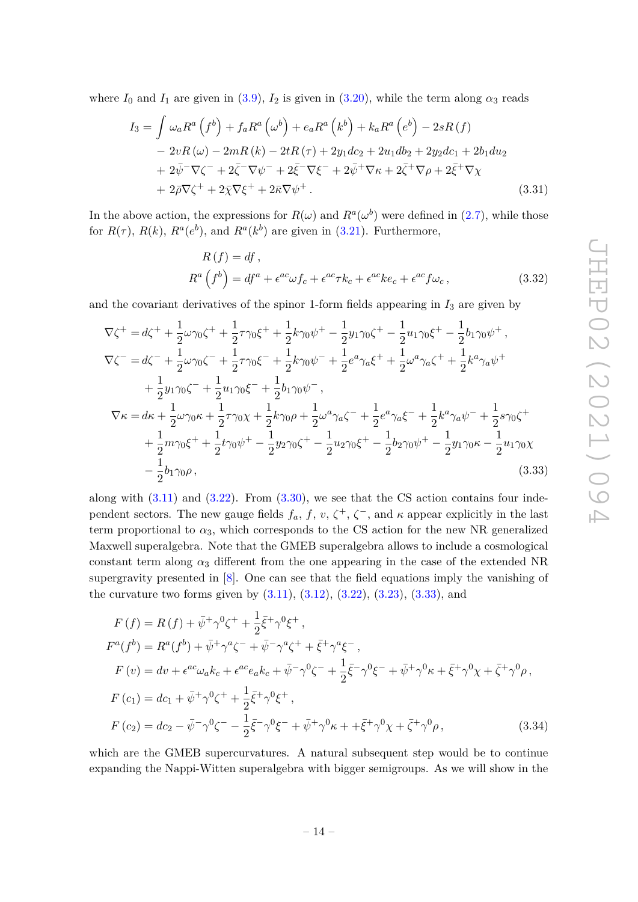where  $I_0$  and  $I_1$  are given in (3.9),  $I_2$  is given in (3.20), while the term along  $\alpha_3$  reads

$$
I_3 = \int \omega_a R^a \left(f^b\right) + f_a R^a \left(\omega^b\right) + e_a R^a \left(k^b\right) + k_a R^a \left(e^b\right) - 2sR \left(f\right)
$$
  
\n
$$
- 2vR \left(\omega\right) - 2mR \left(k\right) - 2tR \left(\tau\right) + 2y_1 dc_2 + 2u_1 db_2 + 2y_2 dc_1 + 2b_1 du_2
$$
  
\n
$$
+ 2\bar{\psi}^-\nabla\zeta^- + 2\bar{\zeta}^-\nabla\psi^- + 2\bar{\zeta}^-\nabla\xi^- + 2\bar{\psi}^+\nabla\kappa + 2\bar{\zeta}^+\nabla\rho + 2\bar{\xi}^+\nabla\chi
$$
  
\n
$$
+ 2\bar{\rho}\nabla\zeta^+ + 2\bar{\chi}\nabla\xi^+ + 2\bar{\kappa}\nabla\psi^+ .
$$
\n(3.31)

In the above action, the expressions for  $R(\omega)$  and  $R^a(\omega^b)$  were defined in (2.7), while those for  $R(\tau)$ ,  $R(k)$ ,  $R^a(e^b)$ , and  $R^a(k^b)$  are given in (3.21). Furthermore,

$$
R(f) = df,
$$
  
\n
$$
R^{a}(f^{b}) = df^{a} + \epsilon^{ac}\omega f_{c} + \epsilon^{ac}\tau k_{c} + \epsilon^{ac}k e_{c} + \epsilon^{ac}f\omega_{c},
$$
\n(3.32)

and the covariant derivatives of the spinor 1-form fields appearing in  $I_3$  are given by

$$
\nabla \zeta^{+} = d\zeta^{+} + \frac{1}{2}\omega\gamma_{0}\zeta^{+} + \frac{1}{2}\tau\gamma_{0}\xi^{+} + \frac{1}{2}k\gamma_{0}\psi^{+} - \frac{1}{2}y_{1}\gamma_{0}\zeta^{+} - \frac{1}{2}u_{1}\gamma_{0}\xi^{+} - \frac{1}{2}b_{1}\gamma_{0}\psi^{+},
$$
  
\n
$$
\nabla \zeta^{-} = d\zeta^{-} + \frac{1}{2}\omega\gamma_{0}\zeta^{-} + \frac{1}{2}\tau\gamma_{0}\xi^{-} + \frac{1}{2}k\gamma_{0}\psi^{-} + \frac{1}{2}e^{a}\gamma_{a}\xi^{+} + \frac{1}{2}\omega^{a}\gamma_{a}\zeta^{+} + \frac{1}{2}k^{a}\gamma_{a}\psi^{+}
$$
  
\n
$$
+ \frac{1}{2}y_{1}\gamma_{0}\zeta^{-} + \frac{1}{2}u_{1}\gamma_{0}\xi^{-} + \frac{1}{2}b_{1}\gamma_{0}\psi^{-},
$$
  
\n
$$
\nabla \kappa = d\kappa + \frac{1}{2}\omega\gamma_{0}\kappa + \frac{1}{2}\tau\gamma_{0}\chi + \frac{1}{2}k\gamma_{0}\rho + \frac{1}{2}\omega^{a}\gamma_{a}\zeta^{-} + \frac{1}{2}e^{a}\gamma_{a}\xi^{-} + \frac{1}{2}k^{a}\gamma_{a}\psi^{-} + \frac{1}{2}s\gamma_{0}\zeta^{+}
$$
  
\n
$$
+ \frac{1}{2}m\gamma_{0}\xi^{+} + \frac{1}{2}t\gamma_{0}\psi^{+} - \frac{1}{2}y_{2}\gamma_{0}\zeta^{+} - \frac{1}{2}u_{2}\gamma_{0}\xi^{+} - \frac{1}{2}b_{2}\gamma_{0}\psi^{+} - \frac{1}{2}y_{1}\gamma_{0}\kappa - \frac{1}{2}u_{1}\gamma_{0}\chi
$$
  
\n
$$
- \frac{1}{2}b_{1}\gamma_{0}\rho, \qquad (3.33)
$$

along with  $(3.11)$  and  $(3.22)$ . From  $(3.30)$ , we see that the CS action contains four independent sectors. The new gauge fields  $f_a, f, v, \zeta^+, \zeta^-,$  and  $\kappa$  appear explicitly in the last term proportional to  $\alpha_3$ , which corresponds to the CS action for the new NR generalized Maxwell superalgebra. Note that the GMEB superalgebra allows to include a cosmological constant term along  $\alpha_3$  different from the one appearing in the case of the extended NR supergravity presented in [8]. One can see that the field equations imply the vanishing of the curvature two forms given by  $(3.11), (3.12), (3.22), (3.23), (3.33),$  and

$$
F(f) = R(f) + \bar{\psi}^+ \gamma^0 \zeta^+ + \frac{1}{2} \bar{\xi}^+ \gamma^0 \xi^+, F^a(f^b) = R^a(f^b) + \bar{\psi}^+ \gamma^a \zeta^- + \bar{\psi}^- \gamma^a \zeta^+ + \bar{\xi}^+ \gamma^a \xi^-, F(v) = dv + \epsilon^{ac} \omega_a k_c + \epsilon^{ac} e_a k_c + \bar{\psi}^- \gamma^0 \zeta^- + \frac{1}{2} \bar{\xi}^- \gamma^0 \xi^- + \bar{\psi}^+ \gamma^0 \kappa + \bar{\xi}^+ \gamma^0 \chi + \bar{\zeta}^+ \gamma^0 \rho, F(c_1) = dc_1 + \bar{\psi}^+ \gamma^0 \zeta^+ + \frac{1}{2} \bar{\xi}^+ \gamma^0 \xi^+, F(c_2) = dc_2 - \bar{\psi}^- \gamma^0 \zeta^- - \frac{1}{2} \bar{\xi}^- \gamma^0 \xi^- + \bar{\psi}^+ \gamma^0 \kappa + \frac{1}{2} \bar{\xi}^+ \gamma^0 \chi + \bar{\zeta}^+ \gamma^0 \rho, \tag{3.34}
$$

which are the GMEB supercurvatures. A natural subsequent step would be to continue expanding the Nappi-Witten superalgebra with bigger semigroups. As we will show in the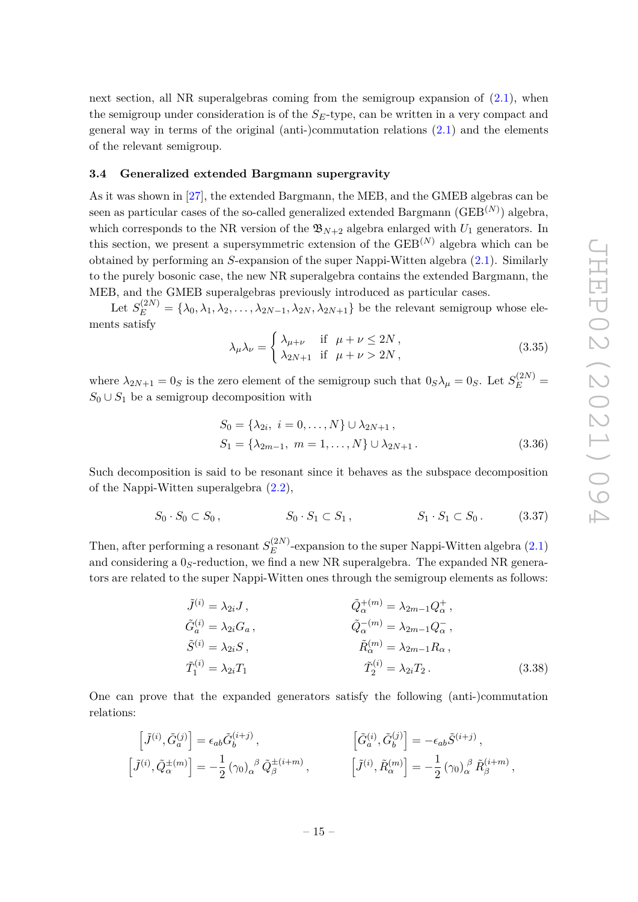next section, all NR superalgebras coming from the semigroup expansion of  $(2.1)$ , when the semigroup under consideration is of the  $S_E$ -type, can be written in a very compact and general way in terms of the original (anti-)commutation relations  $(2.1)$  and the elements of the relevant semigroup.

#### **3.4 Generalized extended Bargmann supergravity**

As it was shown in [27], the extended Bargmann, the MEB, and the GMEB algebras can be seen as particular cases of the so-called generalized extended Bargmann  $(\text{GEB}^{(N)})$  algebra, which corresponds to the NR version of the  $\mathfrak{B}_{N+2}$  algebra enlarged with  $U_1$  generators. In this section, we present a supersymmetric extension of the  $\text{GEB}^{(N)}$  algebra which can be obtained by performing an *S*-expansion of the super Nappi-Witten algebra (2.1). Similarly to the purely bosonic case, the new NR superalgebra contains the extended Bargmann, the MEB, and the GMEB superalgebras previously introduced as particular cases.

Let  $S_E^{(2N)} = \{\lambda_0, \lambda_1, \lambda_2, \ldots, \lambda_{2N-1}, \lambda_{2N}, \lambda_{2N+1}\}\$  be the relevant semigroup whose elements satisfy

$$
\lambda_{\mu}\lambda_{\nu} = \begin{cases} \lambda_{\mu+\nu} & \text{if } \mu+\nu \le 2N, \\ \lambda_{2N+1} & \text{if } \mu+\nu > 2N, \end{cases}
$$
 (3.35)

where  $\lambda_{2N+1} = 0_S$  is the zero element of the semigroup such that  $0_S \lambda_\mu = 0_S$ . Let  $S_E^{(2N)}$  $S_0 \cup S_1$  be a semigroup decomposition with

$$
S_0 = \{\lambda_{2i}, i = 0, ..., N\} \cup \lambda_{2N+1},
$$
  
\n
$$
S_1 = \{\lambda_{2m-1}, m = 1, ..., N\} \cup \lambda_{2N+1}.
$$
\n(3.36)

Such decomposition is said to be resonant since it behaves as the subspace decomposition of the Nappi-Witten superalgebra (2.2),

$$
S_0 \cdot S_0 \subset S_0, \qquad S_0 \cdot S_1 \subset S_1, \qquad S_1 \cdot S_1 \subset S_0. \qquad (3.37)
$$

Then, after performing a resonant  $S_E^{(2N)}$  $E^{(2N)}$ -expansion to the super Nappi-Witten algebra  $(2.1)$ and considering a 0*S*-reduction, we find a new NR superalgebra. The expanded NR generators are related to the super Nappi-Witten ones through the semigroup elements as follows:

$$
\tilde{J}^{(i)} = \lambda_{2i} J, \qquad \qquad \tilde{Q}_{\alpha}^{+(m)} = \lambda_{2m-1} Q_{\alpha}^{+},
$$
\n
$$
\tilde{G}_{a}^{(i)} = \lambda_{2i} G_a, \qquad \qquad \tilde{Q}_{\alpha}^{-(m)} = \lambda_{2m-1} Q_{\alpha}^{-},
$$
\n
$$
\tilde{S}^{(i)} = \lambda_{2i} S, \qquad \qquad \tilde{R}_{\alpha}^{(m)} = \lambda_{2m-1} R_{\alpha},
$$
\n
$$
\tilde{T}_1^{(i)} = \lambda_{2i} T_1 \qquad \qquad \tilde{T}_2^{(i)} = \lambda_{2i} T_2.
$$
\n(3.38)

One can prove that the expanded generators satisfy the following (anti-)commutation relations:

$$
\begin{aligned}\n\left[\tilde{J}^{(i)}, \tilde{G}_a^{(j)}\right] &= \epsilon_{ab} \tilde{G}_b^{(i+j)}, \\
\left[\tilde{J}^{(i)}, \tilde{Q}_\alpha^{\pm(m)}\right] &= -\frac{1}{2} \left(\gamma_0\right)_{\alpha}{}^{\beta} \tilde{Q}_{\beta}^{\pm(i+m)}, \\
\left[\tilde{J}^{(i)}, \tilde{R}_{\alpha}^{(m)}\right] &= -\frac{1}{2} \left(\gamma_0\right)_{\alpha}{}^{\beta} \tilde{R}_{\beta}^{(i+m)},\n\end{aligned}
$$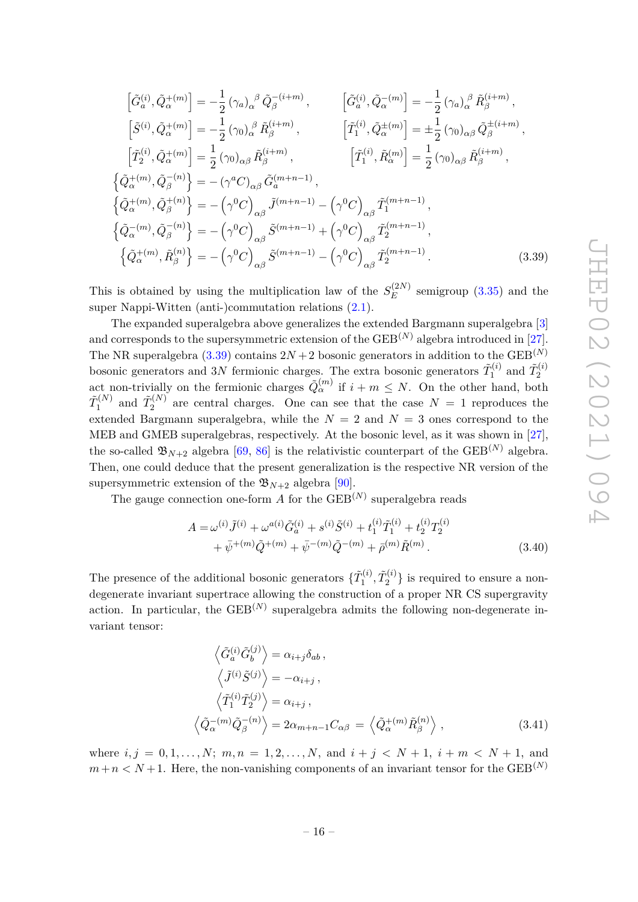$$
\begin{split}\n\left[\tilde{G}_{a}^{(i)},\tilde{Q}_{\alpha}^{+(m)}\right] &= -\frac{1}{2} \left(\gamma_{a}\right)_{\alpha}{}^{\beta} \tilde{Q}_{\beta}^{-(i+m)}, \qquad \left[\tilde{G}_{a}^{(i)},\tilde{Q}_{\alpha}^{-(m)}\right] = -\frac{1}{2} \left(\gamma_{a}\right)_{\alpha}{}^{\beta} \tilde{R}_{\beta}^{(i+m)}, \\
\left[\tilde{S}^{(i)},\tilde{Q}_{\alpha}^{+(m)}\right] &= -\frac{1}{2} \left(\gamma_{0}\right)_{\alpha}{}^{\beta} \tilde{R}_{\beta}^{(i+m)}, \qquad \left[\tilde{T}_{1}^{(i)},\tilde{Q}_{\alpha}^{+(m)}\right] = \pm \frac{1}{2} \left(\gamma_{0}\right)_{\alpha\beta} \tilde{Q}_{\beta}^{+(i+m)}, \\
\left[\tilde{T}_{2}^{(i)},\tilde{Q}_{\alpha}^{+(m)}\right] &= \frac{1}{2} \left(\gamma_{0}\right)_{\alpha\beta} \tilde{R}_{\beta}^{(i+m)}, \qquad \left[\tilde{T}_{1}^{(i)},\tilde{R}_{\alpha}^{(m)}\right] = \frac{1}{2} \left(\gamma_{0}\right)_{\alpha\beta} \tilde{R}_{\beta}^{(i+m)}, \\
\left\{\tilde{Q}_{\alpha}^{+(m)},\tilde{Q}_{\beta}^{-(n)}\right\} &= -\left(\gamma^{a}C\right)_{\alpha\beta} \tilde{G}_{a}^{(m+n-1)}, \\
\left\{\tilde{Q}_{\alpha}^{-(m)},\tilde{Q}_{\beta}^{-(n)}\right\} &= -\left(\gamma^{0}C\right)_{\alpha\beta} \tilde{S}^{(m+n-1)} + \left(\gamma^{0}C\right)_{\alpha\beta} \tilde{T}_{2}^{(m+n-1)}, \\
\left\{\tilde{Q}_{\alpha}^{+(m)},\tilde{R}_{\beta}^{(n)}\right\} &= -\left(\gamma^{0}C\right)_{\alpha\beta} \tilde{S}^{(m+n-1)} - \left(\gamma^{0}C\right)_{\alpha\beta} \tilde{T}_{2}^{(m+n-1)}.\n\end{split} \tag{3.39}
$$

This is obtained by using the multiplication law of the  $S_E^{(2N)}$  $E$ <sup>(21v)</sup> semigroup (3.35) and the super Nappi-Witten (anti-)commutation relations (2.1).

The expanded superalgebra above generalizes the extended Bargmann superalgebra [3] and corresponds to the supersymmetric extension of the  $GEB^{(N)}$  algebra introduced in [27]. The NR superalgebra  $(3.39)$  contains  $2N + 2$  bosonic generators in addition to the GEB<sup>(N)</sup> bosonic generators and 3*N* fermionic charges. The extra bosonic generators  $\tilde{T}_1^{(i)}$  and  $\tilde{T}_2^{(i)}$ bosome generators and 37y refinionic charges. The extra bosome generators  $I_1$  and  $I_2$  act non-trivially on the fermionic charges  $\tilde{Q}^{(m)}_{\alpha}$  if  $i + m \leq N$ . On the other hand, both  $\tilde T_1^{(N)}$  $\tilde{T}_1^{(N)}$  and  $\tilde{T}_2^{(N)}$  $2^{(N)}$  are central charges. One can see that the case  $N = 1$  reproduces the extended Bargmann superalgebra, while the  $N = 2$  and  $N = 3$  ones correspond to the MEB and GMEB superalgebras, respectively. At the bosonic level, as it was shown in [27], the so-called  $\mathfrak{B}_{N+2}$  algebra [69, 86] is the relativistic counterpart of the GEB<sup>(N)</sup> algebra. Then, one could deduce that the present generalization is the respective NR version of the supersymmetric extension of the  $\mathfrak{B}_{N+2}$  algebra [90].

The gauge connection one-form  $A$  for the  $\text{GEB}^{(N)}$  superalgebra reads

$$
A = \omega^{(i)} \tilde{J}^{(i)} + \omega^{a(i)} \tilde{G}_a^{(i)} + s^{(i)} \tilde{S}^{(i)} + t_1^{(i)} \tilde{T}_1^{(i)} + t_2^{(i)} T_2^{(i)}
$$
  
+  $\bar{\psi}^{+(m)} \tilde{Q}^{+(m)} + \bar{\psi}^{-(m)} \tilde{Q}^{-(m)} + \bar{\rho}^{(m)} \tilde{R}^{(m)}$ . (3.40)

The presence of the additional bosonic generators  $\{ \tilde{T}_1^{(i)} \}$  $\tilde{T}_1^{(i)}, \tilde{T}_2^{(i)}$  $\binom{1}{2}$  is required to ensure a nondegenerate invariant supertrace allowing the construction of a proper NR CS supergravity action. In particular, the  $\text{GEB}^{(N)}$  superalgebra admits the following non-degenerate invariant tensor:

$$
\left\langle \tilde{G}_a^{(i)} \tilde{G}_b^{(j)} \right\rangle = \alpha_{i+j} \delta_{ab} ,
$$
  
\n
$$
\left\langle \tilde{J}^{(i)} \tilde{S}^{(j)} \right\rangle = -\alpha_{i+j} ,
$$
  
\n
$$
\left\langle \tilde{T}_1^{(i)} \tilde{T}_2^{(j)} \right\rangle = \alpha_{i+j} ,
$$
  
\n
$$
\left\langle \tilde{Q}_\alpha^{-(m)} \tilde{Q}_\beta^{-(n)} \right\rangle = 2\alpha_{m+n-1} C_{\alpha\beta} = \left\langle \tilde{Q}_\alpha^{+(m)} \tilde{R}_\beta^{(n)} \right\rangle ,
$$
\n(3.41)

where  $i, j = 0, 1, \ldots, N$ ;  $m, n = 1, 2, \ldots, N$ , and  $i + j \lt N + 1$ ,  $i + m \lt N + 1$ , and  $m+n < N+1$ . Here, the non-vanishing components of an invariant tensor for the GEB<sup>(N)</sup>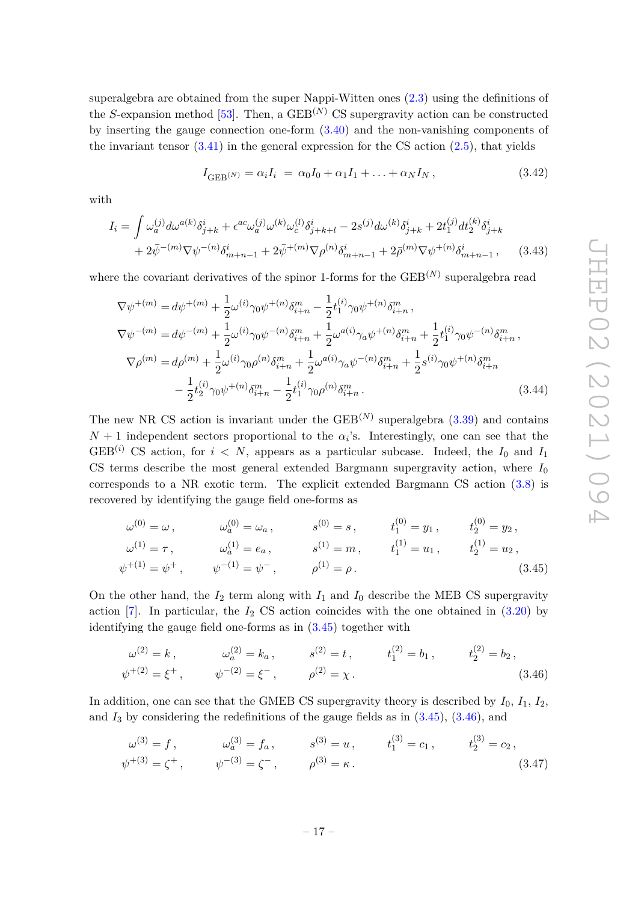superalgebra are obtained from the super Nappi-Witten ones (2.3) using the definitions of the *S*-expansion method [53]. Then, a GEB<sup>(N)</sup> CS supergravity action can be constructed by inserting the gauge connection one-form (3.40) and the non-vanishing components of the invariant tensor  $(3.41)$  in the general expression for the CS action  $(2.5)$ , that yields

$$
I_{\text{GEB}}(N)} = \alpha_i I_i = \alpha_0 I_0 + \alpha_1 I_1 + \ldots + \alpha_N I_N, \qquad (3.42)
$$

with

$$
I_{i} = \int \omega_{a}^{(j)} d\omega^{a(k)} \delta_{j+k}^{i} + \epsilon^{ac} \omega_{a}^{(j)} \omega^{(k)} \omega_{c}^{(l)} \delta_{j+k+l}^{i} - 2s^{(j)} d\omega^{(k)} \delta_{j+k}^{i} + 2t_{1}^{(j)} dt_{2}^{(k)} \delta_{j+k}^{i} + 2\bar{\psi}^{-(m)} \nabla \psi^{-(n)} \delta_{m+n-1}^{i} + 2\bar{\psi}^{+(m)} \nabla \rho^{(n)} \delta_{m+n-1}^{i} + 2\bar{\rho}^{(m)} \nabla \psi^{+(n)} \delta_{m+n-1}^{i}, \qquad (3.43)
$$

where the covariant derivatives of the spinor 1-forms for the  $\text{GEB}^{(N)}$  superalgebra read

$$
\nabla \psi^{+(m)} = d\psi^{+(m)} + \frac{1}{2}\omega^{(i)}\gamma_0\psi^{+(n)}\delta_{i+n}^m - \frac{1}{2}t_1^{(i)}\gamma_0\psi^{+(n)}\delta_{i+n}^m,
$$
  
\n
$$
\nabla \psi^{-(m)} = d\psi^{-(m)} + \frac{1}{2}\omega^{(i)}\gamma_0\psi^{-(n)}\delta_{i+n}^m + \frac{1}{2}\omega^{a(i)}\gamma_a\psi^{+(n)}\delta_{i+n}^m + \frac{1}{2}t_1^{(i)}\gamma_0\psi^{-(n)}\delta_{i+n}^m,
$$
  
\n
$$
\nabla \rho^{(m)} = d\rho^{(m)} + \frac{1}{2}\omega^{(i)}\gamma_0\rho^{(n)}\delta_{i+n}^m + \frac{1}{2}\omega^{a(i)}\gamma_a\psi^{-(n)}\delta_{i+n}^m + \frac{1}{2}s^{(i)}\gamma_0\psi^{+(n)}\delta_{i+n}^m
$$
  
\n
$$
- \frac{1}{2}t_2^{(i)}\gamma_0\psi^{+(n)}\delta_{i+n}^m - \frac{1}{2}t_1^{(i)}\gamma_0\rho^{(n)}\delta_{i+n}^m.
$$
\n(3.44)

The new NR CS action is invariant under the  $\text{GEB}^{(N)}$  superalgebra  $(3.39)$  and contains  $N+1$  independent sectors proportional to the  $\alpha_i$ 's. Interestingly, one can see that the GEB<sup>(*i*)</sup> CS action, for  $i < N$ , appears as a particular subcase. Indeed, the  $I_0$  and  $I_1$ CS terms describe the most general extended Bargmann supergravity action, where  $I_0$ corresponds to a NR exotic term. The explicit extended Bargmann CS action (3.8) is recovered by identifying the gauge field one-forms as

$$
\omega^{(0)} = \omega, \qquad \omega_a^{(0)} = \omega_a, \qquad s^{(0)} = s, \qquad t_1^{(0)} = y_1, \qquad t_2^{(0)} = y_2, \n\omega^{(1)} = \tau, \qquad \omega_a^{(1)} = e_a, \qquad s^{(1)} = m, \qquad t_1^{(1)} = u_1, \qquad t_2^{(1)} = u_2, \n\psi^{+(1)} = \psi^+, \qquad \psi^{-(1)} = \psi^-, \qquad \rho^{(1)} = \rho.
$$
\n(3.45)

On the other hand, the  $I_2$  term along with  $I_1$  and  $I_0$  describe the MEB CS supergravity action  $[7]$ . In particular, the  $I_2$  CS action coincides with the one obtained in  $(3.20)$  by identifying the gauge field one-forms as in (3.45) together with

$$
\omega^{(2)} = k, \qquad \omega_a^{(2)} = k_a, \qquad s^{(2)} = t, \qquad t_1^{(2)} = b_1, \qquad t_2^{(2)} = b_2, \n\psi^{+(2)} = \xi^+, \qquad \psi^{-(2)} = \xi^-, \qquad \rho^{(2)} = \chi.
$$
\n(3.46)

In addition, one can see that the GMEB CS supergravity theory is described by *I*0*, I*1*, I*2, and  $I_3$  by considering the redefinitions of the gauge fields as in  $(3.45)$ ,  $(3.46)$ , and

$$
\omega^{(3)} = f, \qquad \omega_a^{(3)} = f_a, \qquad s^{(3)} = u, \qquad t_1^{(3)} = c_1, \qquad t_2^{(3)} = c_2, \n\psi^{+(3)} = \zeta^+, \qquad \psi^{-(3)} = \zeta^-, \qquad \rho^{(3)} = \kappa.
$$
\n(3.47)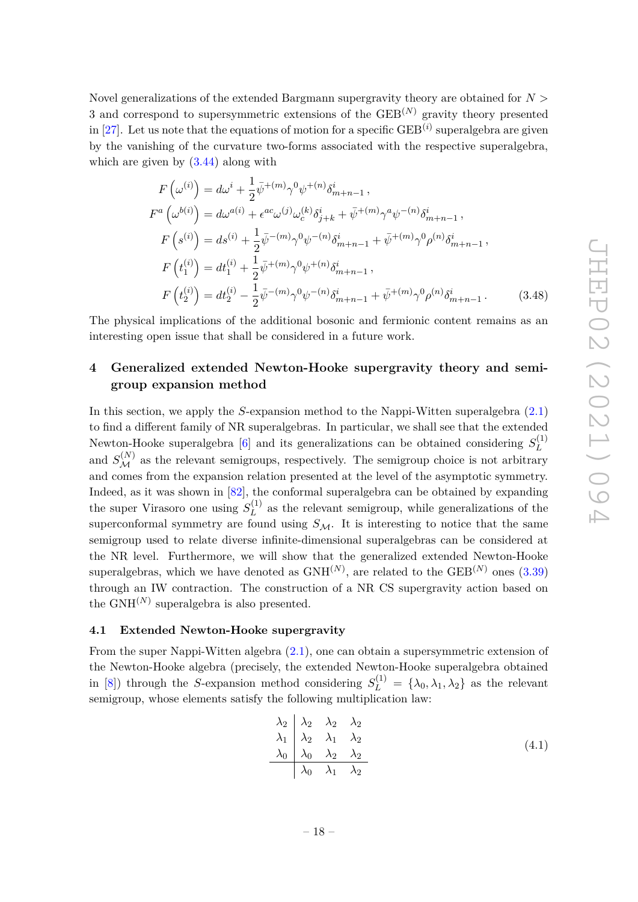Novel generalizations of the extended Bargmann supergravity theory are obtained for *N >* 3 and correspond to supersymmetric extensions of the GEB(*N*) gravity theory presented in  $[27]$ . Let us note that the equations of motion for a specific  $\text{GEB}^{(i)}$  superalgebra are given by the vanishing of the curvature two-forms associated with the respective superalgebra, which are given by  $(3.44)$  along with

$$
F\left(\omega^{(i)}\right) = d\omega^{i} + \frac{1}{2}\bar{\psi}^{+(m)}\gamma^{0}\psi^{+(n)}\delta_{m+n-1}^{i},
$$
  
\n
$$
F^{a}\left(\omega^{b(i)}\right) = d\omega^{a(i)} + \epsilon^{ac}\omega^{(j)}\omega_{c}^{(k)}\delta_{j+k}^{i} + \bar{\psi}^{+(m)}\gamma^{a}\psi^{-(n)}\delta_{m+n-1}^{i},
$$
  
\n
$$
F\left(s^{(i)}\right) = ds^{(i)} + \frac{1}{2}\bar{\psi}^{-(m)}\gamma^{0}\psi^{-(n)}\delta_{m+n-1}^{i} + \bar{\psi}^{+(m)}\gamma^{0}\rho^{(n)}\delta_{m+n-1}^{i},
$$
  
\n
$$
F\left(t_{1}^{(i)}\right) = dt_{1}^{(i)} + \frac{1}{2}\bar{\psi}^{+(m)}\gamma^{0}\psi^{+(n)}\delta_{m+n-1}^{i},
$$
  
\n
$$
F\left(t_{2}^{(i)}\right) = dt_{2}^{(i)} - \frac{1}{2}\bar{\psi}^{-(m)}\gamma^{0}\psi^{-(n)}\delta_{m+n-1}^{i} + \bar{\psi}^{+(m)}\gamma^{0}\rho^{(n)}\delta_{m+n-1}^{i}.
$$
\n(3.48)

The physical implications of the additional bosonic and fermionic content remains as an interesting open issue that shall be considered in a future work.

# **4 Generalized extended Newton-Hooke supergravity theory and semigroup expansion method**

In this section, we apply the *S*-expansion method to the Nappi-Witten superalgebra (2.1) to find a different family of NR superalgebras. In particular, we shall see that the extended Newton-Hooke superalgebra [6] and its generalizations can be obtained considering  $S_L^{(1)}$ *L* and  $S_{\mathcal{M}}^{(N)}$  as the relevant semigroups, respectively. The semigroup choice is not arbitrary and comes from the expansion relation presented at the level of the asymptotic symmetry. Indeed, as it was shown in [82], the conformal superalgebra can be obtained by expanding the super Virasoro one using  $S_L^{(1)}$  $L^{(1)}$  as the relevant semigroup, while generalizations of the superconformal symmetry are found using  $S_M$ . It is interesting to notice that the same semigroup used to relate diverse infinite-dimensional superalgebras can be considered at the NR level. Furthermore, we will show that the generalized extended Newton-Hooke superalgebras, which we have denoted as  $GNH^{(N)}$ , are related to the  $GEB^{(N)}$  ones  $(3.39)$ through an IW contraction. The construction of a NR CS supergravity action based on the  $\text{GNH}^{(N)}$  superalgebra is also presented.

#### **4.1 Extended Newton-Hooke supergravity**

From the super Nappi-Witten algebra (2.1), one can obtain a supersymmetric extension of the Newton-Hooke algebra (precisely, the extended Newton-Hooke superalgebra obtained in [8]) through the *S*-expansion method considering  $S_L^{(1)} = {\lambda_0, \lambda_1, \lambda_2}$  as the relevant semigroup, whose elements satisfy the following multiplication law:

$$
\begin{array}{c|cc}\n\lambda_2 & \lambda_2 & \lambda_2 & \lambda_2 \\
\lambda_1 & \lambda_2 & \lambda_1 & \lambda_2 \\
\lambda_0 & \lambda_0 & \lambda_2 & \lambda_2 \\
\hline\n\lambda_0 & \lambda_1 & \lambda_2\n\end{array}
$$
\n(4.1)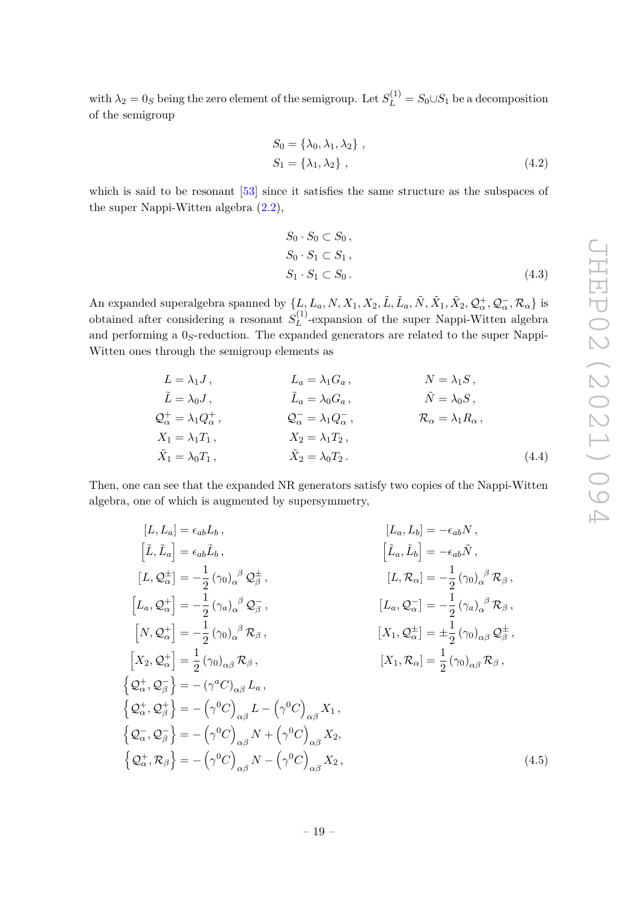with  $\lambda_2 = 0_S$  being the zero element of the semigroup. Let  $S_L^{(1)} = S_0 \cup S_1$  be a decomposition of the semigroup

$$
S_0 = \{\lambda_0, \lambda_1, \lambda_2\},
$$
  
\n
$$
S_1 = \{\lambda_1, \lambda_2\},
$$
\n
$$
(4.2)
$$

which is said to be resonant [53] since it satisfies the same structure as the subspaces of the super Nappi-Witten algebra  $(2.2)$ ,

$$
S_0 \cdot S_0 \subset S_0,
$$
  
\n
$$
S_0 \cdot S_1 \subset S_1,
$$
  
\n
$$
S_1 \cdot S_1 \subset S_0.
$$
\n(4.3)

An expanded superalgebra spanned by  $\{L, L_a, N, X_1, X_2, \tilde{L}, \tilde{L}_a, \tilde{N}, \tilde{X}_1, \tilde{X}_2, \mathcal{Q}_\alpha^+, \mathcal{Q}_\alpha^-, \mathcal{R}_\alpha\}$  is obtained after considering a resonant  $S_L^{(1)}$  $L^{(1)}$ -expansion of the super Nappi-Witten algebra and performing a 0*S*-reduction. The expanded generators are related to the super Nappi-Witten ones through the semigroup elements as

$$
L = \lambda_1 J, \qquad L_a = \lambda_1 G_a, \qquad N = \lambda_1 S,
$$
  
\n
$$
\tilde{L} = \lambda_0 J, \qquad \tilde{L}_a = \lambda_0 G_a, \qquad \tilde{N} = \lambda_0 S,
$$
  
\n
$$
Q_{\alpha}^+ = \lambda_1 Q_{\alpha}^+, \qquad Q_{\alpha}^- = \lambda_1 Q_{\alpha}^-, \qquad \mathcal{R}_{\alpha} = \lambda_1 R_{\alpha},
$$
  
\n
$$
X_1 = \lambda_1 T_1, \qquad X_2 = \lambda_1 T_2,
$$
  
\n
$$
\tilde{X}_1 = \lambda_0 T_1, \qquad \tilde{X}_2 = \lambda_0 T_2.
$$
  
\n(4.4)

Then, one can see that the expanded NR generators satisfy two copies of the Nappi-Witten algebra, one of which is augmented by supersymmetry,

$$
[L, L_a] = \epsilon_{ab} L_b, \qquad [L_a, L_b] = -\epsilon_{ab} N, \n[\tilde{L}, \tilde{L}_a] = \epsilon_{ab} \tilde{L}_b, \qquad [\tilde{L}_a, \tilde{L}_b] = -\epsilon_{ab} N, \n[L, Q_{\alpha}^{\pm}] = -\frac{1}{2} (\gamma_0)_{\alpha}^{\beta} Q_{\beta}^{\pm}, \qquad [L, \mathcal{R}_{\alpha}] = -\frac{1}{2} (\gamma_0)_{\alpha}^{\beta} \mathcal{R}_{\beta}, \n[L_a, Q_{\alpha}^{\pm}] = -\frac{1}{2} (\gamma_a)_{\alpha}^{\beta} Q_{\beta}^{\mp}, \qquad [L_a, Q_{\alpha}^-] = -\frac{1}{2} (\gamma_a)_{\alpha}^{\beta} \mathcal{R}_{\beta}, \n[N, Q_{\alpha}^{\pm}] = -\frac{1}{2} (\gamma_0)_{\alpha}^{\beta} \mathcal{R}_{\beta}, \qquad [X_1, Q_{\alpha}^{\pm}] = \pm \frac{1}{2} (\gamma_0)_{\alpha\beta} Q_{\beta}^{\pm}, \n[X_2, Q_{\alpha}^{\pm}] = \frac{1}{2} (\gamma_0)_{\alpha\beta} \mathcal{R}_{\beta}, \qquad [X_1, \mathcal{R}_{\alpha}] = \frac{1}{2} (\gamma_0)_{\alpha\beta} \mathcal{R}_{\beta}, \n\{\mathcal{Q}_{\alpha}^{\pm}, \mathcal{Q}_{\beta}^{\pm}\} = -(\gamma^a C)_{\alpha\beta} L_a, \n\{\mathcal{Q}_{\alpha}^{\pm}, \mathcal{Q}_{\beta}^{\pm}\} = -(\gamma^0 C)_{\alpha\beta} N + (\gamma^0 C)_{\alpha\beta} X_1, \n\{\mathcal{Q}_{\alpha}^{\pm}, \mathcal{Q}_{\beta}^{\pm}\} = -(\gamma^0 C)_{\alpha\beta} N + (\gamma^0 C)_{\alpha\beta} X_2, \n\{\mathcal{Q}_{\alpha}^{\pm}, \mathcal{R}_{\beta}\} = -(\gamma^0 C)_{\alpha\beta} N - (\gamma^0 C)_{\alpha\beta} X_2, \qquad (4.5)
$$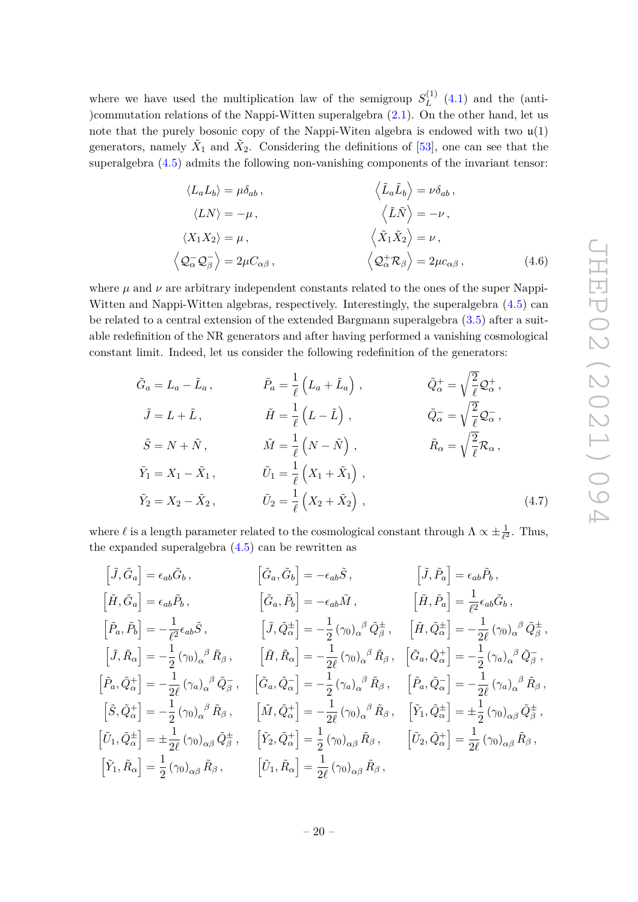where we have used the multiplication law of the semigroup  $S_L^{(1)}$  $L^{(1)}$  (4.1) and the (anti-)commutation relations of the Nappi-Witten superalgebra (2.1). On the other hand, let us note that the purely bosonic copy of the Nappi-Witen algebra is endowed with two  $\mathfrak{u}(1)$ generators, namely  $\tilde{X}_1$  and  $\tilde{X}_2$ . Considering the definitions of [53], one can see that the superalgebra (4.5) admits the following non-vanishing components of the invariant tensor:

$$
\langle L_a L_b \rangle = \mu \delta_{ab} ,
$$
  
\n
$$
\langle L N \rangle = -\mu ,
$$
  
\n
$$
\langle X_1 X_2 \rangle = \mu ,
$$
  
\n
$$
\langle \tilde{\mathbf{\Sigma}} \tilde{\mathbf{\Lambda}} \rangle = \nu \delta_{ab} ,
$$
  
\n
$$
\langle \tilde{\mathbf{\Sigma}} \tilde{\mathbf{\Lambda}} \rangle = -\nu ,
$$
  
\n
$$
\langle \tilde{\mathbf{\Sigma}} \tilde{\mathbf{\Lambda}} \rangle = -\nu ,
$$
  
\n
$$
\langle \tilde{\mathbf{\Sigma}} \tilde{\mathbf{\Lambda}} \rangle = \nu ,
$$
  
\n
$$
\langle \tilde{\mathbf{\Sigma}} \tilde{\mathbf{\Lambda}} \tilde{\mathbf{\Lambda}} \rangle = \nu ,
$$
  
\n
$$
\langle \mathbf{\Sigma}_{\alpha} \mathbf{\Sigma}_{\beta} \rangle = 2\mu C_{\alpha \beta} ,
$$
  
\n(4.6)

where  $\mu$  and  $\nu$  are arbitrary independent constants related to the ones of the super Nappi-Witten and Nappi-Witten algebras, respectively. Interestingly, the superalgebra (4.5) can be related to a central extension of the extended Bargmann superalgebra (3.5) after a suitable redefinition of the NR generators and after having performed a vanishing cosmological constant limit. Indeed, let us consider the following redefinition of the generators:

$$
\tilde{G}_a = L_a - \tilde{L}_a, \qquad \tilde{P}_a = \frac{1}{\ell} \left( L_a + \tilde{L}_a \right), \qquad \tilde{Q}_\alpha^+ = \sqrt{\frac{2}{\ell}} \mathcal{Q}_\alpha^+, \n\tilde{J} = L + \tilde{L}, \qquad \tilde{H} = \frac{1}{\ell} \left( L - \tilde{L} \right), \qquad \tilde{Q}_\alpha^- = \sqrt{\frac{2}{\ell}} \mathcal{Q}_\alpha^-, \n\tilde{S} = N + \tilde{N}, \qquad \tilde{M} = \frac{1}{\ell} \left( N - \tilde{N} \right), \qquad \tilde{R}_\alpha = \sqrt{\frac{2}{\ell}} \mathcal{R}_\alpha, \n\tilde{Y}_1 = X_1 - \tilde{X}_1, \qquad \tilde{U}_1 = \frac{1}{\ell} \left( X_1 + \tilde{X}_1 \right), \n\tilde{Y}_2 = X_2 - \tilde{X}_2, \qquad \tilde{U}_2 = \frac{1}{\ell} \left( X_2 + \tilde{X}_2 \right), \qquad (4.7)
$$

where  $\ell$  is a length parameter related to the cosmological constant through  $\Lambda \propto \pm \frac{1}{\ell^2}$ . Thus, the expanded superalgebra  $(4.5)$  can be rewritten as

$$
\begin{aligned}\n\left[\tilde{J},\tilde{G}_a\right] &= \epsilon_{ab}\tilde{G}_b, & \left[\tilde{G}_a,\tilde{G}_b\right] &= -\epsilon_{ab}\tilde{S}, & \left[\tilde{J},\tilde{P}_a\right] &= \epsilon_{ab}\tilde{P}_b, \\
\left[\tilde{H},\tilde{G}_a\right] &= \epsilon_{ab}\tilde{P}_b, & \left[\tilde{G}_a,\tilde{P}_b\right] &= -\epsilon_{ab}\tilde{M}, & \left[\tilde{H},\tilde{P}_a\right] &= \frac{1}{\ell^2}\epsilon_{ab}\tilde{G}_b, \\
\left[\tilde{P}_a,\tilde{P}_b\right] &= -\frac{1}{\ell^2}\epsilon_{ab}\tilde{S}, & \left[\tilde{J},\tilde{Q}^{\pm}_\alpha\right] &= -\frac{1}{2}\left(\gamma_0\right)_{\alpha}{}^{\beta}\tilde{Q}^{\pm}_{\beta}, & \left[\tilde{H},\tilde{R}_a\right] &= -\frac{1}{2\ell}\left(\gamma_0\right)_{\alpha}{}^{\beta}\tilde{Q}^{\pm}_{\beta}, \\
\left[\tilde{J},\tilde{R}_\alpha\right] &= -\frac{1}{2}\left(\gamma_0\right)_{\alpha}{}^{\beta}\tilde{R}_{\beta}, & \left[\tilde{H},\tilde{R}_\alpha\right] &= -\frac{1}{2\ell}\left(\gamma_0\right)_{\alpha}{}^{\beta}\tilde{R}_{\beta}, & \left[\tilde{G}_a,\tilde{Q}^{\pm}_\alpha\right] &= -\frac{1}{2}\left(\gamma_a\right)_{\alpha}{}^{\beta}\tilde{Q}^{\pm}_{\beta}, \\
\left[\tilde{P}_a,\tilde{Q}^{\pm}_\alpha\right] &= -\frac{1}{2\ell}\left(\gamma_a\right)_{\alpha}{}^{\beta}\tilde{Q}^{\pm}_{\beta}, & \left[\tilde{G}_a,\tilde{Q}^-_a\right] &= -\frac{1}{2}\left(\gamma_a\right)_{\alpha}{}^{\beta}\tilde{R}_{\beta}, & \left[\tilde{P}_a,\tilde{Q}^-_a\right] &= -\frac{1}{2\ell}\left(\gamma_a\right)_{\alpha}{}^{\beta}\tilde{R}_{\beta}, \\
\left[\tilde{S},\tilde{Q}^{\pm}_\alpha\right] &= -\frac{1}{2}\left(\gamma_0\right)_{\alpha
$$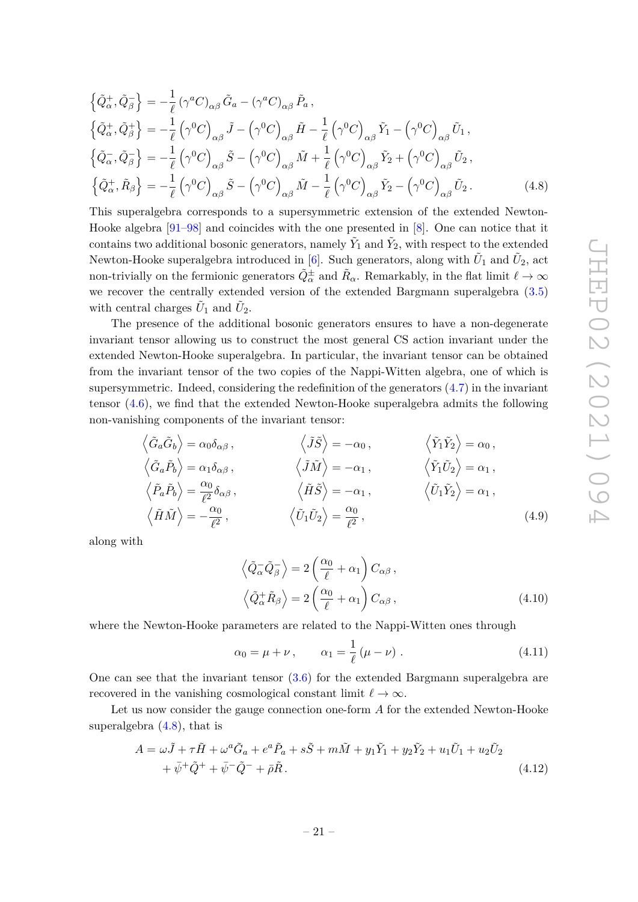$$
\{\tilde{Q}_{\alpha}^{+}, \tilde{Q}_{\beta}^{-}\} = -\frac{1}{\ell} \left(\gamma^{a} C\right)_{\alpha\beta} \tilde{G}_{a} - \left(\gamma^{a} C\right)_{\alpha\beta} \tilde{P}_{a},
$$
\n
$$
\{\tilde{Q}_{\alpha}^{+}, \tilde{Q}_{\beta}^{+}\} = -\frac{1}{\ell} \left(\gamma^{0} C\right)_{\alpha\beta} \tilde{J} - \left(\gamma^{0} C\right)_{\alpha\beta} \tilde{H} - \frac{1}{\ell} \left(\gamma^{0} C\right)_{\alpha\beta} \tilde{Y}_{1} - \left(\gamma^{0} C\right)_{\alpha\beta} \tilde{U}_{1},
$$
\n
$$
\{\tilde{Q}_{\alpha}^{-}, \tilde{Q}_{\beta}^{-}\} = -\frac{1}{\ell} \left(\gamma^{0} C\right)_{\alpha\beta} \tilde{S} - \left(\gamma^{0} C\right)_{\alpha\beta} \tilde{M} + \frac{1}{\ell} \left(\gamma^{0} C\right)_{\alpha\beta} \tilde{Y}_{2} + \left(\gamma^{0} C\right)_{\alpha\beta} \tilde{U}_{2},
$$
\n
$$
\{\tilde{Q}_{\alpha}^{+}, \tilde{R}_{\beta}\} = -\frac{1}{\ell} \left(\gamma^{0} C\right)_{\alpha\beta} \tilde{S} - \left(\gamma^{0} C\right)_{\alpha\beta} \tilde{M} - \frac{1}{\ell} \left(\gamma^{0} C\right)_{\alpha\beta} \tilde{Y}_{2} - \left(\gamma^{0} C\right)_{\alpha\beta} \tilde{U}_{2}.
$$
\n(4.8)

This superalgebra corresponds to a supersymmetric extension of the extended Newton-Hooke algebra [91–98] and coincides with the one presented in [8]. One can notice that it contains two additional bosonic generators, namely  $\tilde{Y}_1$  and  $\tilde{Y}_2$ , with respect to the extended Newton-Hooke superalgebra introduced in [6]. Such generators, along with  $\tilde{U}_1$  and  $\tilde{U}_2$ , act non-trivially on the fermionic generators  $\tilde{Q}^{\pm}_{\alpha}$  and  $\tilde{R}_{\alpha}$ . Remarkably, in the flat limit  $\ell \to \infty$ we recover the centrally extended version of the extended Bargmann superalgebra (3.5) with central charges  $\tilde{U}_1$  and  $\tilde{U}_2$ .

The presence of the additional bosonic generators ensures to have a non-degenerate invariant tensor allowing us to construct the most general CS action invariant under the extended Newton-Hooke superalgebra. In particular, the invariant tensor can be obtained from the invariant tensor of the two copies of the Nappi-Witten algebra, one of which is supersymmetric. Indeed, considering the redefinition of the generators (4.7) in the invariant tensor (4.6), we find that the extended Newton-Hooke superalgebra admits the following non-vanishing components of the invariant tensor:

$$
\langle \tilde{G}_a \tilde{G}_b \rangle = \alpha_0 \delta_{\alpha \beta} , \qquad \langle \tilde{J} \tilde{S} \rangle = -\alpha_0 , \qquad \langle \tilde{Y}_1 \tilde{Y}_2 \rangle = \alpha_0 ,
$$
  

$$
\langle \tilde{G}_a \tilde{P}_b \rangle = \alpha_1 \delta_{\alpha \beta} , \qquad \langle \tilde{J} \tilde{M} \rangle = -\alpha_1 , \qquad \langle \tilde{Y}_1 \tilde{U}_2 \rangle = \alpha_1 ,
$$
  

$$
\langle \tilde{P}_a \tilde{P}_b \rangle = \frac{\alpha_0}{\ell^2} \delta_{\alpha \beta} , \qquad \langle \tilde{H} \tilde{S} \rangle = -\alpha_1 , \qquad \langle \tilde{U}_1 \tilde{Y}_2 \rangle = \alpha_1 ,
$$
  

$$
\langle \tilde{H} \tilde{M} \rangle = -\frac{\alpha_0}{\ell^2} , \qquad \langle \tilde{U}_1 \tilde{U}_2 \rangle = \frac{\alpha_0}{\ell^2} , \qquad (4.9)
$$

along with

$$
\left\langle \tilde{Q}_{\alpha}^{-} \tilde{Q}_{\beta}^{-} \right\rangle = 2 \left( \frac{\alpha_{0}}{\ell} + \alpha_{1} \right) C_{\alpha\beta},
$$
  

$$
\left\langle \tilde{Q}_{\alpha}^{+} \tilde{R}_{\beta} \right\rangle = 2 \left( \frac{\alpha_{0}}{\ell} + \alpha_{1} \right) C_{\alpha\beta},
$$
 (4.10)

where the Newton-Hooke parameters are related to the Nappi-Witten ones through

$$
\alpha_0 = \mu + \nu, \qquad \alpha_1 = \frac{1}{\ell} (\mu - \nu). \tag{4.11}
$$

One can see that the invariant tensor (3.6) for the extended Bargmann superalgebra are recovered in the vanishing cosmological constant limit  $\ell \to \infty$ .

Let us now consider the gauge connection one-form *A* for the extended Newton-Hooke superalgebra (4.8), that is

$$
A = \omega \tilde{J} + \tau \tilde{H} + \omega^a \tilde{G}_a + e^a \tilde{P}_a + s\tilde{S} + m\tilde{M} + y_1 \tilde{Y}_1 + y_2 \tilde{Y}_2 + u_1 \tilde{U}_1 + u_2 \tilde{U}_2 + \bar{\psi}^+ \tilde{Q}^+ + \bar{\psi}^- \tilde{Q}^- + \bar{\rho} \tilde{R}.
$$
\n(4.12)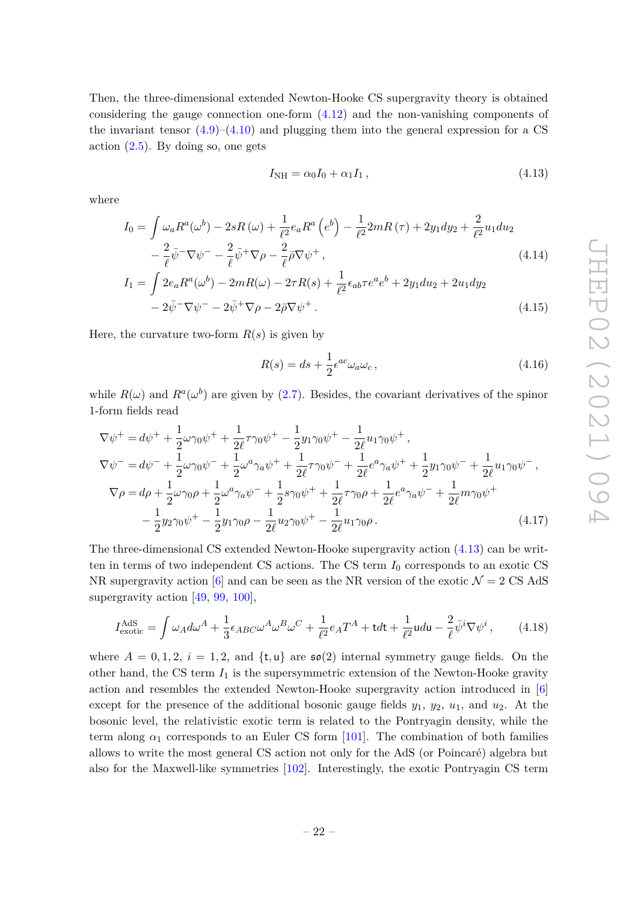Then, the three-dimensional extended Newton-Hooke CS supergravity theory is obtained considering the gauge connection one-form (4.12) and the non-vanishing components of the invariant tensor  $(4.9)$ – $(4.10)$  and plugging them into the general expression for a CS action  $(2.5)$ . By doing so, one gets

$$
I_{\rm NH} = \alpha_0 I_0 + \alpha_1 I_1, \qquad (4.13)
$$

where

$$
I_0 = \int \omega_a R^a(\omega^b) - 2sR(\omega) + \frac{1}{\ell^2} e_a R^a \left(e^b\right) - \frac{1}{\ell^2} 2mR(\tau) + 2y_1 dy_2 + \frac{2}{\ell^2} u_1 du_2
$$
  

$$
- \frac{2}{\ell} \bar{\psi}^- \nabla \psi^- - \frac{2}{\ell} \bar{\psi}^+ \nabla \rho - \frac{2}{\ell} \bar{\rho} \nabla \psi^+, \tag{4.14}
$$

$$
I_1 = \int 2e_a R^a(\omega^b) - 2mR(\omega) - 2\tau R(s) + \frac{1}{\ell^2} \epsilon_{ab} \tau e^a e^b + 2y_1 du_2 + 2u_1 dy_2 - 2\bar{\psi}^-\nabla\psi^- - 2\bar{\psi}^+\nabla\rho - 2\bar{\rho}\nabla\psi^+.
$$
\n(4.15)

Here, the curvature two-form  $R(s)$  is given by

$$
R(s) = ds + \frac{1}{2} \epsilon^{ac} \omega_a \omega_c, \qquad (4.16)
$$

while  $R(\omega)$  and  $R^a(\omega^b)$  are given by (2.7). Besides, the covariant derivatives of the spinor 1-form fields read

$$
\nabla \psi^{+} = d\psi^{+} + \frac{1}{2}\omega\gamma_{0}\psi^{+} + \frac{1}{2\ell}\tau\gamma_{0}\psi^{+} - \frac{1}{2}y_{1}\gamma_{0}\psi^{+} - \frac{1}{2\ell}u_{1}\gamma_{0}\psi^{+},
$$
\n
$$
\nabla \psi^{-} = d\psi^{-} + \frac{1}{2}\omega\gamma_{0}\psi^{-} + \frac{1}{2}\omega^{a}\gamma_{a}\psi^{+} + \frac{1}{2\ell}\tau\gamma_{0}\psi^{-} + \frac{1}{2\ell}e^{a}\gamma_{a}\psi^{+} + \frac{1}{2}y_{1}\gamma_{0}\psi^{-} + \frac{1}{2\ell}u_{1}\gamma_{0}\psi^{-},
$$
\n
$$
\nabla \rho = d\rho + \frac{1}{2}\omega\gamma_{0}\rho + \frac{1}{2}\omega^{a}\gamma_{a}\psi^{-} + \frac{1}{2}s\gamma_{0}\psi^{+} + \frac{1}{2\ell}\tau\gamma_{0}\rho + \frac{1}{2\ell}e^{a}\gamma_{a}\psi^{-} + \frac{1}{2\ell}m\gamma_{0}\psi^{+}
$$
\n
$$
- \frac{1}{2}y_{2}\gamma_{0}\psi^{+} - \frac{1}{2}y_{1}\gamma_{0}\rho - \frac{1}{2\ell}u_{2}\gamma_{0}\psi^{+} - \frac{1}{2\ell}u_{1}\gamma_{0}\rho.
$$
\n(4.17)

The three-dimensional CS extended Newton-Hooke supergravity action (4.13) can be written in terms of two independent CS actions. The CS term  $I_0$  corresponds to an exotic CS NR supergravity action [6] and can be seen as the NR version of the exotic  $\mathcal{N} = 2 \text{ CS AdS}$ supergravity action [49, 99, 100],

$$
I_{\text{exotic}}^{\text{AdS}} = \int \omega_A d\omega^A + \frac{1}{3} \epsilon_{ABC} \omega^A \omega^B \omega^C + \frac{1}{\ell^2} e_A T^A + \text{tdt} + \frac{1}{\ell^2} \text{u} \, d\text{u} - \frac{2}{\ell} \bar{\psi}^i \nabla \psi^i \,, \tag{4.18}
$$

where  $A = 0, 1, 2, i = 1, 2, \text{ and } \{\text{t}, \text{u}\}\$  are  $\mathfrak{so}(2)$  internal symmetry gauge fields. On the other hand, the CS term  $I_1$  is the supersymmetric extension of the Newton-Hooke gravity action and resembles the extended Newton-Hooke supergravity action introduced in [6] except for the presence of the additional bosonic gauge fields  $y_1, y_2, u_1$ , and  $u_2$ . At the bosonic level, the relativistic exotic term is related to the Pontryagin density, while the term along  $\alpha_1$  corresponds to an Euler CS form [101]. The combination of both families allows to write the most general CS action not only for the AdS (or Poincaré) algebra but also for the Maxwell-like symmetries [102]. Interestingly, the exotic Pontryagin CS term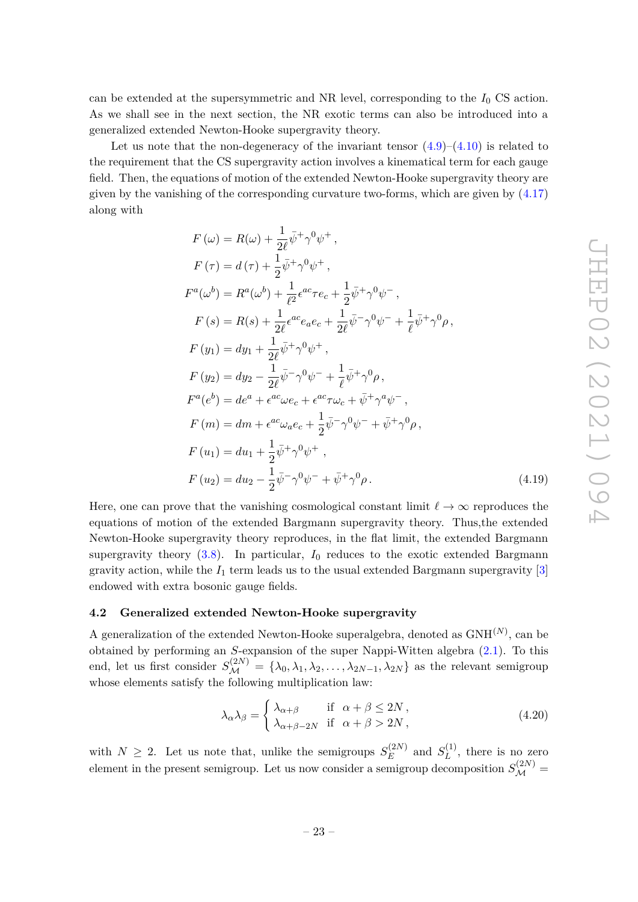can be extended at the supersymmetric and NR level, corresponding to the  $I_0$  CS action. As we shall see in the next section, the NR exotic terms can also be introduced into a generalized extended Newton-Hooke supergravity theory.

Let us note that the non-degeneracy of the invariant tensor  $(4.9)-(4.10)$  is related to the requirement that the CS supergravity action involves a kinematical term for each gauge field. Then, the equations of motion of the extended Newton-Hooke supergravity theory are given by the vanishing of the corresponding curvature two-forms, which are given by  $(4.17)$ along with

$$
F(\omega) = R(\omega) + \frac{1}{2\ell}\bar{\psi}^+ \gamma^0 \psi^+, \nF(\tau) = d(\tau) + \frac{1}{2}\bar{\psi}^+ \gamma^0 \psi^+, \nF^a(\omega^b) = R^a(\omega^b) + \frac{1}{\ell^2} \epsilon^{ac} \tau e_c + \frac{1}{2}\bar{\psi}^+ \gamma^0 \psi^-, \nF(s) = R(s) + \frac{1}{2\ell} \epsilon^{ac} e_a e_c + \frac{1}{2\ell} \bar{\psi}^- \gamma^0 \psi^- + \frac{1}{\ell} \bar{\psi}^+ \gamma^0 \rho, \nF(y_1) = dy_1 + \frac{1}{2\ell} \bar{\psi}^+ \gamma^0 \psi^+, \nF(y_2) = dy_2 - \frac{1}{2\ell} \bar{\psi}^- \gamma^0 \psi^- + \frac{1}{\ell} \bar{\psi}^+ \gamma^0 \rho, \nF^a(e^b) = de^a + \epsilon^{ac} \omega e_c + \epsilon^{ac} \tau \omega_c + \bar{\psi}^+ \gamma^a \psi^-, \nF(m) = dm + \epsilon^{ac} \omega_a e_c + \frac{1}{2} \bar{\psi}^- \gamma^0 \psi^- + \bar{\psi}^+ \gamma^0 \rho, \nF(u_1) = du_1 + \frac{1}{2} \bar{\psi}^+ \gamma^0 \psi^+, \nF(u_2) = du_2 - \frac{1}{2} \bar{\psi}^- \gamma^0 \psi^- + \bar{\psi}^+ \gamma^0 \rho.
$$
\n(4.19)

Here, one can prove that the vanishing cosmological constant limit  $\ell \to \infty$  reproduces the equations of motion of the extended Bargmann supergravity theory. Thus,the extended Newton-Hooke supergravity theory reproduces, in the flat limit, the extended Bargmann supergravity theory  $(3.8)$ . In particular,  $I_0$  reduces to the exotic extended Bargmann gravity action, while the  $I_1$  term leads us to the usual extended Bargmann supergravity  $[3]$ endowed with extra bosonic gauge fields.

#### **4.2 Generalized extended Newton-Hooke supergravity**

A generalization of the extended Newton-Hooke superalgebra, denoted as GNH(*N*) , can be obtained by performing an *S*-expansion of the super Nappi-Witten algebra (2.1). To this end, let us first consider  $S_{\mathcal{M}}^{(2N)} = \{\lambda_0, \lambda_1, \lambda_2, \ldots, \lambda_{2N-1}, \lambda_{2N}\}\$ as the relevant semigroup whose elements satisfy the following multiplication law:

$$
\lambda_{\alpha}\lambda_{\beta} = \begin{cases}\n\lambda_{\alpha+\beta} & \text{if } \alpha + \beta \le 2N, \\
\lambda_{\alpha+\beta-2N} & \text{if } \alpha + \beta > 2N,\n\end{cases}
$$
\n(4.20)

with  $N \geq 2$ . Let us note that, unlike the semigroups  $S_E^{(2N)}$  $E^{(2N)}$  and  $S^{(1)}_L$  $L^{(1)}$ , there is no zero element in the present semigroup. Let us now consider a semigroup decomposition  $S_{\mathcal{M}}^{(2N)}$  =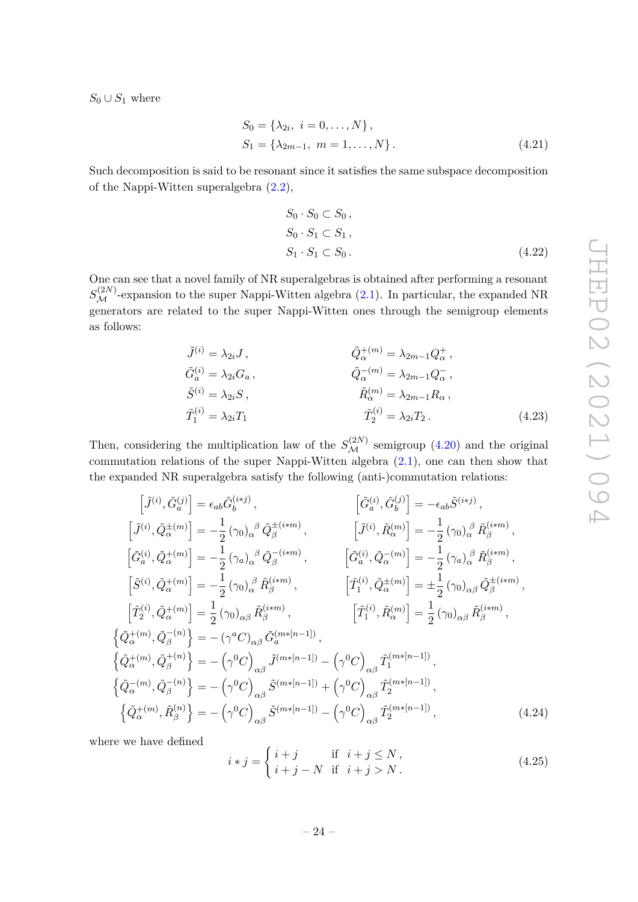$S_0 \cup S_1$  where

$$
S_0 = \{\lambda_{2i}, i = 0, ..., N\},
$$
  
\n
$$
S_1 = \{\lambda_{2m-1}, m = 1, ..., N\}.
$$
\n(4.21)

Such decomposition is said to be resonant since it satisfies the same subspace decomposition of the Nappi-Witten superalgebra (2.2),

$$
S_0 \cdot S_0 \subset S_0,
$$
  
\n
$$
S_0 \cdot S_1 \subset S_1,
$$
  
\n
$$
S_1 \cdot S_1 \subset S_0.
$$
\n
$$
(4.22)
$$

One can see that a novel family of NR superalgebras is obtained after performing a resonant  $S_{\mathcal{M}}^{(2N)}$ -expansion to the super Nappi-Witten algebra (2.1). In particular, the expanded NR generators are related to the super Nappi-Witten ones through the semigroup elements as follows:

$$
\tilde{J}^{(i)} = \lambda_{2i} J, \qquad \qquad \tilde{Q}_{\alpha}^{+(m)} = \lambda_{2m-1} Q_{\alpha}^{+}, \n\tilde{G}_{a}^{(i)} = \lambda_{2i} G_{a}, \qquad \qquad \tilde{Q}_{\alpha}^{-(m)} = \lambda_{2m-1} Q_{\alpha}^{-}, \n\tilde{S}^{(i)} = \lambda_{2i} S, \qquad \qquad \tilde{R}_{\alpha}^{(m)} = \lambda_{2m-1} R_{\alpha}, \n\tilde{T}_{1}^{(i)} = \lambda_{2i} T_{1} \qquad \qquad \tilde{T}_{2}^{(i)} = \lambda_{2i} T_{2}. \qquad (4.23)
$$

Then, considering the multiplication law of the  $S_{\mathcal{M}}^{(2N)}$  semigroup (4.20) and the original commutation relations of the super Nappi-Witten algebra (2.1), one can then show that the expanded NR superalgebra satisfy the following (anti-)commutation relations:

$$
\begin{aligned}\n\left[\tilde{J}^{(i)},\tilde{G}_{a}^{(j)}\right] &= \epsilon_{ab}\tilde{G}_{b}^{(i\ast j)}, & \left[\tilde{G}_{a}^{(i)},\tilde{G}_{b}^{(j)}\right] &= -\epsilon_{ab}\tilde{S}^{(i\ast j)}, \\
\left[\tilde{J}^{(i)},\tilde{Q}_{\alpha}^{\pm(m)}\right] &= -\frac{1}{2}\left(\gamma_{0}\right)_{\alpha}{}^{\beta}\tilde{Q}_{\beta}^{\pm(i\ast m)}, & \left[\tilde{J}^{(i)},\tilde{R}_{\alpha}^{(m)}\right] &= -\frac{1}{2}\left(\gamma_{0}\right)_{\alpha}{}^{\beta}\tilde{R}_{\beta}^{(i\ast m)}, \\
\left[\tilde{G}_{a}^{(i)},\tilde{Q}_{\alpha}^{+(m)}\right] &= -\frac{1}{2}\left(\gamma_{a}\right)_{\alpha}{}^{\beta}\tilde{Q}_{\beta}^{-(i\ast m)}, & \left[\tilde{G}_{a}^{(i)},\tilde{Q}_{\alpha}^{-(m)}\right] &= -\frac{1}{2}\left(\gamma_{a}\right)_{\alpha}{}^{\beta}\tilde{R}_{\beta}^{(i\ast m)}, \\
\left[\tilde{T}_{2}^{(i)},\tilde{Q}_{\alpha}^{+(m)}\right] &= -\frac{1}{2}\left(\gamma_{0}\right)_{\alpha}{}^{\beta}\tilde{R}_{\beta}^{(i\ast m)}, & \left[\tilde{T}_{1}^{(i)},\tilde{Q}_{\alpha}^{\pm(m)}\right] &= \pm\frac{1}{2}\left(\gamma_{0}\right)_{\alpha\beta}\tilde{Q}_{\beta}^{\pm(i\ast m)}, \\
\left[\tilde{T}_{2}^{(i)},\tilde{Q}_{\alpha}^{+(m)}\right] &= \frac{1}{2}\left(\gamma_{0}\right)_{\alpha\beta}\tilde{R}_{\beta}^{(i\ast m)}, & \left[\tilde{T}_{1}^{(i)},\tilde{R}_{\alpha}^{(m)}\right] &= \frac{1}{2}\left(\gamma_{0}\right)_{\alpha\beta}\tilde{R}_{\beta}^{(i\ast m)}, \\
\left\{\tilde{Q}_{\alpha}^{+(m)},\tilde{Q}_{\beta}^{-(n)}\right\} &= -\left(\gamma^{0}C\right)_{\alpha\beta}\
$$

where we have defined

$$
i * j = \begin{cases} i + j & \text{if } i + j \le N, \\ i + j - N & \text{if } i + j > N. \end{cases}
$$
 (4.25)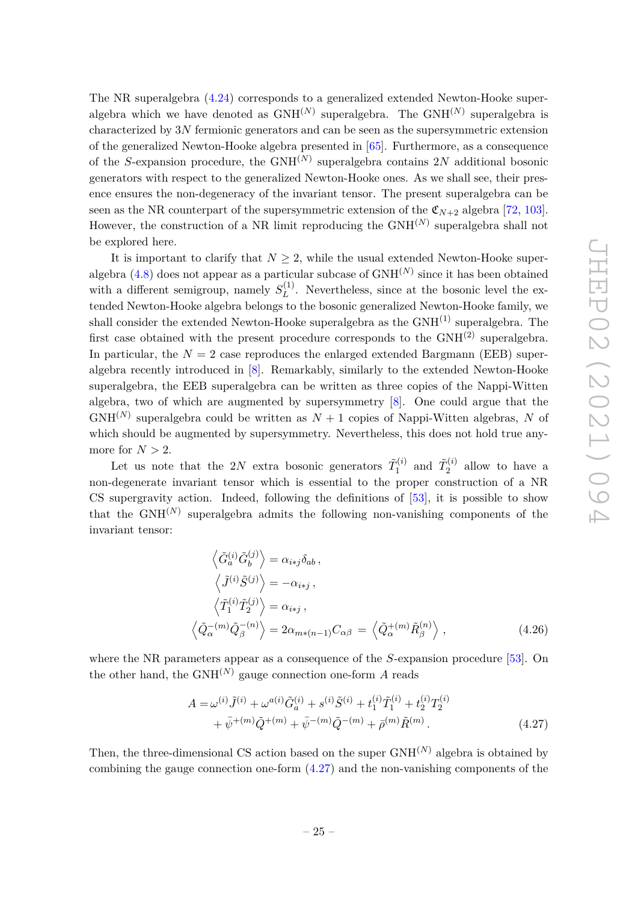The NR superalgebra (4.24) corresponds to a generalized extended Newton-Hooke superalgebra which we have denoted as  $GNH^{(N)}$  superalgebra. The  $GNH^{(N)}$  superalgebra is characterized by 3*N* fermionic generators and can be seen as the supersymmetric extension of the generalized Newton-Hooke algebra presented in [65]. Furthermore, as a consequence of the *S*-expansion procedure, the GNH(*N*) superalgebra contains 2*N* additional bosonic generators with respect to the generalized Newton-Hooke ones. As we shall see, their presence ensures the non-degeneracy of the invariant tensor. The present superalgebra can be seen as the NR counterpart of the supersymmetric extension of the  $\mathfrak{C}_{N+2}$  algebra [72, 103]. However, the construction of a NR limit reproducing the GNH(*N*) superalgebra shall not be explored here.

It is important to clarify that  $N \geq 2$ , while the usual extended Newton-Hooke superalgebra  $(4.8)$  does not appear as a particular subcase of  $GNH^{(N)}$  since it has been obtained with a different semigroup, namely  $S_L^{(1)}$  $L^{(1)}$ . Nevertheless, since at the bosonic level the extended Newton-Hooke algebra belongs to the bosonic generalized Newton-Hooke family, we shall consider the extended Newton-Hooke superalgebra as the  $GNH^{(1)}$  superalgebra. The first case obtained with the present procedure corresponds to the  $GNH^{(2)}$  superalgebra. In particular, the  $N = 2$  case reproduces the enlarged extended Bargmann (EEB) superalgebra recently introduced in [8]. Remarkably, similarly to the extended Newton-Hooke superalgebra, the EEB superalgebra can be written as three copies of the Nappi-Witten algebra, two of which are augmented by supersymmetry [8]. One could argue that the  $GNH<sup>(N)</sup>$  superalgebra could be written as  $N+1$  copies of Nappi-Witten algebras, N of which should be augmented by supersymmetry. Nevertheless, this does not hold true anymore for  $N > 2$ .

Let us note that the 2*N* extra bosonic generators  $\tilde{T}_1^{(i)}$  $\tilde{T}_1^{(i)}$  and  $\tilde{T}_2^{(i)}$  $2^{(i)}$  allow to have a non-degenerate invariant tensor which is essential to the proper construction of a NR CS supergravity action. Indeed, following the definitions of [53], it is possible to show that the  $\text{GNH}^{(N)}$  superalgebra admits the following non-vanishing components of the invariant tensor:

$$
\left\langle \tilde{G}_a^{(i)} \tilde{G}_b^{(j)} \right\rangle = \alpha_{i \ast j} \delta_{ab} ,
$$
  
\n
$$
\left\langle \tilde{J}^{(i)} \tilde{S}^{(j)} \right\rangle = -\alpha_{i \ast j} ,
$$
  
\n
$$
\left\langle \tilde{T}_1^{(i)} \tilde{T}_2^{(j)} \right\rangle = \alpha_{i \ast j} ,
$$
  
\n
$$
\left\langle \tilde{Q}_\alpha^{-(m)} \tilde{Q}_\beta^{-(n)} \right\rangle = 2\alpha_{m \ast (n-1)} C_{\alpha \beta} = \left\langle \tilde{Q}_\alpha^{+(m)} \tilde{R}_\beta^{(n)} \right\rangle ,
$$
 (4.26)

where the NR parameters appear as a consequence of the *S*-expansion procedure [53]. On the other hand, the  $GNH^{(N)}$  gauge connection one-form A reads

$$
A = \omega^{(i)} \tilde{J}^{(i)} + \omega^{a(i)} \tilde{G}_a^{(i)} + s^{(i)} \tilde{S}^{(i)} + t_1^{(i)} \tilde{T}_1^{(i)} + t_2^{(i)} T_2^{(i)} + \bar{\psi}^{+(m)} \tilde{Q}^{+(m)} + \bar{\psi}^{-(m)} \tilde{Q}^{-(m)} + \bar{\rho}^{(m)} \tilde{R}^{(m)}.
$$
\n(4.27)

Then, the three-dimensional CS action based on the super  $GNH^{(N)}$  algebra is obtained by combining the gauge connection one-form  $(4.27)$  and the non-vanishing components of the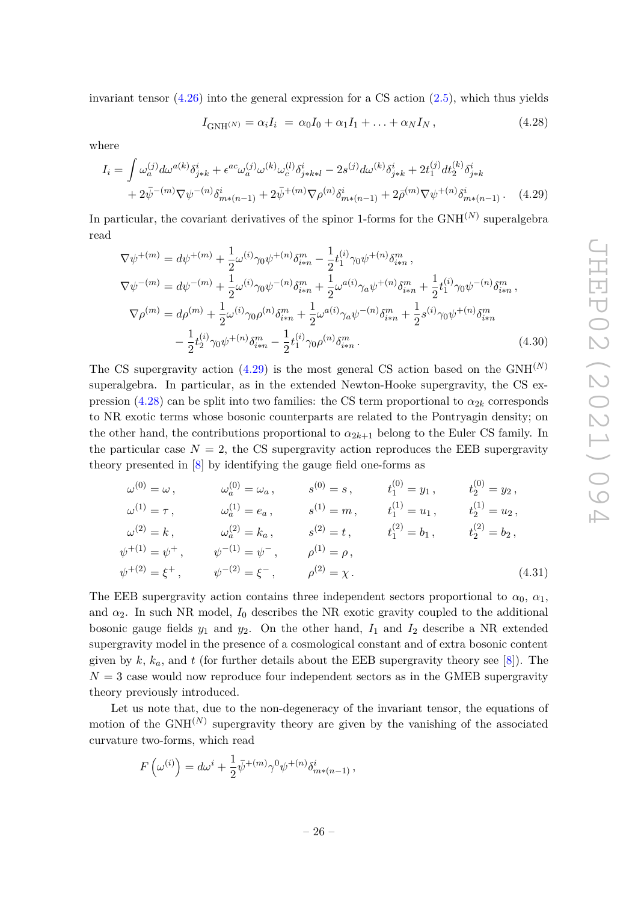invariant tensor  $(4.26)$  into the general expression for a CS action  $(2.5)$ , which thus yields

$$
I_{\text{GNH}^{(N)}} = \alpha_i I_i = \alpha_0 I_0 + \alpha_1 I_1 + \ldots + \alpha_N I_N, \qquad (4.28)
$$

where

$$
I_{i} = \int \omega_{a}^{(j)} d\omega^{a(k)} \delta_{j*k}^{i} + \epsilon^{ac} \omega_{a}^{(j)} \omega^{(k)} \omega_{c}^{(l)} \delta_{j*k+l}^{i} - 2s^{(j)} d\omega^{(k)} \delta_{j*k}^{i} + 2t_{1}^{(j)} dt_{2}^{(k)} \delta_{j*k}^{i} + 2\bar{\psi}^{-(m)} \nabla \psi^{-(n)} \delta_{m*(n-1)}^{i} + 2\bar{\psi}^{+(m)} \nabla \rho^{(n)} \delta_{m*(n-1)}^{i} + 2\bar{\rho}^{(m)} \nabla \psi^{+(n)} \delta_{m*(n-1)}^{i}.
$$
 (4.29)

In particular, the covariant derivatives of the spinor 1-forms for the GNH<sup>(N)</sup> superalgebra read

$$
\nabla \psi^{+(m)} = d\psi^{+(m)} + \frac{1}{2}\omega^{(i)}\gamma_0\psi^{+(n)}\delta_{i*n}^m - \frac{1}{2}t_1^{(i)}\gamma_0\psi^{+(n)}\delta_{i*n}^m,
$$
  
\n
$$
\nabla \psi^{-(m)} = d\psi^{-(m)} + \frac{1}{2}\omega^{(i)}\gamma_0\psi^{-(n)}\delta_{i*n}^m + \frac{1}{2}\omega^{a(i)}\gamma_a\psi^{+(n)}\delta_{i*n}^m + \frac{1}{2}t_1^{(i)}\gamma_0\psi^{-(n)}\delta_{i*n}^m,
$$
  
\n
$$
\nabla \rho^{(m)} = d\rho^{(m)} + \frac{1}{2}\omega^{(i)}\gamma_0\rho^{(n)}\delta_{i*n}^m + \frac{1}{2}\omega^{a(i)}\gamma_a\psi^{-(n)}\delta_{i*n}^m + \frac{1}{2}s^{(i)}\gamma_0\psi^{+(n)}\delta_{i*n}^m
$$
  
\n
$$
-\frac{1}{2}t_2^{(i)}\gamma_0\psi^{+(n)}\delta_{i*n}^m - \frac{1}{2}t_1^{(i)}\gamma_0\rho^{(n)}\delta_{i*n}^m.
$$
\n(4.30)

The CS supergravity action  $(4.29)$  is the most general CS action based on the GNH<sup>(N)</sup> superalgebra. In particular, as in the extended Newton-Hooke supergravity, the CS expression  $(4.28)$  can be split into two families: the CS term proportional to  $\alpha_{2k}$  corresponds to NR exotic terms whose bosonic counterparts are related to the Pontryagin density; on the other hand, the contributions proportional to  $\alpha_{2k+1}$  belong to the Euler CS family. In the particular case  $N = 2$ , the CS supergravity action reproduces the EEB supergravity theory presented in [8] by identifying the gauge field one-forms as

$$
\omega^{(0)} = \omega, \qquad \omega_a^{(0)} = \omega_a, \qquad s^{(0)} = s, \qquad t_1^{(0)} = y_1, \qquad t_2^{(0)} = y_2, \n\omega^{(1)} = \tau, \qquad \omega_a^{(1)} = e_a, \qquad s^{(1)} = m, \qquad t_1^{(1)} = u_1, \qquad t_2^{(1)} = u_2, \n\omega^{(2)} = k, \qquad \omega_a^{(2)} = k_a, \qquad s^{(2)} = t, \qquad t_1^{(2)} = b_1, \qquad t_2^{(2)} = b_2, \n\psi^{+(1)} = \psi^+, \qquad \psi^{-(1)} = \psi^-, \qquad \rho^{(1)} = \rho, \n\psi^{+(2)} = \xi^+, \qquad \psi^{-(2)} = \xi^-, \qquad \rho^{(2)} = \chi.
$$
\n(4.31)

The EEB supergravity action contains three independent sectors proportional to  $\alpha_0$ ,  $\alpha_1$ , and  $\alpha_2$ . In such NR model,  $I_0$  describes the NR exotic gravity coupled to the additional bosonic gauge fields  $y_1$  and  $y_2$ . On the other hand,  $I_1$  and  $I_2$  describe a NR extended supergravity model in the presence of a cosmological constant and of extra bosonic content given by  $k, k_a$ , and  $t$  (for further details about the EEB supergravity theory see [8]). The  $N=3$  case would now reproduce four independent sectors as in the GMEB supergravity theory previously introduced.

Let us note that, due to the non-degeneracy of the invariant tensor, the equations of motion of the  $GNH^{(N)}$  supergravity theory are given by the vanishing of the associated curvature two-forms, which read

$$
F\left(\omega^{(i)}\right) = d\omega^i + \frac{1}{2}\bar{\psi}^{+(m)}\gamma^0\psi^{+(n)}\delta^i_{m*(n-1)},
$$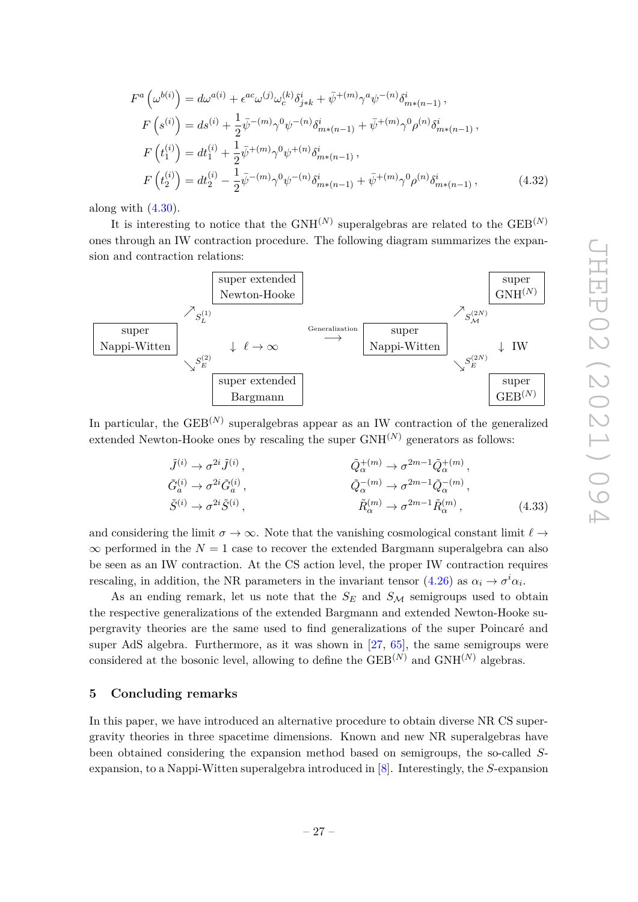$$
\begin{array}{c}\n\text{GEB}^{(N)} \\
\text{ne expand} \\
\hline\n\text{super} \\
\text{INH}^{(N)}\n\end{array}\n\qquad\n\begin{array}{c}\n\Box\n\quad\n\Box\n\end{array}
$$



along with  $(4.30)$ .

It is interesting to notice that the  $GNH^{(N)}$  superalgebras are related to the  $GEB^{(N)}$ ones through an IW contraction procedure. The following diagram summarizes the  $\mu$ sion and contraction relations:

super extended



In particular, the GEB<sup>(N)</sup> superalgebras appear as an IW contraction of the generalized extended Newton-Hooke ones by rescaling the super  $GNH^{(N)}$  generators as follows:

$$
\tilde{J}^{(i)} \rightarrow \sigma^{2i} \tilde{J}^{(i)},
$$
\n
$$
\tilde{G}_{\alpha}^{(i)} \rightarrow \sigma^{2i} \tilde{G}_{\alpha}^{(i)},
$$
\n
$$
\tilde{Q}_{\alpha}^{-(m)} \rightarrow \sigma^{2m-1} \tilde{Q}_{\alpha}^{+(m)},
$$
\n
$$
\tilde{G}_{\alpha}^{(i)} \rightarrow \sigma^{2i} \tilde{S}^{(i)},
$$
\n
$$
\tilde{R}_{\alpha}^{(m)} \rightarrow \sigma^{2m-1} \tilde{R}_{\alpha}^{(m)},
$$
\n
$$
\tilde{R}_{\alpha}^{(m)} \rightarrow \sigma^{2m-1} \tilde{R}_{\alpha}^{(m)},
$$
\n(4.33)

and considering the limit  $\sigma \to \infty$ . Note that the vanishing cosmological constant limit  $\ell \to$  $\infty$  performed in the  $N = 1$  case to recover the extended Bargmann superalgebra can also be seen as an IW contraction. At the CS action level, the proper IW contraction requires rescaling, in addition, the NR parameters in the invariant tensor  $(4.26)$  as  $\alpha_i \to \sigma^i \alpha_i$ .

As an ending remark, let us note that the  $S_E$  and  $S_M$  semigroups used to obtain the respective generalizations of the extended Bargmann and extended Newton-Hooke supergravity theories are the same used to find generalizations of the super Poincaré and super AdS algebra. Furthermore, as it was shown in [27, 65], the same semigroups were considered at the bosonic level, allowing to define the  $\text{GEB}^{(N)}$  and  $\text{GNH}^{(N)}$  algebras.

#### **5 Concluding remarks**

In this paper, we have introduced an alternative procedure to obtain diverse NR CS supergravity theories in three spacetime dimensions. Known and new NR superalgebras have been obtained considering the expansion method based on semigroups, the so-called *S*expansion, to a Nappi-Witten superalgebra introduced in [8]. Interestingly, the *S*-expansion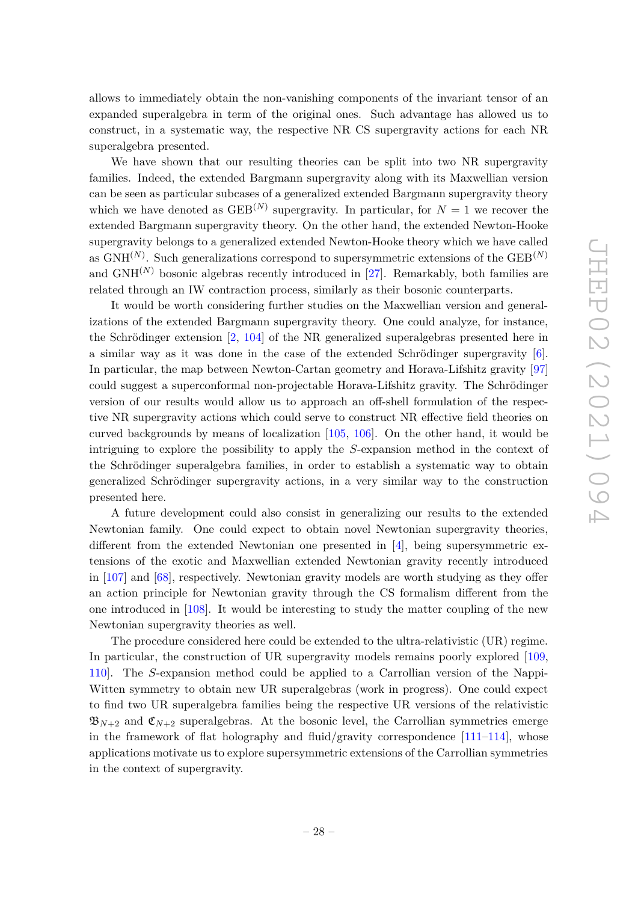allows to immediately obtain the non-vanishing components of the invariant tensor of an expanded superalgebra in term of the original ones. Such advantage has allowed us to construct, in a systematic way, the respective NR CS supergravity actions for each NR superalgebra presented.

We have shown that our resulting theories can be split into two NR supergravity families. Indeed, the extended Bargmann supergravity along with its Maxwellian version can be seen as particular subcases of a generalized extended Bargmann supergravity theory which we have denoted as  $GEB^{(N)}$  supergravity. In particular, for  $N=1$  we recover the extended Bargmann supergravity theory. On the other hand, the extended Newton-Hooke supergravity belongs to a generalized extended Newton-Hooke theory which we have called as GNH(*N*) . Such generalizations correspond to supersymmetric extensions of the GEB(*N*) and  $GNH^{(N)}$  bosonic algebras recently introduced in [27]. Remarkably, both families are related through an IW contraction process, similarly as their bosonic counterparts.

It would be worth considering further studies on the Maxwellian version and generalizations of the extended Bargmann supergravity theory. One could analyze, for instance, the Schrödinger extension [2, 104] of the NR generalized superalgebras presented here in a similar way as it was done in the case of the extended Schrödinger supergravity [6]. In particular, the map between Newton-Cartan geometry and Horava-Lifshitz gravity [97] could suggest a superconformal non-projectable Horava-Lifshitz gravity. The Schrödinger version of our results would allow us to approach an off-shell formulation of the respective NR supergravity actions which could serve to construct NR effective field theories on curved backgrounds by means of localization [105, 106]. On the other hand, it would be intriguing to explore the possibility to apply the *S*-expansion method in the context of the Schrödinger superalgebra families, in order to establish a systematic way to obtain generalized Schrödinger supergravity actions, in a very similar way to the construction presented here.

A future development could also consist in generalizing our results to the extended Newtonian family. One could expect to obtain novel Newtonian supergravity theories, different from the extended Newtonian one presented in [4], being supersymmetric extensions of the exotic and Maxwellian extended Newtonian gravity recently introduced in [107] and [68], respectively. Newtonian gravity models are worth studying as they offer an action principle for Newtonian gravity through the CS formalism different from the one introduced in [108]. It would be interesting to study the matter coupling of the new Newtonian supergravity theories as well.

The procedure considered here could be extended to the ultra-relativistic (UR) regime. In particular, the construction of UR supergravity models remains poorly explored [109, 110]. The *S*-expansion method could be applied to a Carrollian version of the Nappi-Witten symmetry to obtain new UR superalgebras (work in progress). One could expect to find two UR superalgebra families being the respective UR versions of the relativistic  $\mathfrak{B}_{N+2}$  and  $\mathfrak{C}_{N+2}$  superalgebras. At the bosonic level, the Carrollian symmetries emerge in the framework of flat holography and fluid/gravity correspondence  $[111-114]$ , whose applications motivate us to explore supersymmetric extensions of the Carrollian symmetries in the context of supergravity.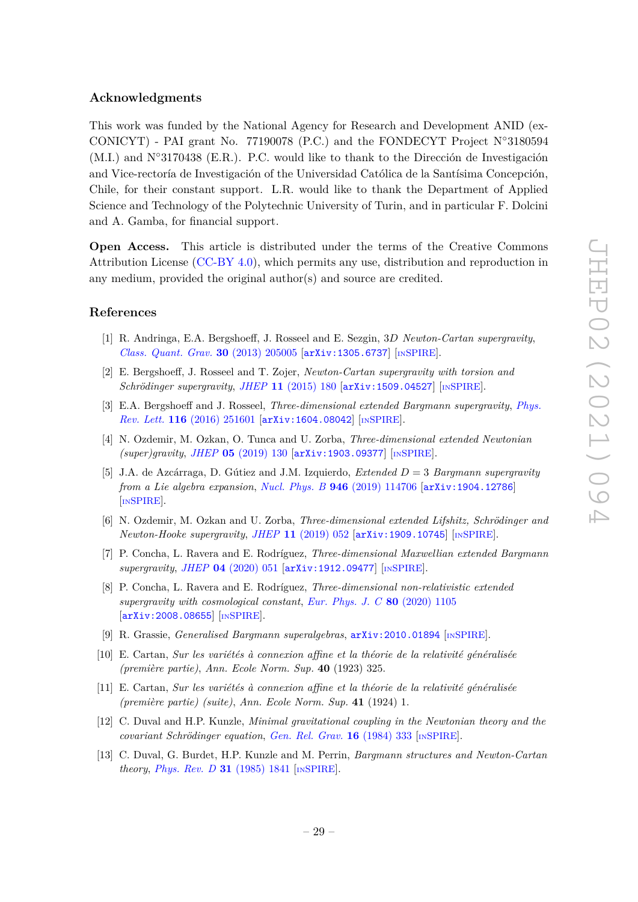#### **Acknowledgments**

This work was funded by the National Agency for Research and Development ANID (ex-CONICYT) - PAI grant No. 77190078 (P.C.) and the FONDECYT Project N◦3180594 (M.I.) and N◦3170438 (E.R.). P.C. would like to thank to the Dirección de Investigación and Vice-rectoría de Investigación of the Universidad Católica de la Santísima Concepción, Chile, for their constant support. L.R. would like to thank the Department of Applied Science and Technology of the Polytechnic University of Turin, and in particular F. Dolcini and A. Gamba, for financial support.

**Open Access.** This article is distributed under the terms of the Creative Commons Attribution License [\(CC-BY 4.0\)](https://creativecommons.org/licenses/by/4.0/), which permits any use, distribution and reproduction in any medium, provided the original author(s) and source are credited.

#### **References**

- [1] R. Andringa, E.A. Bergshoeff, J. Rosseel and E. Sezgin, 3*D Newton-Cartan supergravity*, *[Class. Quant. Grav.](https://doi.org/10.1088/0264-9381/30/20/205005)* **30** (2013) 205005 [[arXiv:1305.6737](https://arxiv.org/abs/1305.6737)] [IN[SPIRE](https://inspirehep.net/search?p=find+EPRINT%2BarXiv%3A1305.6737)].
- [2] E. Bergshoeff, J. Rosseel and T. Zojer, *Newton-Cartan supergravity with torsion and Schrödinger supergravity, JHEP* 11 [\(2015\) 180](https://doi.org/10.1007/JHEP11(2015)180) [[arXiv:1509.04527](https://arxiv.org/abs/1509.04527)] [IN[SPIRE](https://inspirehep.net/search?p=find+EPRINT%2BarXiv%3A1509.04527)].
- [3] E.A. Bergshoeff and J. Rosseel, *Three-dimensional extended Bargmann supergravity*, *[Phys.](https://doi.org/10.1103/PhysRevLett.116.251601) Rev. Lett.* **116** [\(2016\) 251601](https://doi.org/10.1103/PhysRevLett.116.251601) [[arXiv:1604.08042](https://arxiv.org/abs/1604.08042)] [IN[SPIRE](https://inspirehep.net/search?p=find+EPRINT%2BarXiv%3A1604.08042)].
- [4] N. Ozdemir, M. Ozkan, O. Tunca and U. Zorba, *Three-dimensional extended Newtonian (super)gravity*, *JHEP* **05** [\(2019\) 130](https://doi.org/10.1007/JHEP05(2019)130) [[arXiv:1903.09377](https://arxiv.org/abs/1903.09377)] [IN[SPIRE](https://inspirehep.net/search?p=find+EPRINT%2BarXiv%3A1903.09377)].
- [5] J.A. de Azcárraga, D. Gútiez and J.M. Izquierdo, *Extended D* = 3 *Bargmann supergravity from a Lie algebra expansion*, *Nucl. Phys. B* **946** [\(2019\) 114706](https://doi.org/10.1016/j.nuclphysb.2019.114706) [[arXiv:1904.12786](https://arxiv.org/abs/1904.12786)] [IN[SPIRE](https://inspirehep.net/search?p=find+EPRINT%2BarXiv%3A1904.12786)].
- [6] N. Ozdemir, M. Ozkan and U. Zorba, *Three-dimensional extended Lifshitz, Schrödinger and Newton-Hooke supergravity, JHEP* 11 [\(2019\) 052](https://doi.org/10.1007/JHEP11(2019)052) [[arXiv:1909.10745](https://arxiv.org/abs/1909.10745)] [IN[SPIRE](https://inspirehep.net/search?p=find+EPRINT%2BarXiv%3A1909.10745)].
- [7] P. Concha, L. Ravera and E. Rodríguez, *Three-dimensional Maxwellian extended Bargmann supergravity*, *JHEP* **04** [\(2020\) 051](https://doi.org/10.1007/JHEP04(2020)051) [[arXiv:1912.09477](https://arxiv.org/abs/1912.09477)] [IN[SPIRE](https://inspirehep.net/search?p=find+EPRINT%2BarXiv%3A1912.09477)].
- [8] P. Concha, L. Ravera and E. Rodríguez, *Three-dimensional non-relativistic extended supergravity with cosmological constant*, *[Eur. Phys. J. C](https://doi.org/10.1140/epjc/s10052-020-08685-2)* **80** (2020) 1105 [[arXiv:2008.08655](https://arxiv.org/abs/2008.08655)] [IN[SPIRE](https://inspirehep.net/search?p=find+EPRINT%2BarXiv%3A2008.08655)].
- [9] R. Grassie, *Generalised Bargmann superalgebras*, [arXiv:2010.01894](https://arxiv.org/abs/2010.01894) [IN[SPIRE](https://inspirehep.net/search?p=find+EPRINT%2BarXiv%3A2010.01894)].
- [10] E. Cartan, *Sur les variétés à connexion affine et la théorie de la relativité généralisée (première partie)*, *Ann. Ecole Norm. Sup.* **40** (1923) 325.
- [11] E. Cartan, *Sur les variétés à connexion affine et la théorie de la relativité généralisée (première partie) (suite)*, *Ann. Ecole Norm. Sup.* **41** (1924) 1.
- [12] C. Duval and H.P. Kunzle, *Minimal gravitational coupling in the Newtonian theory and the covariant Schrödinger equation*, *[Gen. Rel. Grav.](https://doi.org/10.1007/BF00762191)* **16** (1984) 333 [IN[SPIRE](https://inspirehep.net/search?p=find+J%20%22Gen.Rel.Grav.%2C16%2C333%22)].
- [13] C. Duval, G. Burdet, H.P. Kunzle and M. Perrin, *Bargmann structures and Newton-Cartan theory*, *[Phys. Rev. D](https://doi.org/10.1103/PhysRevD.31.1841)* **31** (1985) 1841 [IN[SPIRE](https://inspirehep.net/search?p=find+J%20%22Phys.Rev.%2CD31%2C1841%22)].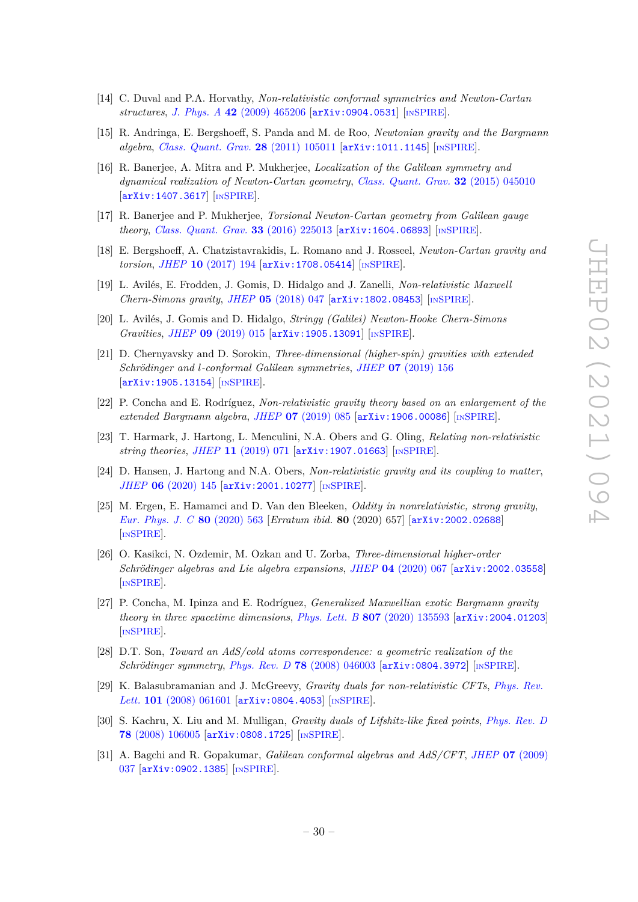- [14] C. Duval and P.A. Horvathy, *Non-relativistic conformal symmetries and Newton-Cartan structures*, *J. Phys. A* **42** [\(2009\) 465206](https://doi.org/10.1088/1751-8113/42/46/465206) [[arXiv:0904.0531](https://arxiv.org/abs/0904.0531)] [IN[SPIRE](https://inspirehep.net/search?p=find+EPRINT%2BarXiv%3A0904.0531)].
- [15] R. Andringa, E. Bergshoeff, S. Panda and M. de Roo, *Newtonian gravity and the Bargmann algebra*, *[Class. Quant. Grav.](https://doi.org/10.1088/0264-9381/28/10/105011)* **28** (2011) 105011 [[arXiv:1011.1145](https://arxiv.org/abs/1011.1145)] [IN[SPIRE](https://inspirehep.net/search?p=find+EPRINT%2BarXiv%3A1011.1145)].
- [16] R. Banerjee, A. Mitra and P. Mukherjee, *Localization of the Galilean symmetry and dynamical realization of Newton-Cartan geometry*, *[Class. Quant. Grav.](https://doi.org/10.1088/0264-9381/32/4/045010)* **32** (2015) 045010 [[arXiv:1407.3617](https://arxiv.org/abs/1407.3617)] [IN[SPIRE](https://inspirehep.net/search?p=find+EPRINT%2BarXiv%3A1407.3617)].
- [17] R. Banerjee and P. Mukherjee, *Torsional Newton-Cartan geometry from Galilean gauge theory*, *[Class. Quant. Grav.](https://doi.org/10.1088/0264-9381/33/22/225013)* **33** (2016) 225013 [[arXiv:1604.06893](https://arxiv.org/abs/1604.06893)] [IN[SPIRE](https://inspirehep.net/search?p=find+EPRINT%2BarXiv%3A1604.06893)].
- [18] E. Bergshoeff, A. Chatzistavrakidis, L. Romano and J. Rosseel, *Newton-Cartan gravity and torsion*, *JHEP* **10** [\(2017\) 194](https://doi.org/10.1007/JHEP10(2017)194) [[arXiv:1708.05414](https://arxiv.org/abs/1708.05414)] [IN[SPIRE](https://inspirehep.net/search?p=find+EPRINT%2BarXiv%3A1708.05414)].
- [19] L. Avilés, E. Frodden, J. Gomis, D. Hidalgo and J. Zanelli, *Non-relativistic Maxwell Chern-Simons gravity*, *JHEP* **05** [\(2018\) 047](https://doi.org/10.1007/JHEP05(2018)047) [[arXiv:1802.08453](https://arxiv.org/abs/1802.08453)] [IN[SPIRE](https://inspirehep.net/search?p=find+EPRINT%2BarXiv%3A1802.08453)].
- [20] L. Avilés, J. Gomis and D. Hidalgo, *Stringy (Galilei) Newton-Hooke Chern-Simons Gravities*, *JHEP* **09** [\(2019\) 015](https://doi.org/10.1007/JHEP09(2019)015) [[arXiv:1905.13091](https://arxiv.org/abs/1905.13091)] [IN[SPIRE](https://inspirehep.net/search?p=find+EPRINT%2BarXiv%3A1905.13091)].
- [21] D. Chernyavsky and D. Sorokin, *Three-dimensional (higher-spin) gravities with extended Schrödinger and l-conformal Galilean symmetries*, *JHEP* **07** [\(2019\) 156](https://doi.org/10.1007/JHEP07(2019)156) [[arXiv:1905.13154](https://arxiv.org/abs/1905.13154)] [IN[SPIRE](https://inspirehep.net/search?p=find+EPRINT%2BarXiv%3A1905.13154)].
- [22] P. Concha and E. Rodríguez, *Non-relativistic gravity theory based on an enlargement of the extended Bargmann algebra*, *JHEP* **07** [\(2019\) 085](https://doi.org/10.1007/JHEP07(2019)085) [[arXiv:1906.00086](https://arxiv.org/abs/1906.00086)] [IN[SPIRE](https://inspirehep.net/search?p=find+EPRINT%2BarXiv%3A1906.00086)].
- [23] T. Harmark, J. Hartong, L. Menculini, N.A. Obers and G. Oling, *Relating non-relativistic string theories*, *JHEP* **11** [\(2019\) 071](https://doi.org/10.1007/JHEP11(2019)071) [[arXiv:1907.01663](https://arxiv.org/abs/1907.01663)] [IN[SPIRE](https://inspirehep.net/search?p=find+EPRINT%2BarXiv%3A1907.01663)].
- [24] D. Hansen, J. Hartong and N.A. Obers, *Non-relativistic gravity and its coupling to matter*, *JHEP* **06** [\(2020\) 145](https://doi.org/10.1007/JHEP06(2020)145) [[arXiv:2001.10277](https://arxiv.org/abs/2001.10277)] [IN[SPIRE](https://inspirehep.net/search?p=find+EPRINT%2BarXiv%3A2001.10277)].
- [25] M. Ergen, E. Hamamci and D. Van den Bleeken, *Oddity in nonrelativistic, strong gravity*, *[Eur. Phys. J. C](https://doi.org/10.1140/epjc/s10052-020-8112-6)* **80** (2020) 563 [*Erratum ibid.* **80** (2020) 657] [[arXiv:2002.02688](https://arxiv.org/abs/2002.02688)] [IN[SPIRE](https://inspirehep.net/search?p=find+EPRINT%2BarXiv%3A2002.02688)].
- [26] O. Kasikci, N. Ozdemir, M. Ozkan and U. Zorba, *Three-dimensional higher-order Schrödinger algebras and Lie algebra expansions*, *JHEP* **04** [\(2020\) 067](https://doi.org/10.1007/JHEP04(2020)067) [[arXiv:2002.03558](https://arxiv.org/abs/2002.03558)] [IN[SPIRE](https://inspirehep.net/search?p=find+EPRINT%2BarXiv%3A2002.03558)].
- [27] P. Concha, M. Ipinza and E. Rodríguez, *Generalized Maxwellian exotic Bargmann gravity theory in three spacetime dimensions*, *Phys. Lett. B* **807** [\(2020\) 135593](https://doi.org/10.1016/j.physletb.2020.135593) [[arXiv:2004.01203](https://arxiv.org/abs/2004.01203)] [IN[SPIRE](https://inspirehep.net/search?p=find+EPRINT%2BarXiv%3A2004.01203)].
- [28] D.T. Son, *Toward an AdS/cold atoms correspondence: a geometric realization of the Schrödinger symmetry*, *Phys. Rev. D* **78** [\(2008\) 046003](https://doi.org/10.1103/PhysRevD.78.046003) [[arXiv:0804.3972](https://arxiv.org/abs/0804.3972)] [IN[SPIRE](https://inspirehep.net/search?p=find+EPRINT%2BarXiv%3A0804.3972)].
- [29] K. Balasubramanian and J. McGreevy, *Gravity duals for non-relativistic CFTs*, *[Phys. Rev.](https://doi.org/10.1103/PhysRevLett.101.061601) Lett.* **101** [\(2008\) 061601](https://doi.org/10.1103/PhysRevLett.101.061601) [[arXiv:0804.4053](https://arxiv.org/abs/0804.4053)] [IN[SPIRE](https://inspirehep.net/search?p=find+EPRINT%2BarXiv%3A0804.4053)].
- [30] S. Kachru, X. Liu and M. Mulligan, *Gravity duals of Lifshitz-like fixed points*, *[Phys. Rev. D](https://doi.org/10.1103/PhysRevD.78.106005)* **78** [\(2008\) 106005](https://doi.org/10.1103/PhysRevD.78.106005) [[arXiv:0808.1725](https://arxiv.org/abs/0808.1725)] [IN[SPIRE](https://inspirehep.net/search?p=find+EPRINT%2BarXiv%3A0808.1725)].
- [31] A. Bagchi and R. Gopakumar, *Galilean conformal algebras and AdS/CFT*, *JHEP* **07** [\(2009\)](https://doi.org/10.1088/1126-6708/2009/07/037) [037](https://doi.org/10.1088/1126-6708/2009/07/037) [[arXiv:0902.1385](https://arxiv.org/abs/0902.1385)] [IN[SPIRE](https://inspirehep.net/search?p=find+EPRINT%2BarXiv%3A0902.1385)].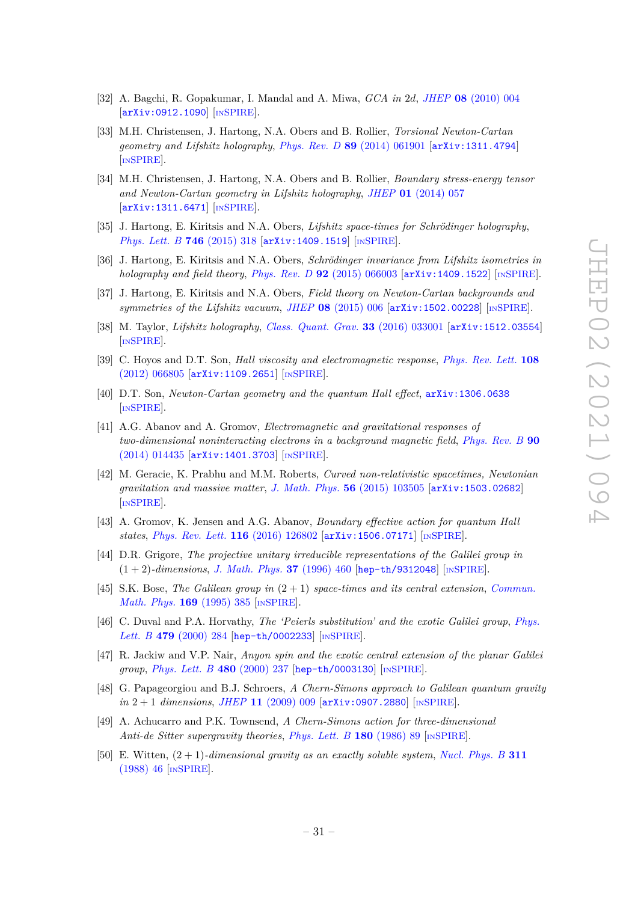- [32] A. Bagchi, R. Gopakumar, I. Mandal and A. Miwa, *GCA in* 2*d*, *JHEP* **08** [\(2010\) 004](https://doi.org/10.1007/JHEP08(2010)004) [[arXiv:0912.1090](https://arxiv.org/abs/0912.1090)] [IN[SPIRE](https://inspirehep.net/search?p=find+EPRINT%2BarXiv%3A0912.1090)].
- [33] M.H. Christensen, J. Hartong, N.A. Obers and B. Rollier, *Torsional Newton-Cartan geometry and Lifshitz holography*, *Phys. Rev. D* **89** [\(2014\) 061901](https://doi.org/10.1103/PhysRevD.89.061901) [[arXiv:1311.4794](https://arxiv.org/abs/1311.4794)] [IN[SPIRE](https://inspirehep.net/search?p=find+EPRINT%2BarXiv%3A1311.4794)].
- [34] M.H. Christensen, J. Hartong, N.A. Obers and B. Rollier, *Boundary stress-energy tensor and Newton-Cartan geometry in Lifshitz holography*, *JHEP* **01** [\(2014\) 057](https://doi.org/10.1007/JHEP01(2014)057) [[arXiv:1311.6471](https://arxiv.org/abs/1311.6471)] [IN[SPIRE](https://inspirehep.net/search?p=find+EPRINT%2BarXiv%3A1311.6471)].
- [35] J. Hartong, E. Kiritsis and N.A. Obers, *Lifshitz space-times for Schrödinger holography*, *[Phys. Lett. B](https://doi.org/10.1016/j.physletb.2015.05.010)* **746** (2015) 318 [[arXiv:1409.1519](https://arxiv.org/abs/1409.1519)] [IN[SPIRE](https://inspirehep.net/search?p=find+EPRINT%2BarXiv%3A1409.1519)].
- [36] J. Hartong, E. Kiritsis and N.A. Obers, *Schrödinger invariance from Lifshitz isometries in holography and field theory*, *Phys. Rev. D* **92** [\(2015\) 066003](https://doi.org/10.1103/PhysRevD.92.066003) [[arXiv:1409.1522](https://arxiv.org/abs/1409.1522)] [IN[SPIRE](https://inspirehep.net/search?p=find+EPRINT%2BarXiv%3A1409.1522)].
- [37] J. Hartong, E. Kiritsis and N.A. Obers, *Field theory on Newton-Cartan backgrounds and symmetries of the Lifshitz vacuum*, *JHEP* **08** [\(2015\) 006](https://doi.org/10.1007/JHEP08(2015)006) [[arXiv:1502.00228](https://arxiv.org/abs/1502.00228)] [IN[SPIRE](https://inspirehep.net/search?p=find+EPRINT%2BarXiv%3A1502.00228)].
- [38] M. Taylor, *Lifshitz holography*, *[Class. Quant. Grav.](https://doi.org/10.1088/0264-9381/33/3/033001)* **33** (2016) 033001 [[arXiv:1512.03554](https://arxiv.org/abs/1512.03554)] [IN[SPIRE](https://inspirehep.net/search?p=find+EPRINT%2BarXiv%3A1512.03554)].
- [39] C. Hoyos and D.T. Son, *Hall viscosity and electromagnetic response*, *[Phys. Rev. Lett.](https://doi.org/10.1103/PhysRevLett.108.066805)* **108** [\(2012\) 066805](https://doi.org/10.1103/PhysRevLett.108.066805) [[arXiv:1109.2651](https://arxiv.org/abs/1109.2651)] [IN[SPIRE](https://inspirehep.net/search?p=find+EPRINT%2BarXiv%3A1109.2651)].
- [40] D.T. Son, *Newton-Cartan geometry and the quantum Hall effect*, [arXiv:1306.0638](https://arxiv.org/abs/1306.0638) [IN[SPIRE](https://inspirehep.net/search?p=find+EPRINT%2BarXiv%3A1306.0638)].
- [41] A.G. Abanov and A. Gromov, *Electromagnetic and gravitational responses of two-dimensional noninteracting electrons in a background magnetic field*, *[Phys. Rev. B](https://doi.org/10.1103/PhysRevB.90.014435)* **90** [\(2014\) 014435](https://doi.org/10.1103/PhysRevB.90.014435) [[arXiv:1401.3703](https://arxiv.org/abs/1401.3703)] [IN[SPIRE](https://inspirehep.net/search?p=find+EPRINT%2BarXiv%3A1401.3703)].
- [42] M. Geracie, K. Prabhu and M.M. Roberts, *Curved non-relativistic spacetimes, Newtonian gravitation and massive matter*, *[J. Math. Phys.](https://doi.org/10.1063/1.4932967)* **56** (2015) 103505 [[arXiv:1503.02682](https://arxiv.org/abs/1503.02682)] [IN[SPIRE](https://inspirehep.net/search?p=find+EPRINT%2BarXiv%3A1503.02682)].
- [43] A. Gromov, K. Jensen and A.G. Abanov, *Boundary effective action for quantum Hall states*, *[Phys. Rev. Lett.](https://doi.org/10.1103/PhysRevLett.116.126802)* **116** (2016) 126802 [[arXiv:1506.07171](https://arxiv.org/abs/1506.07171)] [IN[SPIRE](https://inspirehep.net/search?p=find+EPRINT%2BarXiv%3A1506.07171)].
- [44] D.R. Grigore, *The projective unitary irreducible representations of the Galilei group in* (1 + 2)*-dimensions*, *[J. Math. Phys.](https://doi.org/10.1063/1.531402)* **37** (1996) 460 [[hep-th/9312048](https://arxiv.org/abs/hep-th/9312048)] [IN[SPIRE](https://inspirehep.net/search?p=find+EPRINT%2Bhep-th%2F9312048)].
- [45] S.K. Bose, *The Galilean group in* (2 + 1) *space-times and its central extension*, *[Commun.](https://doi.org/10.1007/BF02099478) [Math. Phys.](https://doi.org/10.1007/BF02099478)* **169** (1995) 385 [IN[SPIRE](https://inspirehep.net/search?p=find+J%20%22Commun.Math.Phys.%2C169%2C385%22)].
- [46] C. Duval and P.A. Horvathy, *The 'Peierls substitution' and the exotic Galilei group*, *[Phys.](https://doi.org/10.1016/S0370-2693(00)00341-5) Lett. B* **479** [\(2000\) 284](https://doi.org/10.1016/S0370-2693(00)00341-5) [[hep-th/0002233](https://arxiv.org/abs/hep-th/0002233)] [IN[SPIRE](https://inspirehep.net/search?p=find+EPRINT%2Bhep-th%2F0002233)].
- [47] R. Jackiw and V.P. Nair, *Anyon spin and the exotic central extension of the planar Galilei group*, *[Phys. Lett. B](https://doi.org/10.1016/S0370-2693(00)00379-8)* **480** (2000) 237 [[hep-th/0003130](https://arxiv.org/abs/hep-th/0003130)] [IN[SPIRE](https://inspirehep.net/search?p=find+EPRINT%2Bhep-th%2F0003130)].
- [48] G. Papageorgiou and B.J. Schroers, *A Chern-Simons approach to Galilean quantum gravity in* 2 + 1 *dimensions*, *JHEP* **11** [\(2009\) 009](https://doi.org/10.1088/1126-6708/2009/11/009) [[arXiv:0907.2880](https://arxiv.org/abs/0907.2880)] [IN[SPIRE](https://inspirehep.net/search?p=find+EPRINT%2BarXiv%3A0907.2880)].
- [49] A. Achucarro and P.K. Townsend, *A Chern-Simons action for three-dimensional Anti-de Sitter supergravity theories*, *[Phys. Lett. B](https://doi.org/10.1016/0370-2693(86)90140-1)* **180** (1986) 89 [IN[SPIRE](https://inspirehep.net/search?p=find+J%20%22Phys.Lett.%2CB180%2C89%22)].
- [50] E. Witten, (2 + 1)*-dimensional gravity as an exactly soluble system*, *[Nucl. Phys. B](https://doi.org/10.1016/0550-3213(88)90143-5)* **311** [\(1988\) 46](https://doi.org/10.1016/0550-3213(88)90143-5) [IN[SPIRE](https://inspirehep.net/search?p=find+J%20%22Nucl.Phys.%2CB311%2C46%22)].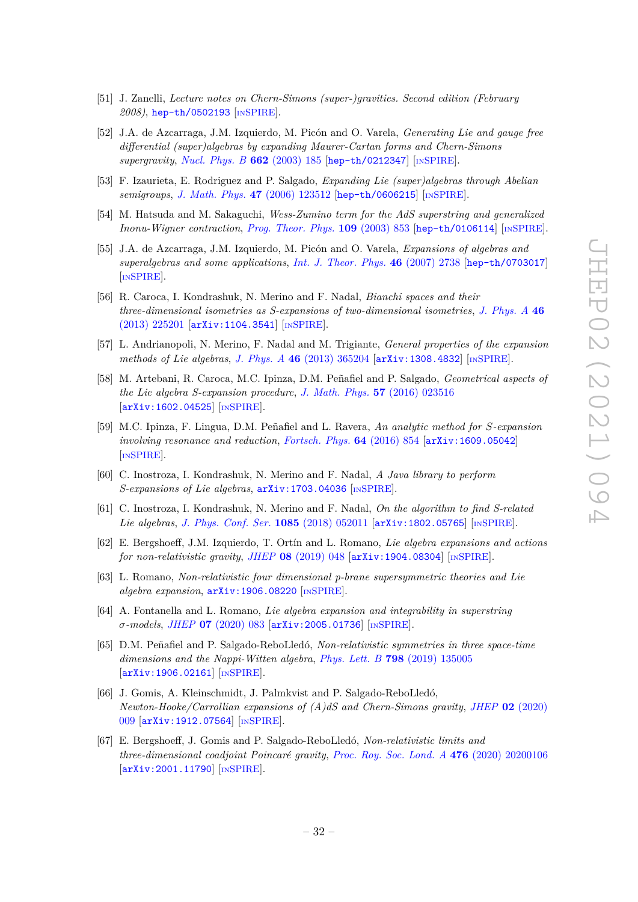- [51] J. Zanelli, *Lecture notes on Chern-Simons (super-)gravities. Second edition (February 2008)*, [hep-th/0502193](https://arxiv.org/abs/hep-th/0502193) [IN[SPIRE](https://inspirehep.net/search?p=find+EPRINT%2Bhep-th%2F0502193)].
- [52] J.A. de Azcarraga, J.M. Izquierdo, M. Picón and O. Varela, *Generating Lie and gauge free differential (super)algebras by expanding Maurer-Cartan forms and Chern-Simons supergravity*, *[Nucl. Phys. B](https://doi.org/10.1016/S0550-3213(03)00342-0)* **662** (2003) 185 [[hep-th/0212347](https://arxiv.org/abs/hep-th/0212347)] [IN[SPIRE](https://inspirehep.net/search?p=find+EPRINT%2Bhep-th%2F0212347)].
- [53] F. Izaurieta, E. Rodriguez and P. Salgado, *Expanding Lie (super)algebras through Abelian semigroups*, *[J. Math. Phys.](https://doi.org/10.1063/1.2390659)* **47** (2006) 123512 [[hep-th/0606215](https://arxiv.org/abs/hep-th/0606215)] [IN[SPIRE](https://inspirehep.net/search?p=find+EPRINT%2Bhep-th%2F0606215)].
- [54] M. Hatsuda and M. Sakaguchi, *Wess-Zumino term for the AdS superstring and generalized Inonu-Wigner contraction*, *[Prog. Theor. Phys.](https://doi.org/10.1143/PTP.109.853)* **109** (2003) 853 [[hep-th/0106114](https://arxiv.org/abs/hep-th/0106114)] [IN[SPIRE](https://inspirehep.net/search?p=find+EPRINT%2Bhep-th%2F0106114)].
- [55] J.A. de Azcarraga, J.M. Izquierdo, M. Picón and O. Varela, *Expansions of algebras and superalgebras and some applications*, *[Int. J. Theor. Phys.](https://doi.org/10.1007/s10773-007-9385-3)* **46** (2007) 2738 [[hep-th/0703017](https://arxiv.org/abs/hep-th/0703017)] [IN[SPIRE](https://inspirehep.net/search?p=find+EPRINT%2Bhep-th%2F0703017)].
- [56] R. Caroca, I. Kondrashuk, N. Merino and F. Nadal, *Bianchi spaces and their three-dimensional isometries as S-expansions of two-dimensional isometries*, *[J. Phys. A](https://doi.org/10.1088/1751-8113/46/22/225201)* **46** [\(2013\) 225201](https://doi.org/10.1088/1751-8113/46/22/225201) [[arXiv:1104.3541](https://arxiv.org/abs/1104.3541)] [IN[SPIRE](https://inspirehep.net/search?p=find+EPRINT%2BarXiv%3A1104.3541)].
- [57] L. Andrianopoli, N. Merino, F. Nadal and M. Trigiante, *General properties of the expansion methods of Lie algebras*, *J. Phys. A* **46** [\(2013\) 365204](https://doi.org/10.1088/1751-8113/46/36/365204) [[arXiv:1308.4832](https://arxiv.org/abs/1308.4832)] [IN[SPIRE](https://inspirehep.net/search?p=find+EPRINT%2BarXiv%3A1308.4832)].
- [58] M. Artebani, R. Caroca, M.C. Ipinza, D.M. Peñafiel and P. Salgado, *Geometrical aspects of the Lie algebra S-expansion procedure*, *[J. Math. Phys.](https://doi.org/10.1063/1.4941135)* **57** (2016) 023516 [[arXiv:1602.04525](https://arxiv.org/abs/1602.04525)] [IN[SPIRE](https://inspirehep.net/search?p=find+EPRINT%2BarXiv%3A1602.04525)].
- [59] M.C. Ipinza, F. Lingua, D.M. Peñafiel and L. Ravera, *An analytic method for S-expansion involving resonance and reduction*, *[Fortsch. Phys.](https://doi.org/10.1002/prop.201600094)* **64** (2016) 854 [[arXiv:1609.05042](https://arxiv.org/abs/1609.05042)] [IN[SPIRE](https://inspirehep.net/search?p=find+EPRINT%2BarXiv%3A1609.05042)].
- [60] C. Inostroza, I. Kondrashuk, N. Merino and F. Nadal, *A Java library to perform S-expansions of Lie algebras*, [arXiv:1703.04036](https://arxiv.org/abs/1703.04036) [IN[SPIRE](https://inspirehep.net/search?p=find+EPRINT%2BarXiv%3A1703.04036)].
- [61] C. Inostroza, I. Kondrashuk, N. Merino and F. Nadal, *On the algorithm to find S-related Lie algebras*, *[J. Phys. Conf. Ser.](https://doi.org/10.1088/1742-6596/1085/5/052011)* **1085** (2018) 052011 [[arXiv:1802.05765](https://arxiv.org/abs/1802.05765)] [IN[SPIRE](https://inspirehep.net/search?p=find+EPRINT%2BarXiv%3A1802.05765)].
- [62] E. Bergshoeff, J.M. Izquierdo, T. Ortín and L. Romano, *Lie algebra expansions and actions for non-relativistic gravity*, *JHEP* **08** [\(2019\) 048](https://doi.org/10.1007/JHEP08(2019)048) [[arXiv:1904.08304](https://arxiv.org/abs/1904.08304)] [IN[SPIRE](https://inspirehep.net/search?p=find+EPRINT%2BarXiv%3A1904.08304)].
- [63] L. Romano, *Non-relativistic four dimensional p-brane supersymmetric theories and Lie algebra expansion*, [arXiv:1906.08220](https://arxiv.org/abs/1906.08220) [IN[SPIRE](https://inspirehep.net/search?p=find+EPRINT%2BarXiv%3A1906.08220)].
- [64] A. Fontanella and L. Romano, *Lie algebra expansion and integrability in superstring σ-models*, *JHEP* **07** [\(2020\) 083](https://doi.org/10.1007/JHEP07(2020)083) [[arXiv:2005.01736](https://arxiv.org/abs/2005.01736)] [IN[SPIRE](https://inspirehep.net/search?p=find+EPRINT%2BarXiv%3A2005.01736)].
- [65] D.M. Peñafiel and P. Salgado-ReboLledó, *Non-relativistic symmetries in three space-time dimensions and the Nappi-Witten algebra*, *Phys. Lett. B* **798** [\(2019\) 135005](https://doi.org/10.1016/j.physletb.2019.135005) [[arXiv:1906.02161](https://arxiv.org/abs/1906.02161)] [IN[SPIRE](https://inspirehep.net/search?p=find+EPRINT%2BarXiv%3A1906.02161)].
- [66] J. Gomis, A. Kleinschmidt, J. Palmkvist and P. Salgado-ReboLledó, *Newton-Hooke/Carrollian expansions of (A)dS and Chern-Simons gravity*, *JHEP* **02** [\(2020\)](https://doi.org/10.1007/JHEP02(2020)009) [009](https://doi.org/10.1007/JHEP02(2020)009) [[arXiv:1912.07564](https://arxiv.org/abs/1912.07564)] [IN[SPIRE](https://inspirehep.net/search?p=find+EPRINT%2BarXiv%3A1912.07564)].
- [67] E. Bergshoeff, J. Gomis and P. Salgado-ReboLledó, *Non-relativistic limits and three-dimensional coadjoint Poincaré gravity*, *[Proc. Roy. Soc. Lond. A](https://doi.org/10.1098/rspa.2020.0106)* **476** (2020) 20200106 [[arXiv:2001.11790](https://arxiv.org/abs/2001.11790)] [IN[SPIRE](https://inspirehep.net/search?p=find+EPRINT%2BarXiv%3A2001.11790)].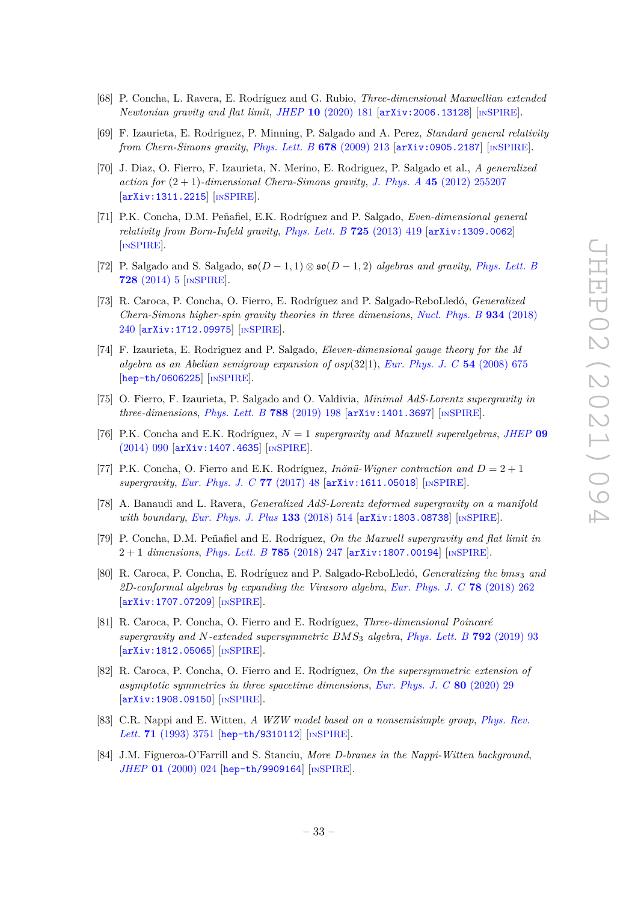- [68] P. Concha, L. Ravera, E. Rodríguez and G. Rubio, *Three-dimensional Maxwellian extended Newtonian gravity and flat limit*, *JHEP* **10** [\(2020\) 181](https://doi.org/10.1007/JHEP10(2020)181) [[arXiv:2006.13128](https://arxiv.org/abs/2006.13128)] [IN[SPIRE](https://inspirehep.net/search?p=find+EPRINT%2BarXiv%3A2006.13128)].
- [69] F. Izaurieta, E. Rodriguez, P. Minning, P. Salgado and A. Perez, *Standard general relativity from Chern-Simons gravity*, *[Phys. Lett. B](https://doi.org/10.1016/j.physletb.2009.06.017)* **678** (2009) 213 [[arXiv:0905.2187](https://arxiv.org/abs/0905.2187)] [IN[SPIRE](https://inspirehep.net/search?p=find+EPRINT%2BarXiv%3A0905.2187)].
- [70] J. Diaz, O. Fierro, F. Izaurieta, N. Merino, E. Rodriguez, P. Salgado et al., *A generalized action for*  $(2 + 1)$ *-dimensional Chern-Simons gravity, J. Phys. A* 45 [\(2012\) 255207](https://doi.org/10.1088/1751-8113/45/25/255207) [[arXiv:1311.2215](https://arxiv.org/abs/1311.2215)] [IN[SPIRE](https://inspirehep.net/search?p=find+EPRINT%2BarXiv%3A1311.2215)].
- [71] P.K. Concha, D.M. Peñafiel, E.K. Rodríguez and P. Salgado, *Even-dimensional general relativity from Born-Infeld gravity*, *[Phys. Lett. B](https://doi.org/10.1016/j.physletb.2013.07.019)* **725** (2013) 419 [[arXiv:1309.0062](https://arxiv.org/abs/1309.0062)] [IN[SPIRE](https://inspirehep.net/search?p=find+EPRINT%2BarXiv%3A1309.0062)].
- [72] P. Salgado and S. Salgado,  $\mathfrak{so}(D-1,1) \otimes \mathfrak{so}(D-1,2)$  *algebras and gravity*, *[Phys. Lett. B](https://doi.org/10.1016/j.physletb.2013.11.009)* **728** [\(2014\) 5](https://doi.org/10.1016/j.physletb.2013.11.009) [IN[SPIRE](https://inspirehep.net/search?p=find+J%20%22Phys.Lett.%2CB728%2C5%22)].
- [73] R. Caroca, P. Concha, O. Fierro, E. Rodríguez and P. Salgado-ReboLledó, *Generalized Chern-Simons higher-spin gravity theories in three dimensions*, *[Nucl. Phys. B](https://doi.org/10.1016/j.nuclphysb.2018.07.005)* **934** (2018) [240](https://doi.org/10.1016/j.nuclphysb.2018.07.005) [[arXiv:1712.09975](https://arxiv.org/abs/1712.09975)] [IN[SPIRE](https://inspirehep.net/search?p=find+EPRINT%2BarXiv%3A1712.09975)].
- [74] F. Izaurieta, E. Rodriguez and P. Salgado, *Eleven-dimensional gauge theory for the M algebra as an Abelian semigroup expansion of osp*(32|1), *[Eur. Phys. J. C](https://doi.org/10.1140/epjc/s10052-008-0540-7)* **54** (2008) 675 [[hep-th/0606225](https://arxiv.org/abs/hep-th/0606225)] [IN[SPIRE](https://inspirehep.net/search?p=find+EPRINT%2Bhep-th%2F0606225)].
- [75] O. Fierro, F. Izaurieta, P. Salgado and O. Valdivia, *Minimal AdS-Lorentz supergravity in three-dimensions*, *[Phys. Lett. B](https://doi.org/10.1016/j.physletb.2018.10.066)* **788** (2019) 198 [[arXiv:1401.3697](https://arxiv.org/abs/1401.3697)] [IN[SPIRE](https://inspirehep.net/search?p=find+EPRINT%2BarXiv%3A1401.3697)].
- [76] P.K. Concha and E.K. Rodríguez, *N* = 1 *supergravity and Maxwell superalgebras*, *[JHEP](https://doi.org/10.1007/JHEP09(2014)090)* **09** [\(2014\) 090](https://doi.org/10.1007/JHEP09(2014)090) [[arXiv:1407.4635](https://arxiv.org/abs/1407.4635)] [IN[SPIRE](https://inspirehep.net/search?p=find+EPRINT%2BarXiv%3A1407.4635)].
- [77] P.K. Concha, O. Fierro and E.K. Rodríguez, *Inönü-Wigner contraction and D* = 2 + 1 *supergravity*, *[Eur. Phys. J. C](https://doi.org/10.1140/epjc/s10052-017-4615-1)* **77** (2017) 48 [[arXiv:1611.05018](https://arxiv.org/abs/1611.05018)] [IN[SPIRE](https://inspirehep.net/search?p=find+EPRINT%2BarXiv%3A1611.05018)].
- [78] A. Banaudi and L. Ravera, *Generalized AdS-Lorentz deformed supergravity on a manifold with boundary*, *[Eur. Phys. J. Plus](https://doi.org/10.1140/epjp/i2018-12335-0)* 133 (2018) 514 [[arXiv:1803.08738](https://arxiv.org/abs/1803.08738)] [IN[SPIRE](https://inspirehep.net/search?p=find+EPRINT%2BarXiv%3A1803.08738)].
- [79] P. Concha, D.M. Peñafiel and E. Rodríguez, *On the Maxwell supergravity and flat limit in* 2 + 1 *dimensions*, *[Phys. Lett. B](https://doi.org/10.1016/j.physletb.2018.08.050)* **785** (2018) 247 [[arXiv:1807.00194](https://arxiv.org/abs/1807.00194)] [IN[SPIRE](https://inspirehep.net/search?p=find+EPRINT%2BarXiv%3A1807.00194)].
- [80] R. Caroca, P. Concha, E. Rodríguez and P. Salgado-ReboLledó, *Generalizing the bms*<sup>3</sup> *and 2D-conformal algebras by expanding the Virasoro algebra*, *[Eur. Phys. J. C](https://doi.org/10.1140/epjc/s10052-018-5739-7)* **78** (2018) 262 [[arXiv:1707.07209](https://arxiv.org/abs/1707.07209)] [IN[SPIRE](https://inspirehep.net/search?p=find+EPRINT%2BarXiv%3A1707.07209)].
- [81] R. Caroca, P. Concha, O. Fierro and E. Rodríguez, *Three-dimensional Poincaré supergravity and N-extended supersymmetric BMS*<sup>3</sup> *algebra*, *[Phys. Lett. B](https://doi.org/10.1016/j.physletb.2019.02.049)* **792** (2019) 93 [[arXiv:1812.05065](https://arxiv.org/abs/1812.05065)] [IN[SPIRE](https://inspirehep.net/search?p=find+EPRINT%2BarXiv%3A1812.05065)].
- [82] R. Caroca, P. Concha, O. Fierro and E. Rodríguez, *On the supersymmetric extension of asymptotic symmetries in three spacetime dimensions*, *[Eur. Phys. J. C](https://doi.org/10.1140/epjc/s10052-019-7595-5)* **80** (2020) 29 [[arXiv:1908.09150](https://arxiv.org/abs/1908.09150)] [IN[SPIRE](https://inspirehep.net/search?p=find+EPRINT%2BarXiv%3A1908.09150)].
- [83] C.R. Nappi and E. Witten, *A WZW model based on a nonsemisimple group*, *[Phys. Rev.](https://doi.org/10.1103/PhysRevLett.71.3751)* Lett. **71** [\(1993\) 3751](https://doi.org/10.1103/PhysRevLett.71.3751) [[hep-th/9310112](https://arxiv.org/abs/hep-th/9310112)] [IN[SPIRE](https://inspirehep.net/search?p=find+EPRINT%2Bhep-th%2F9310112)].
- [84] J.M. Figueroa-O'Farrill and S. Stanciu, *More D-branes in the Nappi-Witten background*, *JHEP* **01** [\(2000\) 024](https://doi.org/10.1088/1126-6708/2000/01/024) [[hep-th/9909164](https://arxiv.org/abs/hep-th/9909164)] [IN[SPIRE](https://inspirehep.net/search?p=find+EPRINT%2Bhep-th%2F9909164)].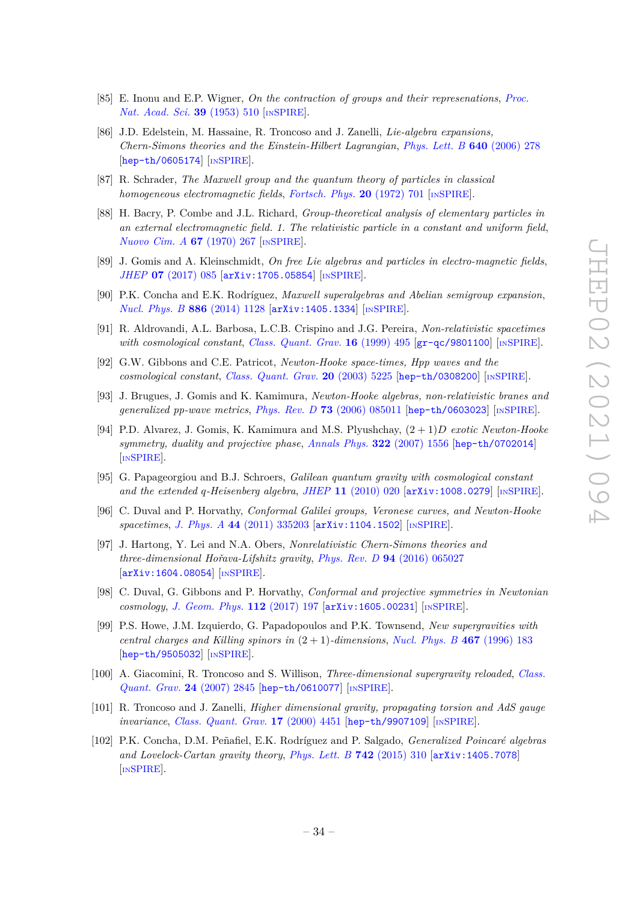- [85] E. Inonu and E.P. Wigner, *On the contraction of groups and their represenations*, *[Proc.](https://doi.org/10.1073/pnas.39.6.510) [Nat. Acad. Sci.](https://doi.org/10.1073/pnas.39.6.510)* **39** (1953) 510 [IN[SPIRE](https://inspirehep.net/search?p=find+J%20%22Proc.Nat.Acad.Sci.%2C39%2C510%22)].
- [86] J.D. Edelstein, M. Hassaine, R. Troncoso and J. Zanelli, *Lie-algebra expansions, Chern-Simons theories and the Einstein-Hilbert Lagrangian*, *[Phys. Lett. B](https://doi.org/10.1016/j.physletb.2006.07.058)* **640** (2006) 278 [[hep-th/0605174](https://arxiv.org/abs/hep-th/0605174)] [IN[SPIRE](https://inspirehep.net/search?p=find+EPRINT%2Bhep-th%2F0605174)].
- [87] R. Schrader, *The Maxwell group and the quantum theory of particles in classical homogeneous electromagnetic fields*, *[Fortsch. Phys.](https://doi.org/10.1002/prop.19720201202)* **20** (1972) 701 [IN[SPIRE](https://inspirehep.net/search?p=find+J%20%22Fortsch.Phys.%2C20%2C701%22)].
- [88] H. Bacry, P. Combe and J.L. Richard, *Group-theoretical analysis of elementary particles in an external electromagnetic field. 1. The relativistic particle in a constant and uniform field*, *[Nuovo Cim. A](https://doi.org/10.1007/BF02725178)* **67** (1970) 267 [IN[SPIRE](https://inspirehep.net/search?p=find+J%20%22Nuovo%20Cim.%2CA67%2C267%22)].
- [89] J. Gomis and A. Kleinschmidt, *On free Lie algebras and particles in electro-magnetic fields*, *JHEP* **07** [\(2017\) 085](https://doi.org/10.1007/JHEP07(2017)085) [[arXiv:1705.05854](https://arxiv.org/abs/1705.05854)] [IN[SPIRE](https://inspirehep.net/search?p=find+EPRINT%2BarXiv%3A1705.05854)].
- [90] P.K. Concha and E.K. Rodríguez, *Maxwell superalgebras and Abelian semigroup expansion*, *[Nucl. Phys. B](https://doi.org/10.1016/j.nuclphysb.2014.07.022)* 886 (2014) 1128 [[arXiv:1405.1334](https://arxiv.org/abs/1405.1334)] [IN[SPIRE](https://inspirehep.net/search?p=find+EPRINT%2BarXiv%3A1405.1334)].
- [91] R. Aldrovandi, A.L. Barbosa, L.C.B. Crispino and J.G. Pereira, *Non-relativistic spacetimes with cosmological constant*, *[Class. Quant. Grav.](https://doi.org/10.1088/0264-9381/16/2/013)* **16** (1999) 495 [[gr-qc/9801100](https://arxiv.org/abs/gr-qc/9801100)] [IN[SPIRE](https://inspirehep.net/search?p=find+EPRINT%2Bgr-qc%2F9801100)].
- [92] G.W. Gibbons and C.E. Patricot, *Newton-Hooke space-times, Hpp waves and the cosmological constant*, *[Class. Quant. Grav.](https://doi.org/10.1088/0264-9381/20/23/016)* **20** (2003) 5225 [[hep-th/0308200](https://arxiv.org/abs/hep-th/0308200)] [IN[SPIRE](https://inspirehep.net/search?p=find+EPRINT%2Bhep-th%2F0308200)].
- [93] J. Brugues, J. Gomis and K. Kamimura, *Newton-Hooke algebras, non-relativistic branes and generalized pp-wave metrics*, *Phys. Rev. D* **73** [\(2006\) 085011](https://doi.org/10.1103/PhysRevD.73.085011) [[hep-th/0603023](https://arxiv.org/abs/hep-th/0603023)] [IN[SPIRE](https://inspirehep.net/search?p=find+EPRINT%2Bhep-th%2F0603023)].
- [94] P.D. Alvarez, J. Gomis, K. Kamimura and M.S. Plyushchay, (2 + 1)*D exotic Newton-Hooke symmetry, duality and projective phase*, *[Annals Phys.](https://doi.org/10.1016/j.aop.2007.03.002)* **322** (2007) 1556 [[hep-th/0702014](https://arxiv.org/abs/hep-th/0702014)] [IN[SPIRE](https://inspirehep.net/search?p=find+EPRINT%2Bhep-th%2F0702014)].
- [95] G. Papageorgiou and B.J. Schroers, *Galilean quantum gravity with cosmological constant and the extended q-Heisenberg algebra*, *JHEP* **11** [\(2010\) 020](https://doi.org/10.1007/JHEP11(2010)020) [[arXiv:1008.0279](https://arxiv.org/abs/1008.0279)] [IN[SPIRE](https://inspirehep.net/search?p=find+EPRINT%2BarXiv%3A1008.0279)].
- [96] C. Duval and P. Horvathy, *Conformal Galilei groups, Veronese curves, and Newton-Hooke spacetimes*, *J. Phys. A* **44** [\(2011\) 335203](https://doi.org/10.1088/1751-8113/44/33/335203) [[arXiv:1104.1502](https://arxiv.org/abs/1104.1502)] [IN[SPIRE](https://inspirehep.net/search?p=find+EPRINT%2BarXiv%3A1104.1502)].
- [97] J. Hartong, Y. Lei and N.A. Obers, *Nonrelativistic Chern-Simons theories and three-dimensional Hořava-Lifshitz gravity*, *Phys. Rev. D* **94** [\(2016\) 065027](https://doi.org/10.1103/PhysRevD.94.065027) [[arXiv:1604.08054](https://arxiv.org/abs/1604.08054)] [IN[SPIRE](https://inspirehep.net/search?p=find+EPRINT%2BarXiv%3A1604.08054)].
- [98] C. Duval, G. Gibbons and P. Horvathy, *Conformal and projective symmetries in Newtonian cosmology*, *[J. Geom. Phys.](https://doi.org/10.1016/j.geomphys.2016.11.012)* **112** (2017) 197 [[arXiv:1605.00231](https://arxiv.org/abs/1605.00231)] [IN[SPIRE](https://inspirehep.net/search?p=find+EPRINT%2BarXiv%3A1605.00231)].
- [99] P.S. Howe, J.M. Izquierdo, G. Papadopoulos and P.K. Townsend, *New supergravities with central charges and Killing spinors in*  $(2 + 1)$ *-dimensions*, *[Nucl. Phys. B](https://doi.org/10.1016/0550-3213(96)00091-0)* 467 (1996) 183 [[hep-th/9505032](https://arxiv.org/abs/hep-th/9505032)] [IN[SPIRE](https://inspirehep.net/search?p=find+EPRINT%2Bhep-th%2F9505032)].
- [100] A. Giacomini, R. Troncoso and S. Willison, *Three-dimensional supergravity reloaded*, *[Class.](https://doi.org/10.1088/0264-9381/24/11/005) [Quant. Grav.](https://doi.org/10.1088/0264-9381/24/11/005)* **24** (2007) 2845 [[hep-th/0610077](https://arxiv.org/abs/hep-th/0610077)] [IN[SPIRE](https://inspirehep.net/search?p=find+EPRINT%2Bhep-th%2F0610077)].
- [101] R. Troncoso and J. Zanelli, *Higher dimensional gravity, propagating torsion and AdS gauge invariance*, *[Class. Quant. Grav.](https://doi.org/10.1088/0264-9381/17/21/307)* **17** (2000) 4451 [[hep-th/9907109](https://arxiv.org/abs/hep-th/9907109)] [IN[SPIRE](https://inspirehep.net/search?p=find+EPRINT%2Bhep-th%2F9907109)].
- [102] P.K. Concha, D.M. Peñafiel, E.K. Rodríguez and P. Salgado, *Generalized Poincaré algebras and Lovelock-Cartan gravity theory*, *[Phys. Lett. B](https://doi.org/10.1016/j.physletb.2015.01.038)* **742** (2015) 310 [[arXiv:1405.7078](https://arxiv.org/abs/1405.7078)] [IN[SPIRE](https://inspirehep.net/search?p=find+EPRINT%2BarXiv%3A1405.7078)].